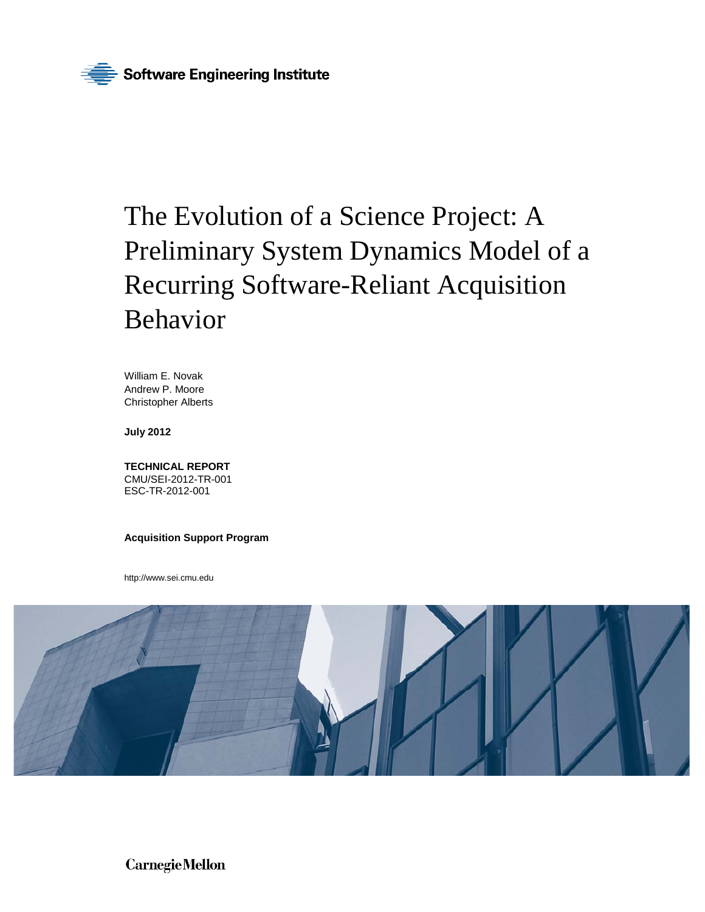

# The Evolution of a Science Project: A Preliminary System Dynamics Model of a Recurring Software-Reliant Acquisition Behavior

William E. Novak Andrew P. Moore Christopher Alberts

**July 2012** 

**TECHNICAL REPORT**  CMU/SEI-2012-TR-001 ESC-TR-2012-001

#### **Acquisition Support Program**

<http://www.sei.cmu.edu>



**CarnegieMellon**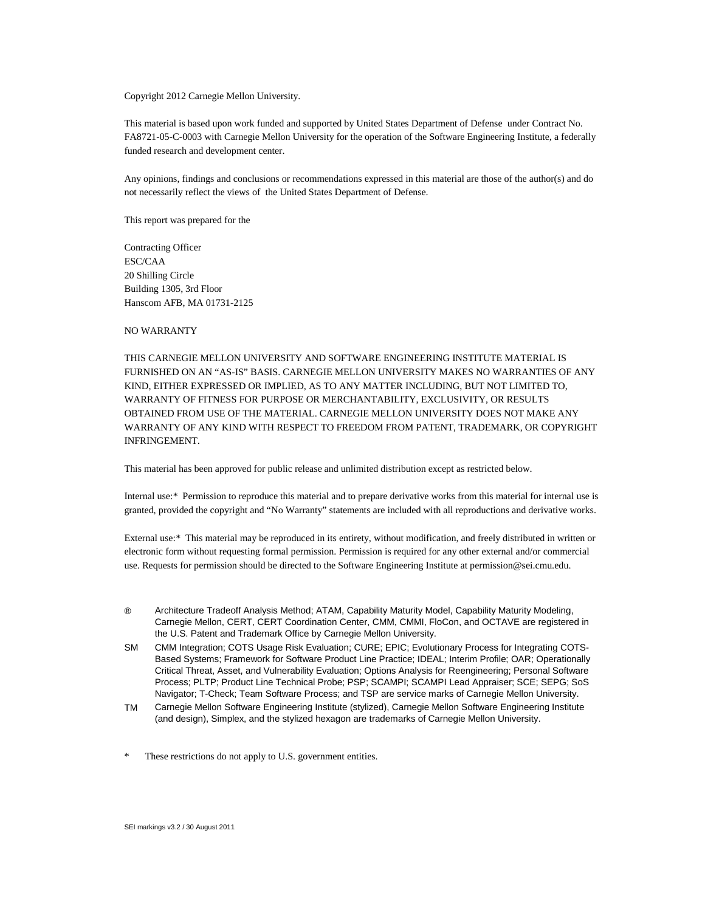Copyright 2012 Carnegie Mellon University.

This material is based upon work funded and supported by United States Department of Defense under Contract No. FA8721-05-C-0003 with Carnegie Mellon University for the operation of the Software Engineering Institute, a federally funded research and development center.

Any opinions, findings and conclusions or recommendations expressed in this material are those of the author(s) and do not necessarily reflect the views of the United States Department of Defense.

This report was prepared for the

Contracting Officer ESC/CAA 20 Shilling Circle Building 1305, 3rd Floor Hanscom AFB, MA 01731-2125

#### NO WARRANTY

THIS CARNEGIE MELLON UNIVERSITY AND SOFTWARE ENGINEERING INSTITUTE MATERIAL IS FURNISHED ON AN "AS-IS" BASIS. CARNEGIE MELLON UNIVERSITY MAKES NO WARRANTIES OF ANY KIND, EITHER EXPRESSED OR IMPLIED, AS TO ANY MATTER INCLUDING, BUT NOT LIMITED TO, WARRANTY OF FITNESS FOR PURPOSE OR MERCHANTABILITY, EXCLUSIVITY, OR RESULTS OBTAINED FROM USE OF THE MATERIAL. CARNEGIE MELLON UNIVERSITY DOES NOT MAKE ANY WARRANTY OF ANY KIND WITH RESPECT TO FREEDOM FROM PATENT, TRADEMARK, OR COPYRIGHT INFRINGEMENT.

This material has been approved for public release and unlimited distribution except as restricted below.

Internal use:\* Permission to reproduce this material and to prepare derivative works from this material for internal use is granted, provided the copyright and "No Warranty" statements are included with all reproductions and derivative works.

External use:\* This material may be reproduced in its entirety, without modification, and freely distributed in written or electronic form without requesting formal permission. Permission is required for any other external and/or commercial use. Requests for permission should be directed to the Software Engineering Institute at [permission@sei.cmu.edu.](mailto:permission@sei.cmu.edu) 

- ® Architecture Tradeoff Analysis Method; ATAM, Capability Maturity Model, Capability Maturity Modeling, Carnegie Mellon, CERT, CERT Coordination Center, CMM, CMMI, FloCon, and OCTAVE are registered in the U.S. Patent and Trademark Office by Carnegie Mellon University.
- SM CMM Integration; COTS Usage Risk Evaluation; CURE; EPIC; Evolutionary Process for Integrating COTS-Based Systems; Framework for Software Product Line Practice; IDEAL; Interim Profile; OAR; Operationally Critical Threat, Asset, and Vulnerability Evaluation; Options Analysis for Reengineering; Personal Software Process; PLTP; Product Line Technical Probe; PSP; SCAMPI; SCAMPI Lead Appraiser; SCE; SEPG; SoS Navigator; T-Check; Team Software Process; and TSP are service marks of Carnegie Mellon University.
- TM Carnegie Mellon Software Engineering Institute (stylized), Carnegie Mellon Software Engineering Institute (and design), Simplex, and the stylized hexagon are trademarks of Carnegie Mellon University.
- These restrictions do not apply to U.S. government entities.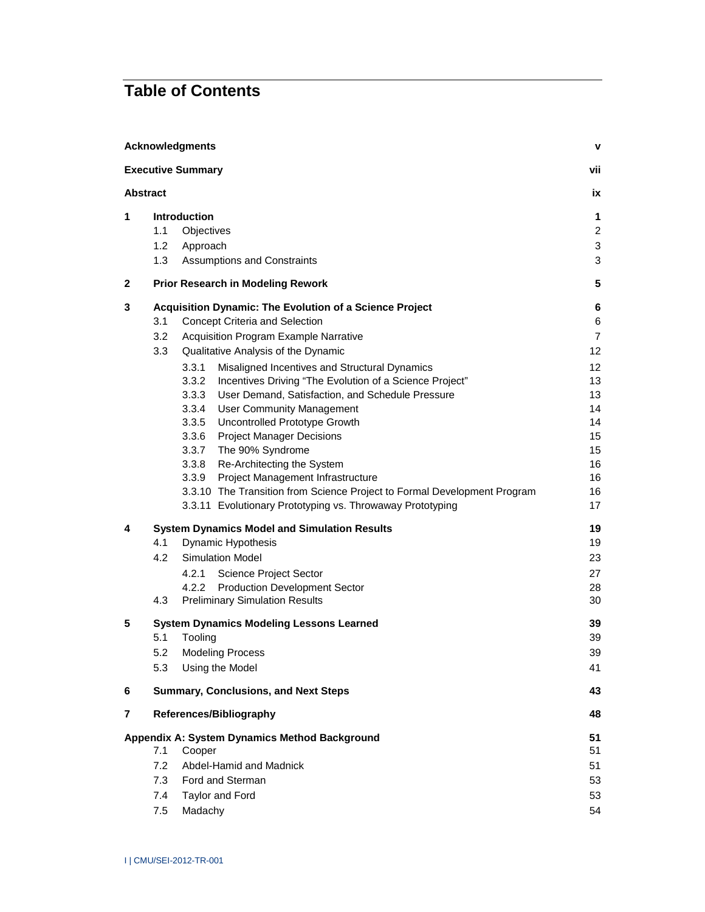## **Table of Contents**

|                 |                                 | <b>Acknowledgments</b>                                                                                                                                                                                                                                                                                                                                                                                                                                                                                                                                                                                                                                                                                                                                              | v                                                                                                |
|-----------------|---------------------------------|---------------------------------------------------------------------------------------------------------------------------------------------------------------------------------------------------------------------------------------------------------------------------------------------------------------------------------------------------------------------------------------------------------------------------------------------------------------------------------------------------------------------------------------------------------------------------------------------------------------------------------------------------------------------------------------------------------------------------------------------------------------------|--------------------------------------------------------------------------------------------------|
|                 |                                 | <b>Executive Summary</b>                                                                                                                                                                                                                                                                                                                                                                                                                                                                                                                                                                                                                                                                                                                                            | vii                                                                                              |
| <b>Abstract</b> |                                 |                                                                                                                                                                                                                                                                                                                                                                                                                                                                                                                                                                                                                                                                                                                                                                     | ix                                                                                               |
| 1               | 1.1<br>1.2<br>1.3               | <b>Introduction</b><br>Objectives<br>Approach<br><b>Assumptions and Constraints</b>                                                                                                                                                                                                                                                                                                                                                                                                                                                                                                                                                                                                                                                                                 | $\mathbf{1}$<br>$\overline{2}$<br>3<br>3                                                         |
| $\mathbf{2}$    |                                 | <b>Prior Research in Modeling Rework</b>                                                                                                                                                                                                                                                                                                                                                                                                                                                                                                                                                                                                                                                                                                                            | 5                                                                                                |
| 3               | 3.1<br>3.2<br>3.3               | Acquisition Dynamic: The Evolution of a Science Project<br>Concept Criteria and Selection<br>Acquisition Program Example Narrative<br>Qualitative Analysis of the Dynamic<br>Misaligned Incentives and Structural Dynamics<br>3.3.1<br>3.3.2<br>Incentives Driving "The Evolution of a Science Project"<br>3.3.3<br>User Demand, Satisfaction, and Schedule Pressure<br>3.3.4<br><b>User Community Management</b><br>3.3.5<br>Uncontrolled Prototype Growth<br>3.3.6<br><b>Project Manager Decisions</b><br>The 90% Syndrome<br>3.3.7<br>Re-Architecting the System<br>3.3.8<br>Project Management Infrastructure<br>3.3.9<br>3.3.10 The Transition from Science Project to Formal Development Program<br>3.3.11 Evolutionary Prototyping vs. Throwaway Prototyping | 6<br>6<br>$\overline{7}$<br>12<br>12<br>13<br>13<br>14<br>14<br>15<br>15<br>16<br>16<br>16<br>17 |
| 4               | 4.1<br>4.2<br>4.3               | <b>System Dynamics Model and Simulation Results</b><br>Dynamic Hypothesis<br><b>Simulation Model</b><br>4.2.1<br>Science Project Sector<br>4.2.2<br><b>Production Development Sector</b><br><b>Preliminary Simulation Results</b>                                                                                                                                                                                                                                                                                                                                                                                                                                                                                                                                   | 19<br>19<br>23<br>27<br>28<br>30                                                                 |
| 5               | 5.1<br>5.2<br>5.3               | <b>System Dynamics Modeling Lessons Learned</b><br>Tooling<br><b>Modeling Process</b><br>Using the Model                                                                                                                                                                                                                                                                                                                                                                                                                                                                                                                                                                                                                                                            | 39<br>39<br>39<br>41                                                                             |
| 6               |                                 | <b>Summary, Conclusions, and Next Steps</b>                                                                                                                                                                                                                                                                                                                                                                                                                                                                                                                                                                                                                                                                                                                         | 43                                                                                               |
| 7               |                                 | References/Bibliography                                                                                                                                                                                                                                                                                                                                                                                                                                                                                                                                                                                                                                                                                                                                             | 48                                                                                               |
|                 | 7.1<br>7.2<br>7.3<br>7.4<br>7.5 | Appendix A: System Dynamics Method Background<br>Cooper<br>Abdel-Hamid and Madnick<br>Ford and Sterman<br>Taylor and Ford<br>Madachy                                                                                                                                                                                                                                                                                                                                                                                                                                                                                                                                                                                                                                | 51<br>51<br>51<br>53<br>53<br>54                                                                 |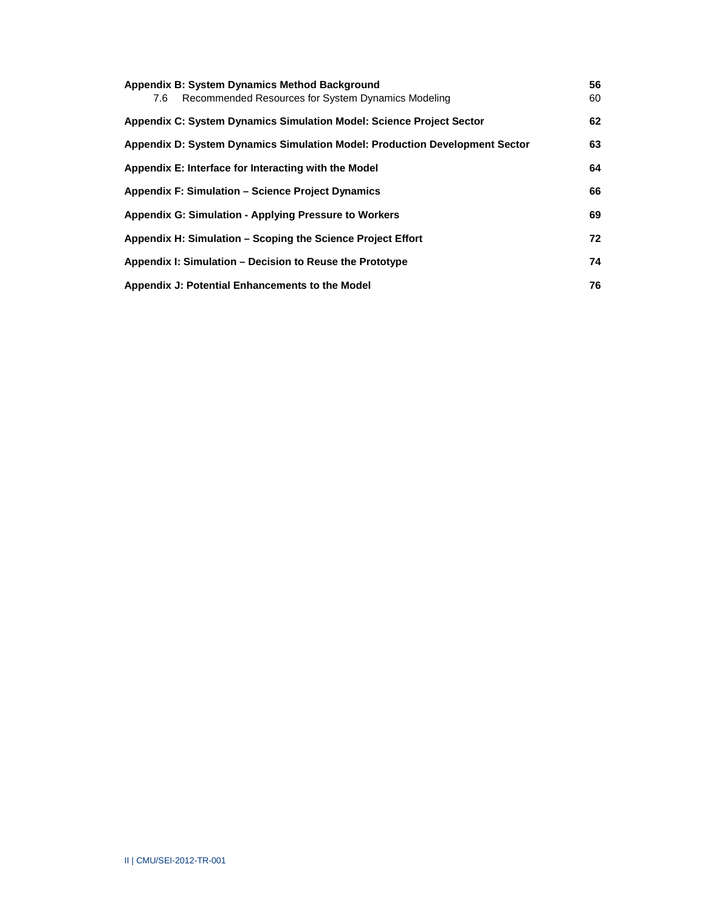| Appendix B: System Dynamics Method Background<br>Recommended Resources for System Dynamics Modeling<br>7.6 | 56<br>60 |
|------------------------------------------------------------------------------------------------------------|----------|
| Appendix C: System Dynamics Simulation Model: Science Project Sector                                       | 62       |
| Appendix D: System Dynamics Simulation Model: Production Development Sector                                | 63       |
| Appendix E: Interface for Interacting with the Model                                                       | 64       |
| Appendix F: Simulation - Science Project Dynamics                                                          | 66       |
| Appendix G: Simulation - Applying Pressure to Workers                                                      | 69       |
| Appendix H: Simulation – Scoping the Science Project Effort                                                | 72       |
| Appendix I: Simulation – Decision to Reuse the Prototype                                                   | 74       |
| Appendix J: Potential Enhancements to the Model                                                            | 76       |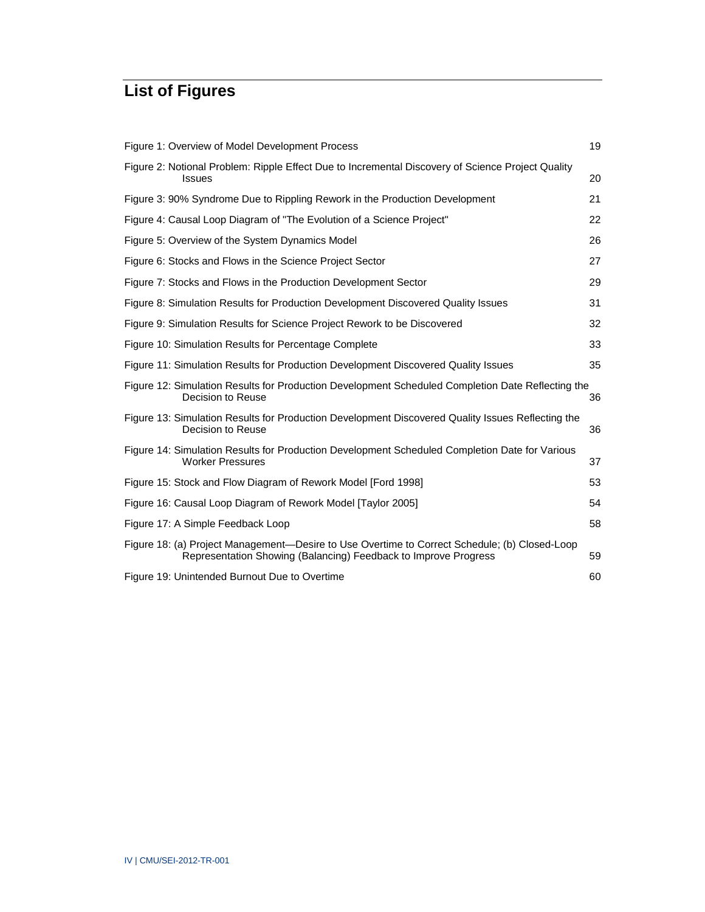## **List of Figures**

| Figure 1: Overview of Model Development Process                                                                                                                  | 19 |
|------------------------------------------------------------------------------------------------------------------------------------------------------------------|----|
| Figure 2: Notional Problem: Ripple Effect Due to Incremental Discovery of Science Project Quality<br><b>Issues</b>                                               | 20 |
| Figure 3: 90% Syndrome Due to Rippling Rework in the Production Development                                                                                      | 21 |
| Figure 4: Causal Loop Diagram of "The Evolution of a Science Project"                                                                                            | 22 |
| Figure 5: Overview of the System Dynamics Model                                                                                                                  | 26 |
| Figure 6: Stocks and Flows in the Science Project Sector                                                                                                         | 27 |
| Figure 7: Stocks and Flows in the Production Development Sector                                                                                                  | 29 |
| Figure 8: Simulation Results for Production Development Discovered Quality Issues                                                                                | 31 |
| Figure 9: Simulation Results for Science Project Rework to be Discovered                                                                                         | 32 |
| Figure 10: Simulation Results for Percentage Complete                                                                                                            | 33 |
| Figure 11: Simulation Results for Production Development Discovered Quality Issues                                                                               | 35 |
| Figure 12: Simulation Results for Production Development Scheduled Completion Date Reflecting the<br>Decision to Reuse                                           | 36 |
| Figure 13: Simulation Results for Production Development Discovered Quality Issues Reflecting the<br>Decision to Reuse                                           | 36 |
| Figure 14: Simulation Results for Production Development Scheduled Completion Date for Various<br><b>Worker Pressures</b>                                        | 37 |
| Figure 15: Stock and Flow Diagram of Rework Model [Ford 1998]                                                                                                    | 53 |
| Figure 16: Causal Loop Diagram of Rework Model [Taylor 2005]                                                                                                     | 54 |
| Figure 17: A Simple Feedback Loop                                                                                                                                | 58 |
| Figure 18: (a) Project Management—Desire to Use Overtime to Correct Schedule; (b) Closed-Loop<br>Representation Showing (Balancing) Feedback to Improve Progress | 59 |
| Figure 19: Unintended Burnout Due to Overtime                                                                                                                    | 60 |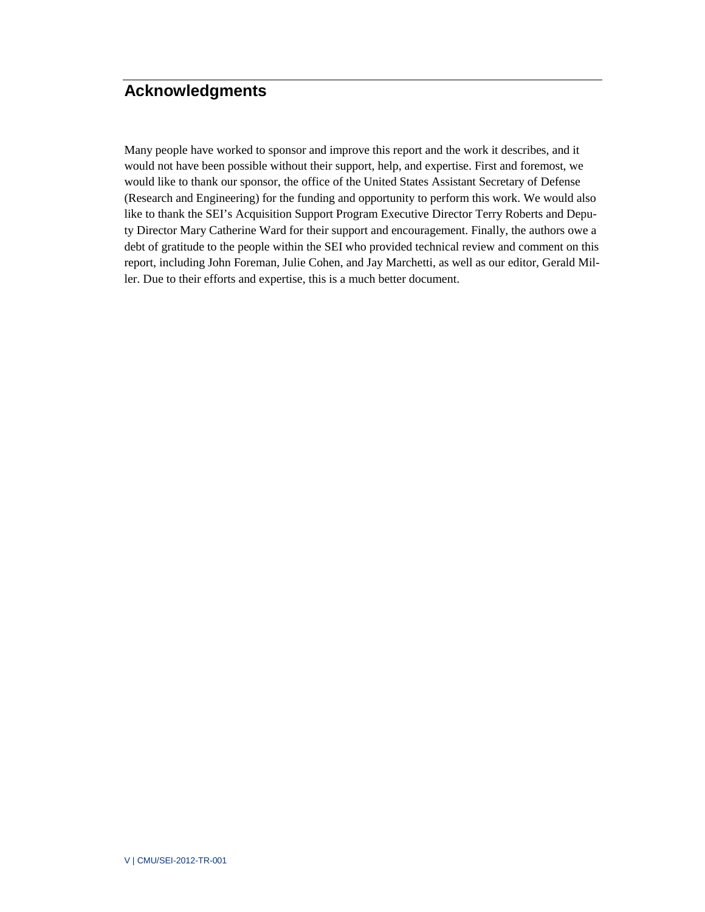## **Acknowledgments**

Many people have worked to sponsor and improve this report and the work it describes, and it would not have been possible without their support, help, and expertise. First and foremost, we would like to thank our sponsor, the office of the United States Assistant Secretary of Defense (Research and Engineering) for the funding and opportunity to perform this work. We would also like to thank the SEI's Acquisition Support Program Executive Director Terry Roberts and Deputy Director Mary Catherine Ward for their support and encouragement. Finally, the authors owe a debt of gratitude to the people within the SEI who provided technical review and comment on this report, including John Foreman, Julie Cohen, and Jay Marchetti, as well as our editor, Gerald Miller. Due to their efforts and expertise, this is a much better document.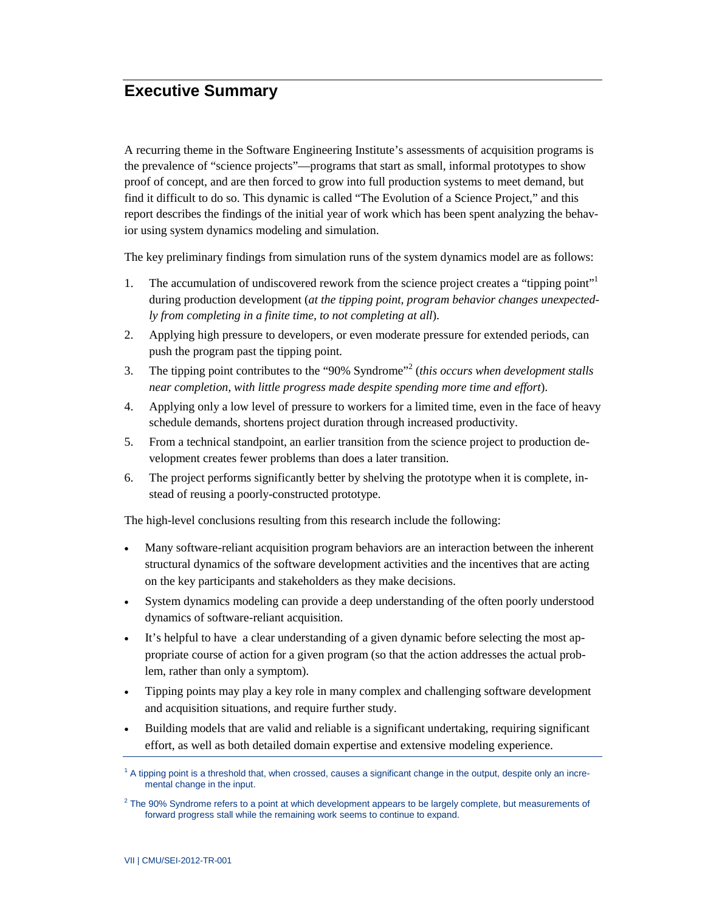## **Executive Summary**

A recurring theme in the Software Engineering Institute's assessments of acquisition programs is the prevalence of "science projects"—programs that start as small, informal prototypes to show proof of concept, and are then forced to grow into full production systems to meet demand, but find it difficult to do so. This dynamic is called "The Evolution of a Science Project," and this report describes the findings of the initial year of work which has been spent analyzing the behavior using system dynamics modeling and simulation.

The key preliminary findings from simulation runs of the system dynamics model are as follows:

- 1. The accumulation of undiscovered rework from the science project creates a "tipping point" during production development (*at the tipping point, program behavior changes unexpectedly from completing in a finite time, to not completing at all*).
- 2. Applying high pressure to developers, or even moderate pressure for extended periods, can push the program past the tipping point.
- 3. The tipping point contributes to the "90% Syndrome"2 (*this occurs when development stalls near completion, with little progress made despite spending more time and effort*).
- 4. Applying only a low level of pressure to workers for a limited time, even in the face of heavy schedule demands, shortens project duration through increased productivity.
- 5. From a technical standpoint, an earlier transition from the science project to production development creates fewer problems than does a later transition.
- 6. The project performs significantly better by shelving the prototype when it is complete, instead of reusing a poorly-constructed prototype.

The high-level conclusions resulting from this research include the following:

- Many software-reliant acquisition program behaviors are an interaction between the inherent structural dynamics of the software development activities and the incentives that are acting on the key participants and stakeholders as they make decisions.
- System dynamics modeling can provide a deep understanding of the often poorly understood dynamics of software-reliant acquisition.
- It's helpful to have a clear understanding of a given dynamic before selecting the most appropriate course of action for a given program (so that the action addresses the actual problem, rather than only a symptom).
- Tipping points may play a key role in many complex and challenging software development and acquisition situations, and require further study.
- Building models that are valid and reliable is a significant undertaking, requiring significant effort, as well as both detailed domain expertise and extensive modeling experience.

<sup>&</sup>lt;sup>1</sup> A tipping point is a threshold that, when crossed, causes a significant change in the output, despite only an incremental change in the input.

 $2$  The 90% Syndrome refers to a point at which development appears to be largely complete, but measurements of forward progress stall while the remaining work seems to continue to expand.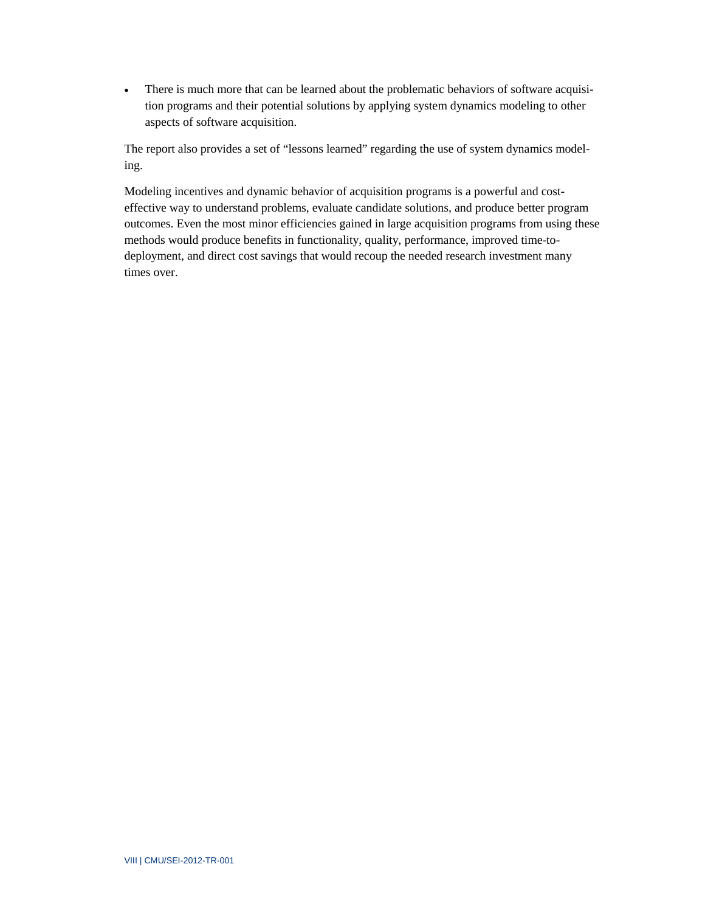• There is much more that can be learned about the problematic behaviors of software acquisition programs and their potential solutions by applying system dynamics modeling to other aspects of software acquisition.

The report also provides a set of "lessons learned" regarding the use of system dynamics modeling.

Modeling incentives and dynamic behavior of acquisition programs is a powerful and costeffective way to understand problems, evaluate candidate solutions, and produce better program outcomes. Even the most minor efficiencies gained in large acquisition programs from using these methods would produce benefits in functionality, quality, performance, improved time-todeployment, and direct cost savings that would recoup the needed research investment many times over.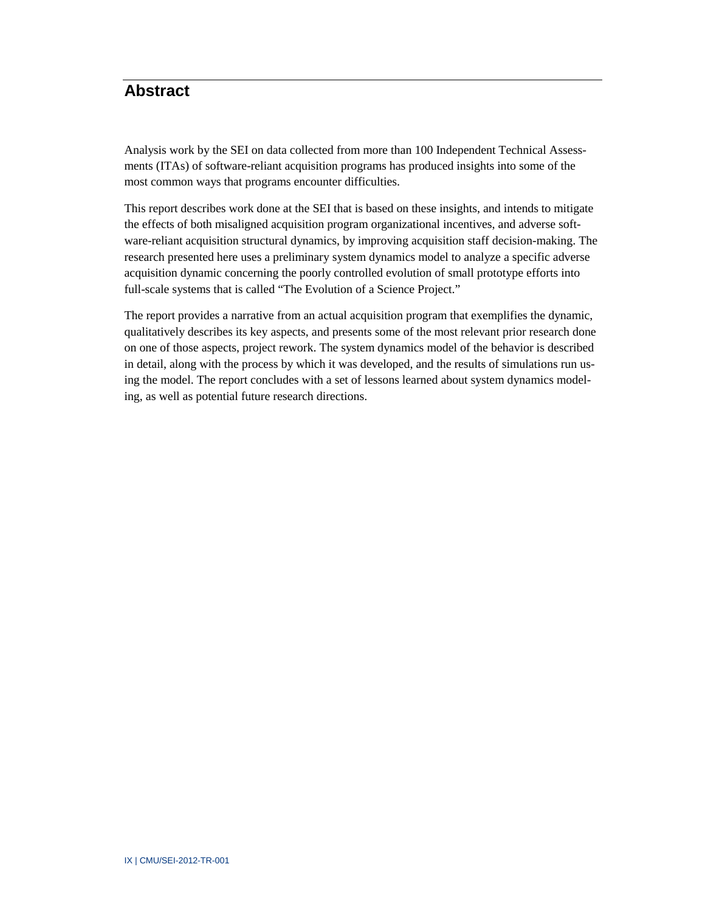### **Abstract**

Analysis work by the SEI on data collected from more than 100 Independent Technical Assessments (ITAs) of software-reliant acquisition programs has produced insights into some of the most common ways that programs encounter difficulties.

This report describes work done at the SEI that is based on these insights, and intends to mitigate the effects of both misaligned acquisition program organizational incentives, and adverse software-reliant acquisition structural dynamics, by improving acquisition staff decision-making. The research presented here uses a preliminary system dynamics model to analyze a specific adverse acquisition dynamic concerning the poorly controlled evolution of small prototype efforts into full-scale systems that is called "The Evolution of a Science Project."

The report provides a narrative from an actual acquisition program that exemplifies the dynamic, qualitatively describes its key aspects, and presents some of the most relevant prior research done on one of those aspects, project rework. The system dynamics model of the behavior is described in detail, along with the process by which it was developed, and the results of simulations run using the model. The report concludes with a set of lessons learned about system dynamics modeling, as well as potential future research directions.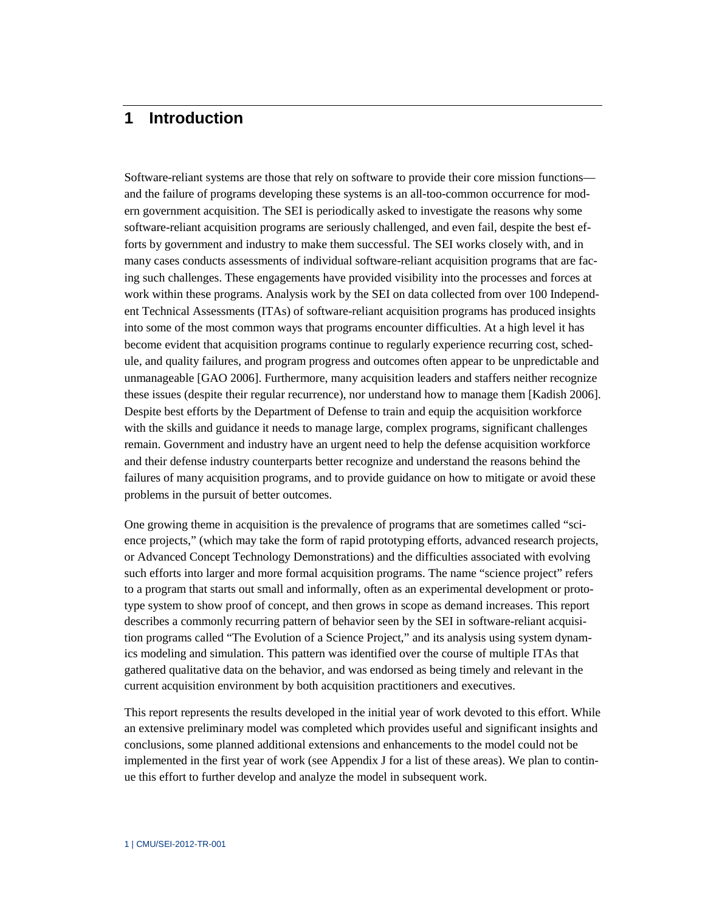### **1 Introduction**

Software-reliant systems are those that rely on software to provide their core mission functions and the failure of programs developing these systems is an all-too-common occurrence for modern government acquisition. The SEI is periodically asked to investigate the reasons why some software-reliant acquisition programs are seriously challenged, and even fail, despite the best efforts by government and industry to make them successful. The SEI works closely with, and in many cases conducts assessments of individual software-reliant acquisition programs that are facing such challenges. These engagements have provided visibility into the processes and forces at work within these programs. Analysis work by the SEI on data collected from over 100 Independent Technical Assessments (ITAs) of software-reliant acquisition programs has produced insights into some of the most common ways that programs encounter difficulties. At a high level it has become evident that acquisition programs continue to regularly experience recurring cost, schedule, and quality failures, and program progress and outcomes often appear to be unpredictable and unmanageable [GAO 2006]. Furthermore, many acquisition leaders and staffers neither recognize these issues (despite their regular recurrence), nor understand how to manage them [Kadish 2006]. Despite best efforts by the Department of Defense to train and equip the acquisition workforce with the skills and guidance it needs to manage large, complex programs, significant challenges remain. Government and industry have an urgent need to help the defense acquisition workforce and their defense industry counterparts better recognize and understand the reasons behind the failures of many acquisition programs, and to provide guidance on how to mitigate or avoid these problems in the pursuit of better outcomes.

One growing theme in acquisition is the prevalence of programs that are sometimes called "science projects," (which may take the form of rapid prototyping efforts, advanced research projects, or Advanced Concept Technology Demonstrations) and the difficulties associated with evolving such efforts into larger and more formal acquisition programs. The name "science project" refers to a program that starts out small and informally, often as an experimental development or prototype system to show proof of concept, and then grows in scope as demand increases. This report describes a commonly recurring pattern of behavior seen by the SEI in software-reliant acquisition programs called "The Evolution of a Science Project," and its analysis using system dynamics modeling and simulation. This pattern was identified over the course of multiple ITAs that gathered qualitative data on the behavior, and was endorsed as being timely and relevant in the current acquisition environment by both acquisition practitioners and executives.

This report represents the results developed in the initial year of work devoted to this effort. While an extensive preliminary model was completed which provides useful and significant insights and conclusions, some planned additional extensions and enhancements to the model could not be implemented in the first year of work (see Appendix J for a list of these areas). We plan to continue this effort to further develop and analyze the model in subsequent work.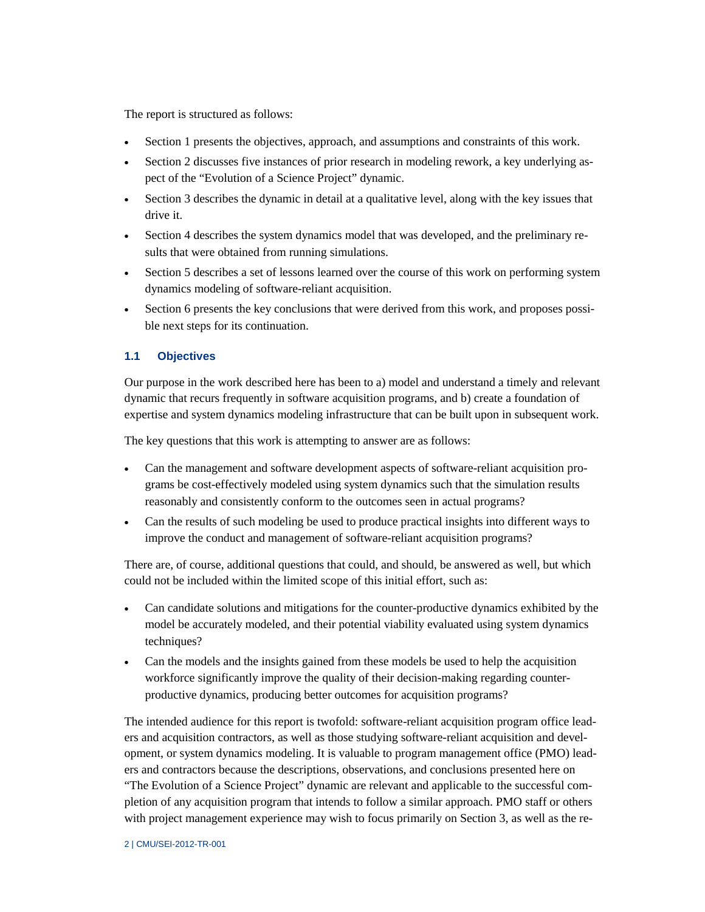The report is structured as follows:

- Section 1 presents the objectives, approach, and assumptions and constraints of this work.
- Section 2 discusses five instances of prior research in modeling rework, a key underlying aspect of the "Evolution of a Science Project" dynamic.
- Section 3 describes the dynamic in detail at a qualitative level, along with the key issues that drive it.
- Section 4 describes the system dynamics model that was developed, and the preliminary results that were obtained from running simulations.
- Section 5 describes a set of lessons learned over the course of this work on performing system dynamics modeling of software-reliant acquisition.
- Section 6 presents the key conclusions that were derived from this work, and proposes possible next steps for its continuation.

#### **1.1 Objectives**

Our purpose in the work described here has been to a) model and understand a timely and relevant dynamic that recurs frequently in software acquisition programs, and b) create a foundation of expertise and system dynamics modeling infrastructure that can be built upon in subsequent work.

The key questions that this work is attempting to answer are as follows:

- Can the management and software development aspects of software-reliant acquisition programs be cost-effectively modeled using system dynamics such that the simulation results reasonably and consistently conform to the outcomes seen in actual programs?
- Can the results of such modeling be used to produce practical insights into different ways to improve the conduct and management of software-reliant acquisition programs?

There are, of course, additional questions that could, and should, be answered as well, but which could not be included within the limited scope of this initial effort, such as:

- Can candidate solutions and mitigations for the counter-productive dynamics exhibited by the model be accurately modeled, and their potential viability evaluated using system dynamics techniques?
- Can the models and the insights gained from these models be used to help the acquisition workforce significantly improve the quality of their decision-making regarding counterproductive dynamics, producing better outcomes for acquisition programs?

The intended audience for this report is twofold: software-reliant acquisition program office leaders and acquisition contractors, as well as those studying software-reliant acquisition and development, or system dynamics modeling. It is valuable to program management office (PMO) leaders and contractors because the descriptions, observations, and conclusions presented here on "The Evolution of a Science Project" dynamic are relevant and applicable to the successful completion of any acquisition program that intends to follow a similar approach. PMO staff or others with project management experience may wish to focus primarily on Section 3, as well as the re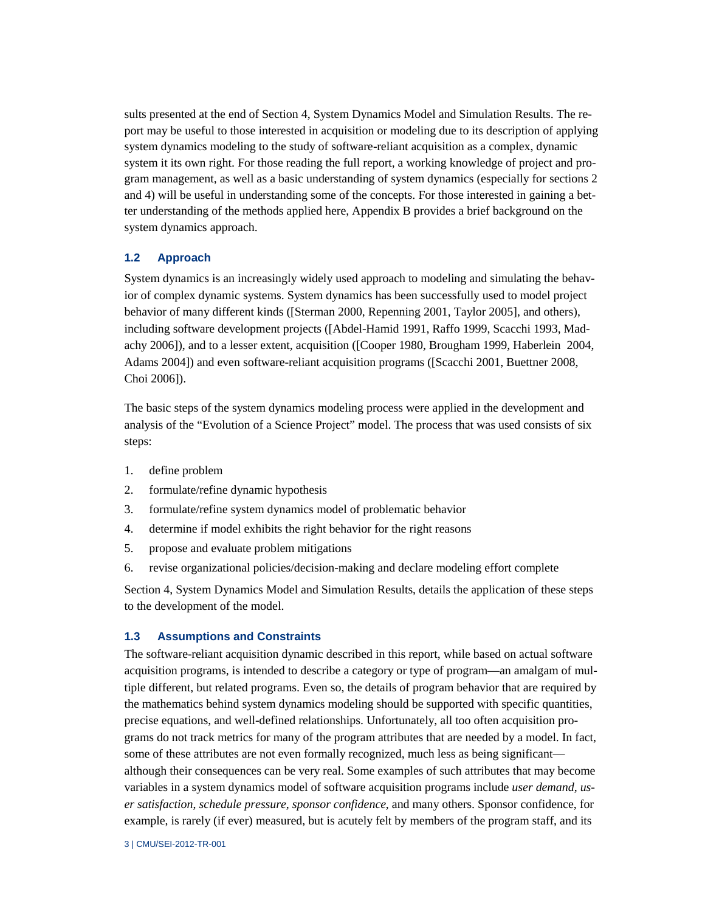sults presented at the end of Section 4, System Dynamics Model and Simulation Results. The report may be useful to those interested in acquisition or modeling due to its description of applying system dynamics modeling to the study of software-reliant acquisition as a complex, dynamic system it its own right. For those reading the full report, a working knowledge of project and program management, as well as a basic understanding of system dynamics (especially for sections 2 and 4) will be useful in understanding some of the concepts. For those interested in gaining a better understanding of the methods applied here, Appendix B provides a brief background on the system dynamics approach.

#### **1.2 Approach**

System dynamics is an increasingly widely used approach to modeling and simulating the behavior of complex dynamic systems. System dynamics has been successfully used to model project behavior of many different kinds ([Sterman 2000, Repenning 2001, Taylor 2005], and others), including software development projects ([Abdel-Hamid 1991, Raffo 1999, Scacchi 1993, Madachy 2006]), and to a lesser extent, acquisition ([Cooper 1980, Brougham 1999, Haberlein 2004, Adams 2004]) and even software-reliant acquisition programs ([Scacchi 2001, Buettner 2008, Choi 2006]).

The basic steps of the system dynamics modeling process were applied in the development and analysis of the "Evolution of a Science Project" model. The process that was used consists of six steps:

- 1. define problem
- 2. formulate/refine dynamic hypothesis
- 3. formulate/refine system dynamics model of problematic behavior
- 4. determine if model exhibits the right behavior for the right reasons
- 5. propose and evaluate problem mitigations
- 6. revise organizational policies/decision-making and declare modeling effort complete

Se*c*tion 4, System Dynamics Model and Simulation Results, details the application of these steps to the development of the model.

#### **1.3 Assumptions and Constraints**

The software-reliant acquisition dynamic described in this report, while based on actual software acquisition programs, is intended to describe a category or type of program—an amalgam of multiple different, but related programs. Even so, the details of program behavior that are required by the mathematics behind system dynamics modeling should be supported with specific quantities, precise equations, and well-defined relationships. Unfortunately, all too often acquisition programs do not track metrics for many of the program attributes that are needed by a model. In fact, some of these attributes are not even formally recognized, much less as being significant although their consequences can be very real. Some examples of such attributes that may become variables in a system dynamics model of software acquisition programs include *user demand*, *user satisfaction*, *schedule pressure*, *sponsor confidence*, and many others. Sponsor confidence, for example, is rarely (if ever) measured, but is acutely felt by members of the program staff, and its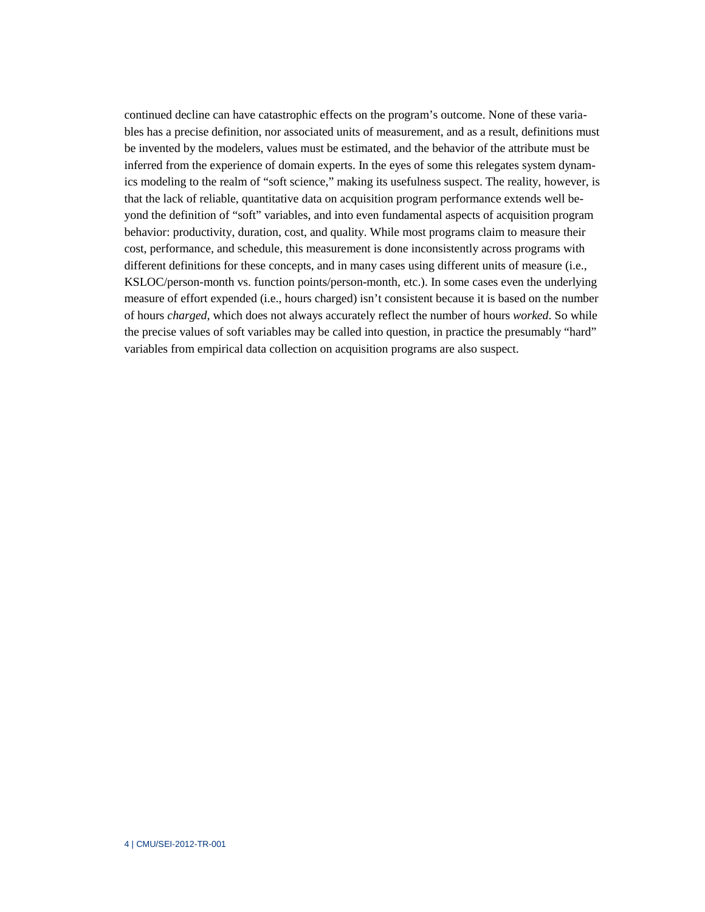continued decline can have catastrophic effects on the program's outcome. None of these variables has a precise definition, nor associated units of measurement, and as a result, definitions must be invented by the modelers, values must be estimated, and the behavior of the attribute must be inferred from the experience of domain experts. In the eyes of some this relegates system dynamics modeling to the realm of "soft science," making its usefulness suspect. The reality, however, is that the lack of reliable, quantitative data on acquisition program performance extends well beyond the definition of "soft" variables, and into even fundamental aspects of acquisition program behavior: productivity, duration, cost, and quality. While most programs claim to measure their cost, performance, and schedule, this measurement is done inconsistently across programs with different definitions for these concepts, and in many cases using different units of measure (i.e., KSLOC/person-month vs. function points/person-month, etc.). In some cases even the underlying measure of effort expended (i.e., hours charged) isn't consistent because it is based on the number of hours *charged*, which does not always accurately reflect the number of hours *worked*. So while the precise values of soft variables may be called into question, in practice the presumably "hard" variables from empirical data collection on acquisition programs are also suspect.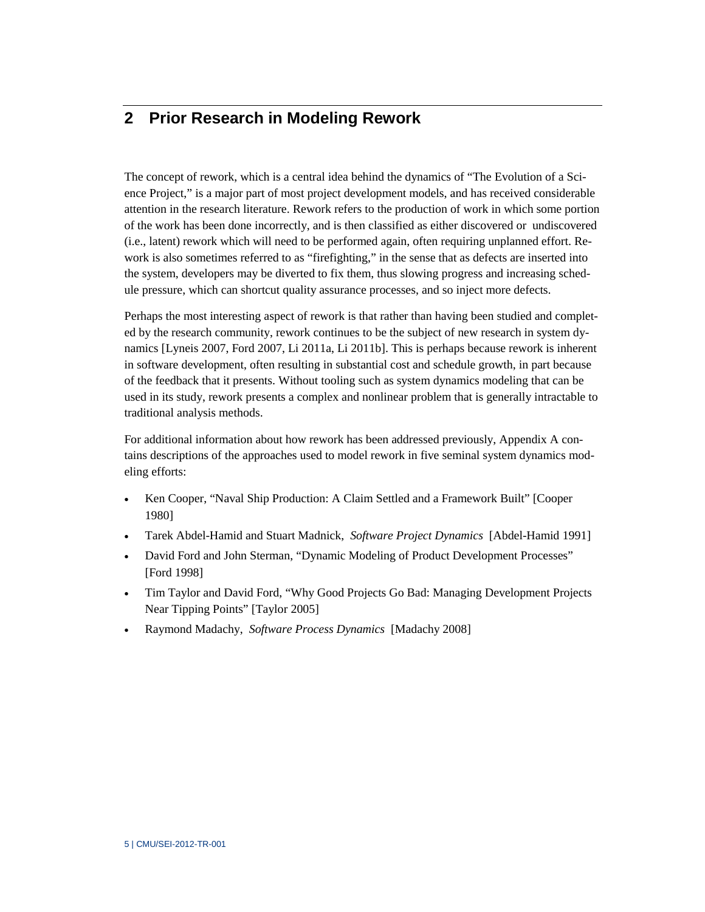### **2 Prior Research in Modeling Rework**

The concept of rework, which is a central idea behind the dynamics of "The Evolution of a Science Project," is a major part of most project development models, and has received considerable attention in the research literature. Rework refers to the production of work in which some portion of the work has been done incorrectly, and is then classified as either discovered or undiscovered (i.e., latent) rework which will need to be performed again, often requiring unplanned effort. Rework is also sometimes referred to as "firefighting," in the sense that as defects are inserted into the system, developers may be diverted to fix them, thus slowing progress and increasing schedule pressure, which can shortcut quality assurance processes, and so inject more defects.

Perhaps the most interesting aspect of rework is that rather than having been studied and completed by the research community, rework continues to be the subject of new research in system dynamics [Lyneis 2007, Ford 2007, Li 2011a, Li 2011b]. This is perhaps because rework is inherent in software development, often resulting in substantial cost and schedule growth, in part because of the feedback that it presents. Without tooling such as system dynamics modeling that can be used in its study, rework presents a complex and nonlinear problem that is generally intractable to traditional analysis methods.

For additional information about how rework has been addressed previously, Appendix A contains descriptions of the approaches used to model rework in five seminal system dynamics modeling efforts:

- Ken Cooper, "Naval Ship Production: A Claim Settled and a Framework Built" [Cooper 1980]
- Tarek Abdel-Hamid and Stuart Madnick, *Software Project Dynamics* [Abdel-Hamid 1991]
- David Ford and John Sterman, "Dynamic Modeling of Product Development Processes" [Ford 1998]
- Tim Taylor and David Ford, "Why Good Projects Go Bad: Managing Development Projects Near Tipping Points" [Taylor 2005]
- Raymond Madachy, *Software Process Dynamics* [Madachy 2008]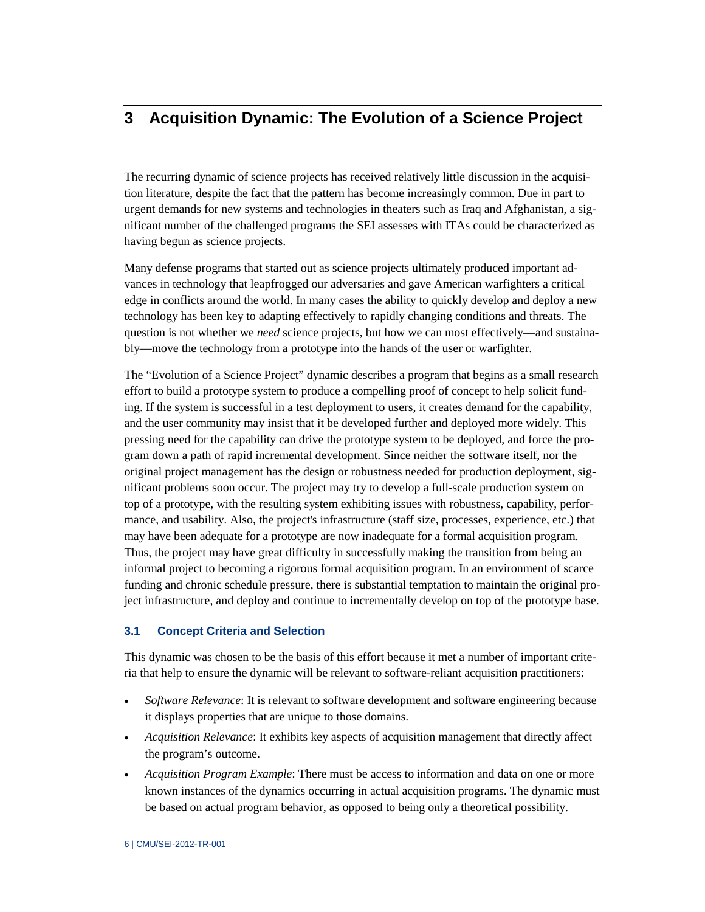## **3 Acquisition Dynamic: The Evolution of a Science Project**

The recurring dynamic of science projects has received relatively little discussion in the acquisition literature, despite the fact that the pattern has become increasingly common. Due in part to urgent demands for new systems and technologies in theaters such as Iraq and Afghanistan, a significant number of the challenged programs the SEI assesses with ITAs could be characterized as having begun as science projects.

Many defense programs that started out as science projects ultimately produced important advances in technology that leapfrogged our adversaries and gave American warfighters a critical edge in conflicts around the world. In many cases the ability to quickly develop and deploy a new technology has been key to adapting effectively to rapidly changing conditions and threats. The question is not whether we *need* science projects, but how we can most effectively—and sustainably—move the technology from a prototype into the hands of the user or warfighter.

The "Evolution of a Science Project" dynamic describes a program that begins as a small research effort to build a prototype system to produce a compelling proof of concept to help solicit funding. If the system is successful in a test deployment to users, it creates demand for the capability, and the user community may insist that it be developed further and deployed more widely. This pressing need for the capability can drive the prototype system to be deployed, and force the program down a path of rapid incremental development. Since neither the software itself, nor the original project management has the design or robustness needed for production deployment, significant problems soon occur. The project may try to develop a full-scale production system on top of a prototype, with the resulting system exhibiting issues with robustness, capability, performance, and usability. Also, the project's infrastructure (staff size, processes, experience, etc.) that may have been adequate for a prototype are now inadequate for a formal acquisition program. Thus, the project may have great difficulty in successfully making the transition from being an informal project to becoming a rigorous formal acquisition program. In an environment of scarce funding and chronic schedule pressure, there is substantial temptation to maintain the original project infrastructure, and deploy and continue to incrementally develop on top of the prototype base.

#### **3.1 Concept Criteria and Selection**

This dynamic was chosen to be the basis of this effort because it met a number of important criteria that help to ensure the dynamic will be relevant to software-reliant acquisition practitioners:

- *Software Relevance*: It is relevant to software development and software engineering because it displays properties that are unique to those domains.
- *Acquisition Relevance*: It exhibits key aspects of acquisition management that directly affect the program's outcome.
- *Acquisition Program Example*: There must be access to information and data on one or more known instances of the dynamics occurring in actual acquisition programs. The dynamic must be based on actual program behavior, as opposed to being only a theoretical possibility.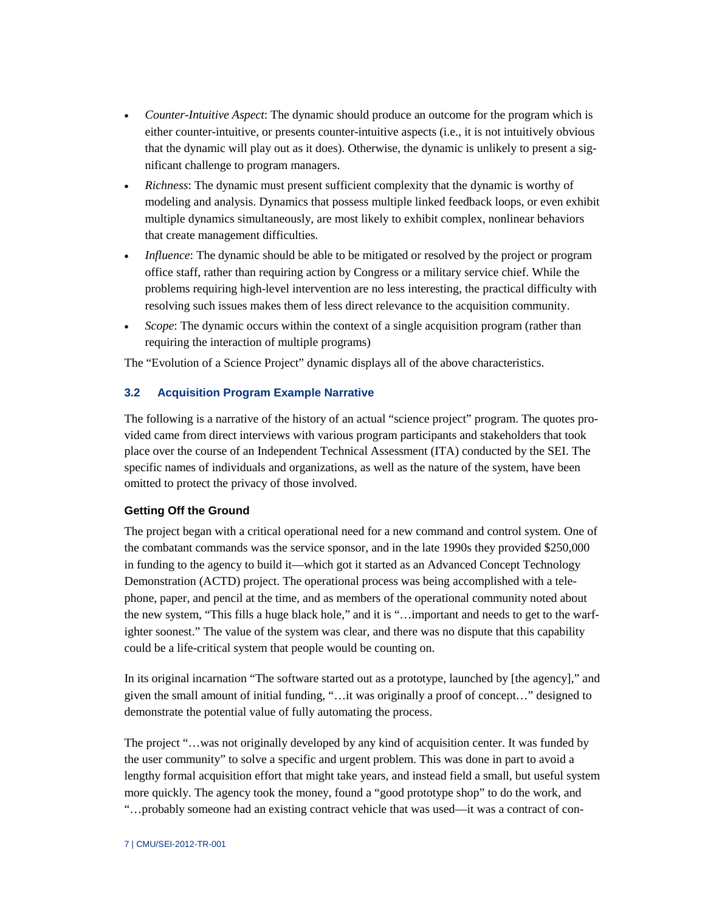- *Counter-Intuitive Aspect*: The dynamic should produce an outcome for the program which is either counter-intuitive, or presents counter-intuitive aspects (i.e., it is not intuitively obvious that the dynamic will play out as it does). Otherwise, the dynamic is unlikely to present a significant challenge to program managers.
- *Richness*: The dynamic must present sufficient complexity that the dynamic is worthy of modeling and analysis. Dynamics that possess multiple linked feedback loops, or even exhibit multiple dynamics simultaneously, are most likely to exhibit complex, nonlinear behaviors that create management difficulties.
- *Influence*: The dynamic should be able to be mitigated or resolved by the project or program office staff, rather than requiring action by Congress or a military service chief. While the problems requiring high-level intervention are no less interesting, the practical difficulty with resolving such issues makes them of less direct relevance to the acquisition community.
- *Scope*: The dynamic occurs within the context of a single acquisition program (rather than requiring the interaction of multiple programs)

The "Evolution of a Science Project" dynamic displays all of the above characteristics.

#### **3.2 Acquisition Program Example Narrative**

The following is a narrative of the history of an actual "science project" program. The quotes provided came from direct interviews with various program participants and stakeholders that took place over the course of an Independent Technical Assessment (ITA) conducted by the SEI. The specific names of individuals and organizations, as well as the nature of the system, have been omitted to protect the privacy of those involved.

#### **Getting Off the Ground**

The project began with a critical operational need for a new command and control system. One of the combatant commands was the service sponsor, and in the late 1990s they provided \$250,000 in funding to the agency to build it—which got it started as an Advanced Concept Technology Demonstration (ACTD) project. The operational process was being accomplished with a telephone, paper, and pencil at the time, and as members of the operational community noted about the new system, "This fills a huge black hole," and it is "…important and needs to get to the warfighter soonest." The value of the system was clear, and there was no dispute that this capability could be a life-critical system that people would be counting on.

In its original incarnation "The software started out as a prototype, launched by [the agency]," and given the small amount of initial funding, "…it was originally a proof of concept…" designed to demonstrate the potential value of fully automating the process.

The project "…was not originally developed by any kind of acquisition center. It was funded by the user community" to solve a specific and urgent problem. This was done in part to avoid a lengthy formal acquisition effort that might take years, and instead field a small, but useful system more quickly. The agency took the money, found a "good prototype shop" to do the work, and "…probably someone had an existing contract vehicle that was used—it was a contract of con-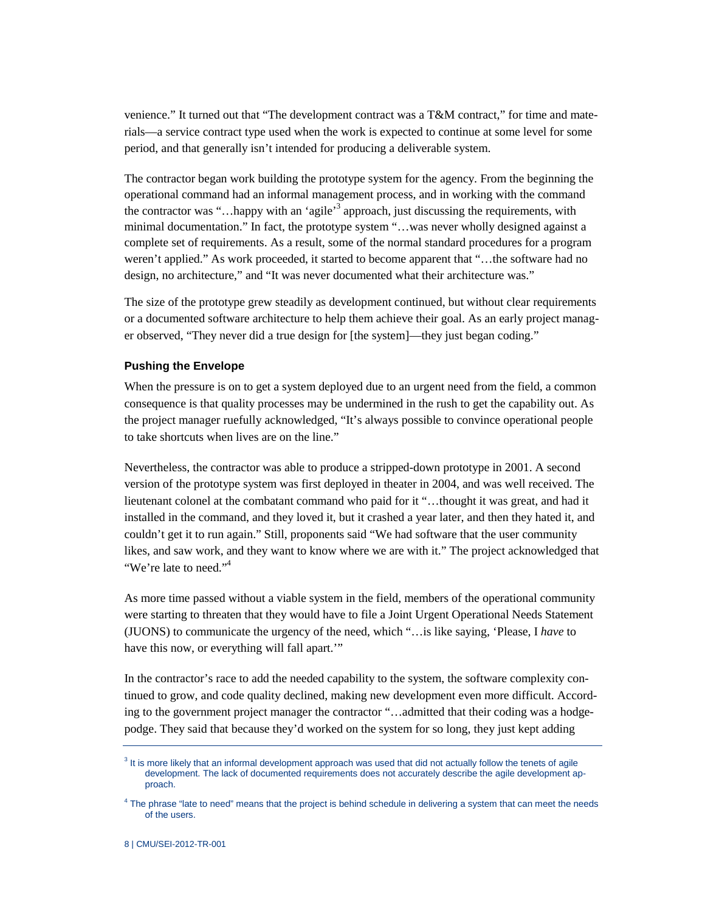venience." It turned out that "The development contract was a T&M contract," for time and materials—a service contract type used when the work is expected to continue at some level for some period, and that generally isn't intended for producing a deliverable system.

The contractor began work building the prototype system for the agency. From the beginning the operational command had an informal management process, and in working with the command the contractor was "...happy with an 'agile'<sup>3</sup> approach, just discussing the requirements, with minimal documentation." In fact, the prototype system "…was never wholly designed against a complete set of requirements. As a result, some of the normal standard procedures for a program weren't applied." As work proceeded, it started to become apparent that "…the software had no design, no architecture," and "It was never documented what their architecture was."

The size of the prototype grew steadily as development continued, but without clear requirements or a documented software architecture to help them achieve their goal. As an early project manager observed, "They never did a true design for [the system]—they just began coding."

#### **Pushing the Envelope**

When the pressure is on to get a system deployed due to an urgent need from the field, a common consequence is that quality processes may be undermined in the rush to get the capability out. As the project manager ruefully acknowledged, "It's always possible to convince operational people to take shortcuts when lives are on the line."

Nevertheless, the contractor was able to produce a stripped-down prototype in 2001. A second version of the prototype system was first deployed in theater in 2004, and was well received. The lieutenant colonel at the combatant command who paid for it "...thought it was great, and had it installed in the command, and they loved it, but it crashed a year later, and then they hated it, and couldn't get it to run again." Still, proponents said "We had software that the user community likes, and saw work, and they want to know where we are with it." The project acknowledged that "We're late to need."<sup>4</sup>

As more time passed without a viable system in the field, members of the operational community were starting to threaten that they would have to file a Joint Urgent Operational Needs Statement (JUONS) to communicate the urgency of the need, which "…is like saying, 'Please, I *have* to have this now, or everything will fall apart."

In the contractor's race to add the needed capability to the system, the software complexity continued to grow, and code quality declined, making new development even more difficult. According to the government project manager the contractor "…admitted that their coding was a hodgepodge. They said that because they'd worked on the system for so long, they just kept adding

<sup>&</sup>lt;sup>3</sup> It is more likely that an informal development approach was used that did not actually follow the tenets of agile development. The lack of documented requirements does not accurately describe the agile development approach.

<sup>&</sup>lt;sup>4</sup> The phrase "late to need" means that the project is behind schedule in delivering a system that can meet the needs of the users.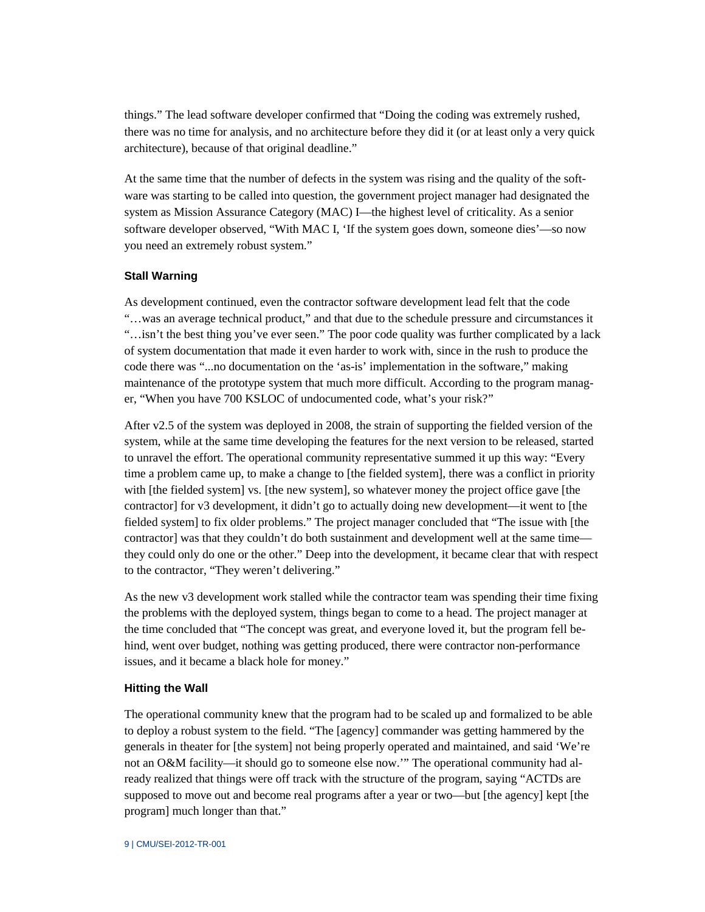things." The lead software developer confirmed that "Doing the coding was extremely rushed, there was no time for analysis, and no architecture before they did it (or at least only a very quick architecture), because of that original deadline."

At the same time that the number of defects in the system was rising and the quality of the software was starting to be called into question, the government project manager had designated the system as Mission Assurance Category (MAC) I—the highest level of criticality. As a senior software developer observed, "With MAC I, 'If the system goes down, someone dies'—so now you need an extremely robust system."

#### **Stall Warning**

As development continued, even the contractor software development lead felt that the code "…was an average technical product," and that due to the schedule pressure and circumstances it "…isn't the best thing you've ever seen." The poor code quality was further complicated by a lack of system documentation that made it even harder to work with, since in the rush to produce the code there was "...no documentation on the 'as-is' implementation in the software," making maintenance of the prototype system that much more difficult. According to the program manager, "When you have 700 KSLOC of undocumented code, what's your risk?"

After v2.5 of the system was deployed in 2008, the strain of supporting the fielded version of the system, while at the same time developing the features for the next version to be released, started to unravel the effort. The operational community representative summed it up this way: "Every time a problem came up, to make a change to [the fielded system], there was a conflict in priority with [the fielded system] vs. [the new system], so whatever money the project office gave [the contractor] for v3 development, it didn't go to actually doing new development—it went to [the fielded system] to fix older problems." The project manager concluded that "The issue with [the contractor] was that they couldn't do both sustainment and development well at the same time they could only do one or the other." Deep into the development, it became clear that with respect to the contractor, "They weren't delivering."

As the new v3 development work stalled while the contractor team was spending their time fixing the problems with the deployed system, things began to come to a head. The project manager at the time concluded that "The concept was great, and everyone loved it, but the program fell behind, went over budget, nothing was getting produced, there were contractor non-performance issues, and it became a black hole for money."

#### **Hitting the Wall**

The operational community knew that the program had to be scaled up and formalized to be able to deploy a robust system to the field. "The [agency] commander was getting hammered by the generals in theater for [the system] not being properly operated and maintained, and said 'We're not an O&M facility—it should go to someone else now.'" The operational community had already realized that things were off track with the structure of the program, saying "ACTDs are supposed to move out and become real programs after a year or two—but [the agency] kept [the program] much longer than that."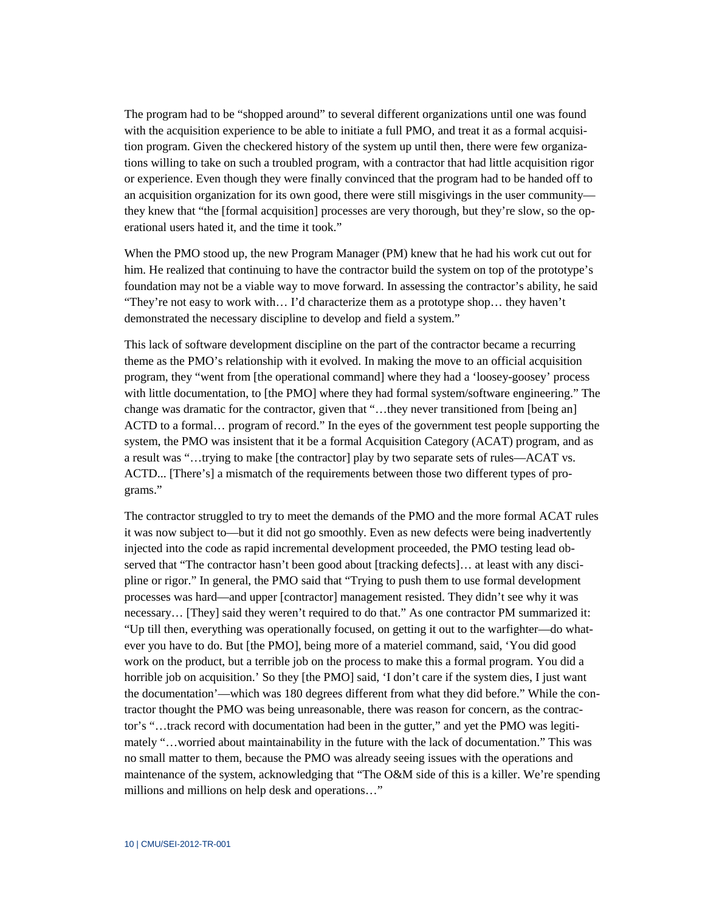The program had to be "shopped around" to several different organizations until one was found with the acquisition experience to be able to initiate a full PMO, and treat it as a formal acquisition program. Given the checkered history of the system up until then, there were few organizations willing to take on such a troubled program, with a contractor that had little acquisition rigor or experience. Even though they were finally convinced that the program had to be handed off to an acquisition organization for its own good, there were still misgivings in the user community they knew that "the [formal acquisition] processes are very thorough, but they're slow, so the operational users hated it, and the time it took."

When the PMO stood up, the new Program Manager (PM) knew that he had his work cut out for him. He realized that continuing to have the contractor build the system on top of the prototype's foundation may not be a viable way to move forward. In assessing the contractor's ability, he said "They're not easy to work with… I'd characterize them as a prototype shop… they haven't demonstrated the necessary discipline to develop and field a system."

This lack of software development discipline on the part of the contractor became a recurring theme as the PMO's relationship with it evolved. In making the move to an official acquisition program, they "went from [the operational command] where they had a 'loosey-goosey' process with little documentation, to [the PMO] where they had formal system/software engineering." The change was dramatic for the contractor, given that "…they never transitioned from [being an] ACTD to a formal… program of record." In the eyes of the government test people supporting the system, the PMO was insistent that it be a formal Acquisition Category (ACAT) program, and as a result was "…trying to make [the contractor] play by two separate sets of rules—ACAT vs. ACTD... [There's] a mismatch of the requirements between those two different types of programs."

The contractor struggled to try to meet the demands of the PMO and the more formal ACAT rules it was now subject to—but it did not go smoothly. Even as new defects were being inadvertently injected into the code as rapid incremental development proceeded, the PMO testing lead observed that "The contractor hasn't been good about [tracking defects]… at least with any discipline or rigor." In general, the PMO said that "Trying to push them to use formal development processes was hard—and upper [contractor] management resisted. They didn't see why it was necessary… [They] said they weren't required to do that." As one contractor PM summarized it: "Up till then, everything was operationally focused, on getting it out to the warfighter—do whatever you have to do. But [the PMO], being more of a materiel command, said, 'You did good work on the product, but a terrible job on the process to make this a formal program. You did a horrible job on acquisition.' So they [the PMO] said, 'I don't care if the system dies, I just want the documentation'—which was 180 degrees different from what they did before." While the contractor thought the PMO was being unreasonable, there was reason for concern, as the contractor's "…track record with documentation had been in the gutter," and yet the PMO was legitimately "…worried about maintainability in the future with the lack of documentation." This was no small matter to them, because the PMO was already seeing issues with the operations and maintenance of the system, acknowledging that "The O&M side of this is a killer. We're spending millions and millions on help desk and operations…"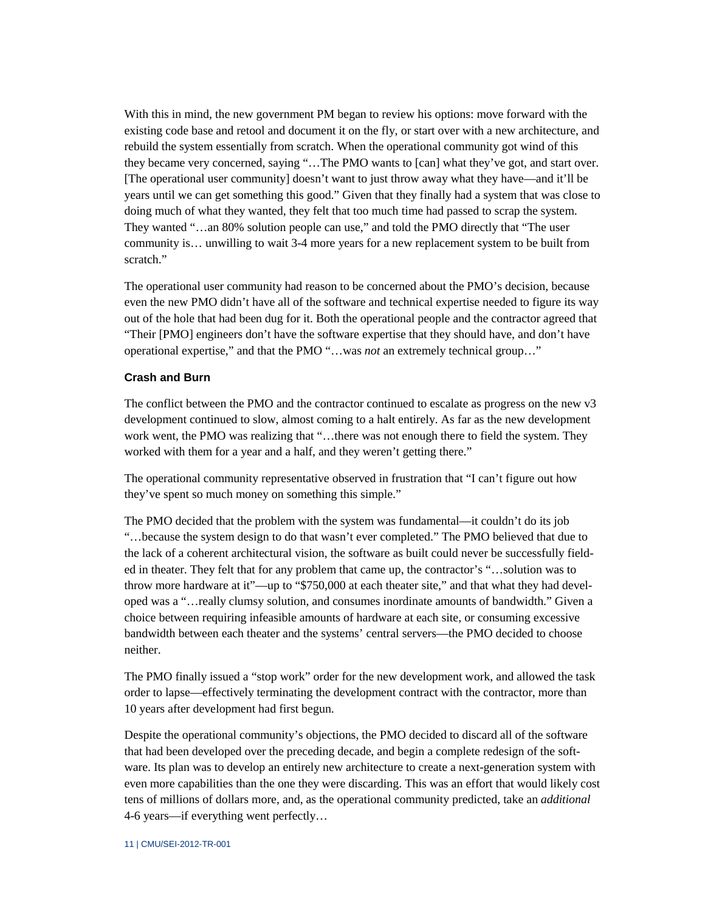With this in mind, the new government PM began to review his options: move forward with the existing code base and retool and document it on the fly, or start over with a new architecture, and rebuild the system essentially from scratch. When the operational community got wind of this they became very concerned, saying "…The PMO wants to [can] what they've got, and start over. [The operational user community] doesn't want to just throw away what they have—and it'll be years until we can get something this good." Given that they finally had a system that was close to doing much of what they wanted, they felt that too much time had passed to scrap the system. They wanted "…an 80% solution people can use," and told the PMO directly that "The user community is… unwilling to wait 3-4 more years for a new replacement system to be built from scratch."

The operational user community had reason to be concerned about the PMO's decision, because even the new PMO didn't have all of the software and technical expertise needed to figure its way out of the hole that had been dug for it. Both the operational people and the contractor agreed that "Their [PMO] engineers don't have the software expertise that they should have, and don't have operational expertise," and that the PMO "…was *not* an extremely technical group…"

#### **Crash and Burn**

The conflict between the PMO and the contractor continued to escalate as progress on the new v3 development continued to slow, almost coming to a halt entirely. As far as the new development work went, the PMO was realizing that "...there was not enough there to field the system. They worked with them for a year and a half, and they weren't getting there."

The operational community representative observed in frustration that "I can't figure out how they've spent so much money on something this simple."

The PMO decided that the problem with the system was fundamental—it couldn't do its job "…because the system design to do that wasn't ever completed." The PMO believed that due to the lack of a coherent architectural vision, the software as built could never be successfully fielded in theater. They felt that for any problem that came up, the contractor's "…solution was to throw more hardware at it"—up to "\$750,000 at each theater site," and that what they had developed was a "…really clumsy solution, and consumes inordinate amounts of bandwidth." Given a choice between requiring infeasible amounts of hardware at each site, or consuming excessive bandwidth between each theater and the systems' central servers—the PMO decided to choose neither.

The PMO finally issued a "stop work" order for the new development work, and allowed the task order to lapse—effectively terminating the development contract with the contractor, more than 10 years after development had first begun.

Despite the operational community's objections, the PMO decided to discard all of the software that had been developed over the preceding decade, and begin a complete redesign of the software. Its plan was to develop an entirely new architecture to create a next-generation system with even more capabilities than the one they were discarding. This was an effort that would likely cost tens of millions of dollars more, and, as the operational community predicted, take an *additional* 4-6 years—if everything went perfectly…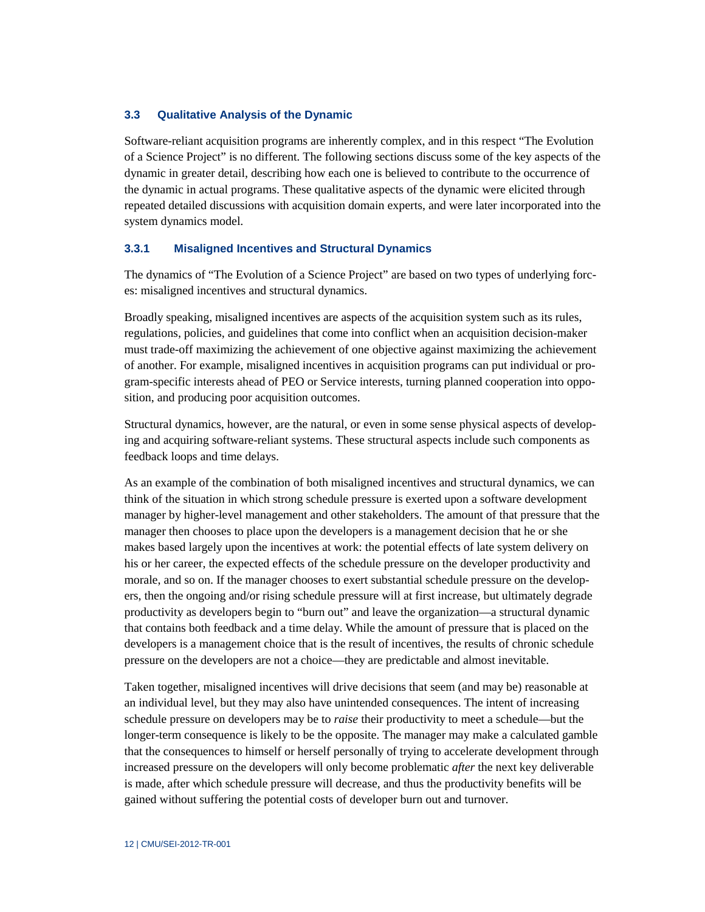#### **3.3 Qualitative Analysis of the Dynamic**

Software-reliant acquisition programs are inherently complex, and in this respect "The Evolution of a Science Project" is no different. The following sections discuss some of the key aspects of the dynamic in greater detail, describing how each one is believed to contribute to the occurrence of the dynamic in actual programs. These qualitative aspects of the dynamic were elicited through repeated detailed discussions with acquisition domain experts, and were later incorporated into the system dynamics model.

#### **3.3.1 Misaligned Incentives and Structural Dynamics**

The dynamics of "The Evolution of a Science Project" are based on two types of underlying forces: misaligned incentives and structural dynamics.

Broadly speaking, misaligned incentives are aspects of the acquisition system such as its rules, regulations, policies, and guidelines that come into conflict when an acquisition decision-maker must trade-off maximizing the achievement of one objective against maximizing the achievement of another. For example, misaligned incentives in acquisition programs can put individual or program-specific interests ahead of PEO or Service interests, turning planned cooperation into opposition, and producing poor acquisition outcomes.

Structural dynamics, however, are the natural, or even in some sense physical aspects of developing and acquiring software-reliant systems. These structural aspects include such components as feedback loops and time delays.

As an example of the combination of both misaligned incentives and structural dynamics, we can think of the situation in which strong schedule pressure is exerted upon a software development manager by higher-level management and other stakeholders. The amount of that pressure that the manager then chooses to place upon the developers is a management decision that he or she makes based largely upon the incentives at work: the potential effects of late system delivery on his or her career, the expected effects of the schedule pressure on the developer productivity and morale, and so on. If the manager chooses to exert substantial schedule pressure on the developers, then the ongoing and/or rising schedule pressure will at first increase, but ultimately degrade productivity as developers begin to "burn out" and leave the organization—a structural dynamic that contains both feedback and a time delay. While the amount of pressure that is placed on the developers is a management choice that is the result of incentives, the results of chronic schedule pressure on the developers are not a choice—they are predictable and almost inevitable.

Taken together, misaligned incentives will drive decisions that seem (and may be) reasonable at an individual level, but they may also have unintended consequences. The intent of increasing schedule pressure on developers may be to *raise* their productivity to meet a schedule—but the longer-term consequence is likely to be the opposite. The manager may make a calculated gamble that the consequences to himself or herself personally of trying to accelerate development through increased pressure on the developers will only become problematic *after* the next key deliverable is made, after which schedule pressure will decrease, and thus the productivity benefits will be gained without suffering the potential costs of developer burn out and turnover.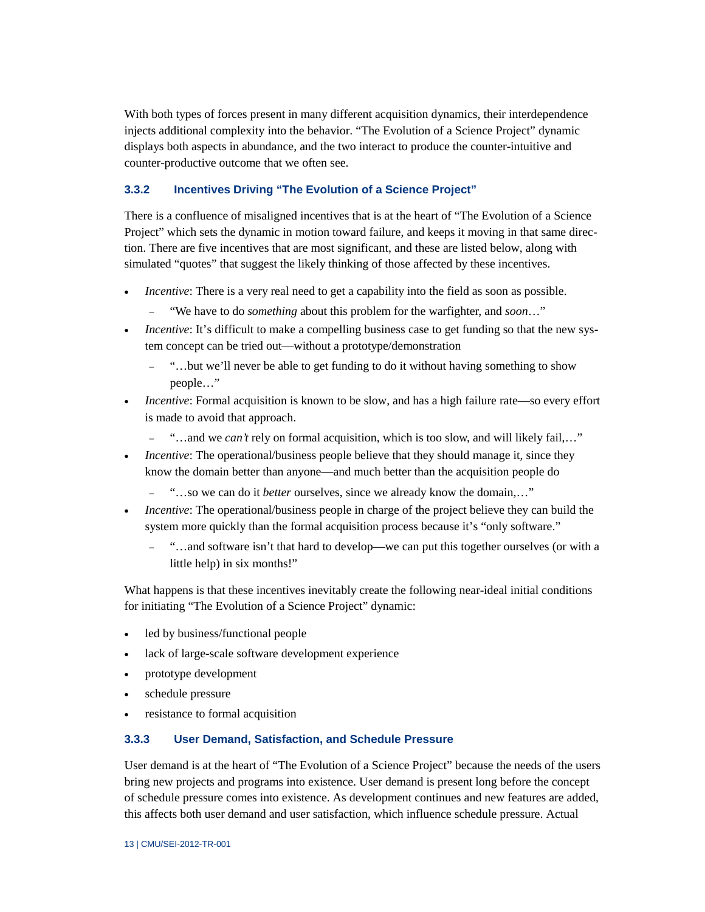With both types of forces present in many different acquisition dynamics, their interdependence injects additional complexity into the behavior. "The Evolution of a Science Project" dynamic displays both aspects in abundance, and the two interact to produce the counter-intuitive and counter-productive outcome that we often see.

#### **3.3.2 Incentives Driving "The Evolution of a Science Project"**

There is a confluence of misaligned incentives that is at the heart of "The Evolution of a Science Project" which sets the dynamic in motion toward failure, and keeps it moving in that same direction. There are five incentives that are most significant, and these are listed below, along with simulated "quotes" that suggest the likely thinking of those affected by these incentives.

- *Incentive*: There is a very real need to get a capability into the field as soon as possible.
	- − "We have to do *something* about this problem for the warfighter, and *soon*…"
- *Incentive*: It's difficult to make a compelling business case to get funding so that the new system concept can be tried out—without a prototype/demonstration
	- − "…but we'll never be able to get funding to do it without having something to show people…"
- *Incentive*: Formal acquisition is known to be slow, and has a high failure rate—so every effort is made to avoid that approach.
	- − "…and we *can't* rely on formal acquisition, which is too slow, and will likely fail,…"
- *Incentive*: The operational/business people believe that they should manage it, since they know the domain better than anyone—and much better than the acquisition people do
	- − "…so we can do it *better* ourselves, since we already know the domain,…"
- *Incentive*: The operational/business people in charge of the project believe they can build the system more quickly than the formal acquisition process because it's "only software."
	- − "…and software isn't that hard to develop—we can put this together ourselves (or with a little help) in six months!"

What happens is that these incentives inevitably create the following near-ideal initial conditions for initiating "The Evolution of a Science Project" dynamic:

- led by business/functional people
- lack of large-scale software development experience
- prototype development
- schedule pressure
- resistance to formal acquisition

#### **3.3.3 User Demand, Satisfaction, and Schedule Pressure**

User demand is at the heart of "The Evolution of a Science Project" because the needs of the users bring new projects and programs into existence. User demand is present long before the concept of schedule pressure comes into existence. As development continues and new features are added, this affects both user demand and user satisfaction, which influence schedule pressure. Actual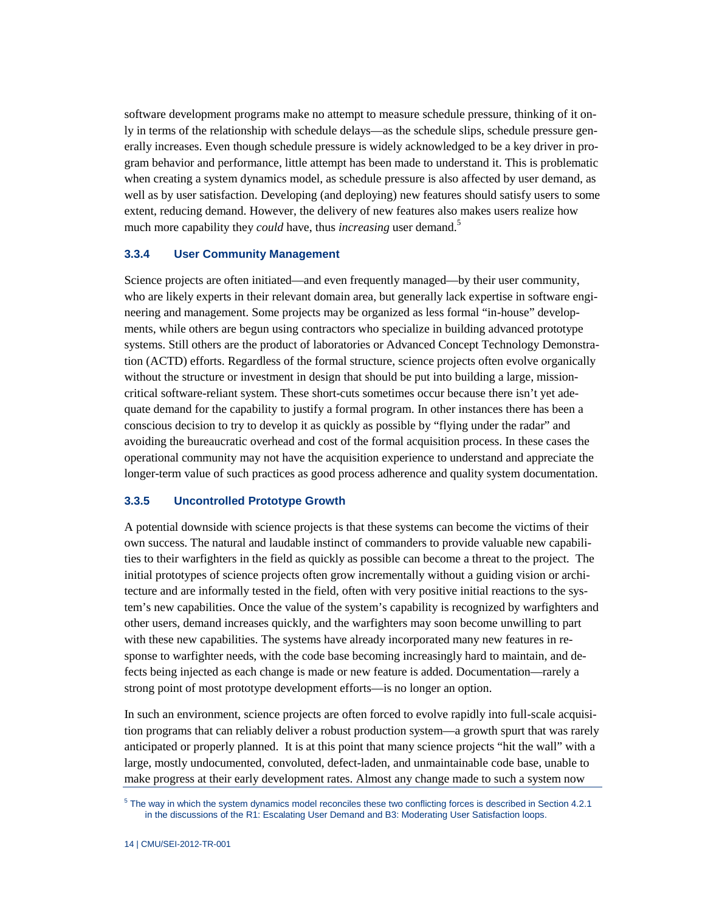software development programs make no attempt to measure schedule pressure, thinking of it only in terms of the relationship with schedule delays—as the schedule slips, schedule pressure generally increases. Even though schedule pressure is widely acknowledged to be a key driver in program behavior and performance, little attempt has been made to understand it. This is problematic when creating a system dynamics model, as schedule pressure is also affected by user demand, as well as by user satisfaction. Developing (and deploying) new features should satisfy users to some extent, reducing demand. However, the delivery of new features also makes users realize how much more capability they *could* have, thus *increasing* user demand.<sup>5</sup>

#### **3.3.4 User Community Management**

Science projects are often initiated—and even frequently managed—by their user community, who are likely experts in their relevant domain area, but generally lack expertise in software engineering and management. Some projects may be organized as less formal "in-house" developments, while others are begun using contractors who specialize in building advanced prototype systems. Still others are the product of laboratories or Advanced Concept Technology Demonstration (ACTD) efforts. Regardless of the formal structure, science projects often evolve organically without the structure or investment in design that should be put into building a large, missioncritical software-reliant system. These short-cuts sometimes occur because there isn't yet adequate demand for the capability to justify a formal program. In other instances there has been a conscious decision to try to develop it as quickly as possible by "flying under the radar" and avoiding the bureaucratic overhead and cost of the formal acquisition process. In these cases the operational community may not have the acquisition experience to understand and appreciate the longer-term value of such practices as good process adherence and quality system documentation.

#### **3.3.5 Uncontrolled Prototype Growth**

A potential downside with science projects is that these systems can become the victims of their own success. The natural and laudable instinct of commanders to provide valuable new capabilities to their warfighters in the field as quickly as possible can become a threat to the project. The initial prototypes of science projects often grow incrementally without a guiding vision or architecture and are informally tested in the field, often with very positive initial reactions to the system's new capabilities. Once the value of the system's capability is recognized by warfighters and other users, demand increases quickly, and the warfighters may soon become unwilling to part with these new capabilities. The systems have already incorporated many new features in response to warfighter needs, with the code base becoming increasingly hard to maintain, and defects being injected as each change is made or new feature is added. Documentation—rarely a strong point of most prototype development efforts—is no longer an option.

In such an environment, science projects are often forced to evolve rapidly into full-scale acquisition programs that can reliably deliver a robust production system—a growth spurt that was rarely anticipated or properly planned. It is at this point that many science projects "hit the wall" with a large, mostly undocumented, convoluted, defect-laden, and unmaintainable code base, unable to make progress at their early development rates. Almost any change made to such a system now

<sup>&</sup>lt;sup>5</sup> The way in which the system dynamics model reconciles these two conflicting forces is described in Section 4.2.1 in the discussions of the R1: Escalating User Demand and B3: Moderating User Satisfaction loops.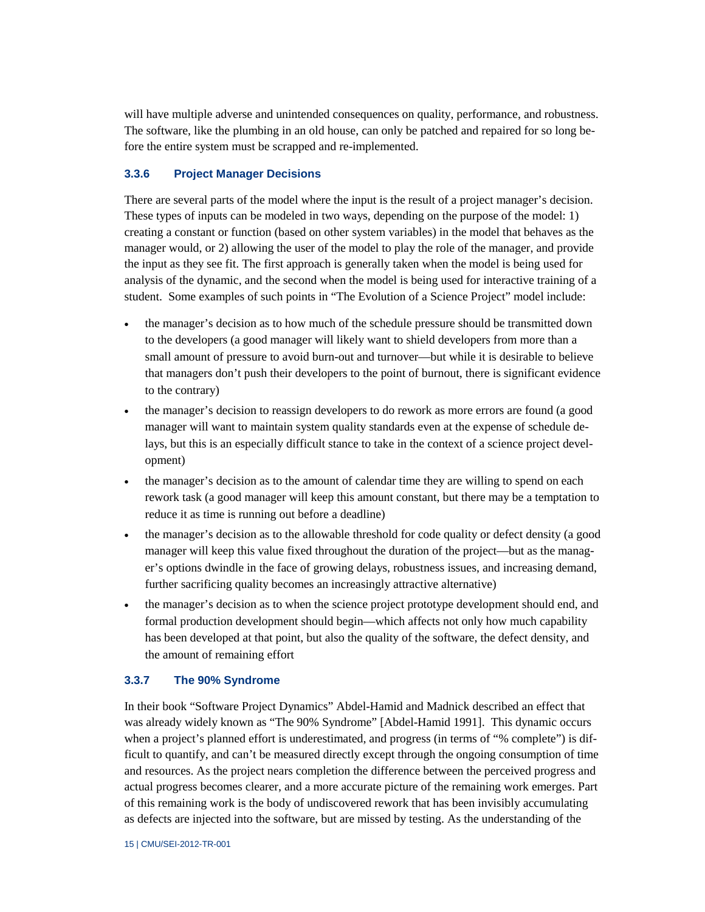will have multiple adverse and unintended consequences on quality, performance, and robustness. The software, like the plumbing in an old house, can only be patched and repaired for so long before the entire system must be scrapped and re-implemented.

#### **3.3.6 Project Manager Decisions**

There are several parts of the model where the input is the result of a project manager's decision. These types of inputs can be modeled in two ways, depending on the purpose of the model: 1) creating a constant or function (based on other system variables) in the model that behaves as the manager would, or 2) allowing the user of the model to play the role of the manager, and provide the input as they see fit. The first approach is generally taken when the model is being used for analysis of the dynamic, and the second when the model is being used for interactive training of a student. Some examples of such points in "The Evolution of a Science Project" model include:

- the manager's decision as to how much of the schedule pressure should be transmitted down to the developers (a good manager will likely want to shield developers from more than a small amount of pressure to avoid burn-out and turnover—but while it is desirable to believe that managers don't push their developers to the point of burnout, there is significant evidence to the contrary)
- the manager's decision to reassign developers to do rework as more errors are found (a good manager will want to maintain system quality standards even at the expense of schedule delays, but this is an especially difficult stance to take in the context of a science project development)
- the manager's decision as to the amount of calendar time they are willing to spend on each rework task (a good manager will keep this amount constant, but there may be a temptation to reduce it as time is running out before a deadline)
- the manager's decision as to the allowable threshold for code quality or defect density (a good manager will keep this value fixed throughout the duration of the project—but as the manager's options dwindle in the face of growing delays, robustness issues, and increasing demand, further sacrificing quality becomes an increasingly attractive alternative)
- the manager's decision as to when the science project prototype development should end, and formal production development should begin—which affects not only how much capability has been developed at that point, but also the quality of the software, the defect density, and the amount of remaining effort

#### **3.3.7 The 90% Syndrome**

In their book "Software Project Dynamics" Abdel-Hamid and Madnick described an effect that was already widely known as "The 90% Syndrome" [Abdel-Hamid 1991]. This dynamic occurs when a project's planned effort is underestimated, and progress (in terms of "% complete") is difficult to quantify, and can't be measured directly except through the ongoing consumption of time and resources. As the project nears completion the difference between the perceived progress and actual progress becomes clearer, and a more accurate picture of the remaining work emerges. Part of this remaining work is the body of undiscovered rework that has been invisibly accumulating as defects are injected into the software, but are missed by testing. As the understanding of the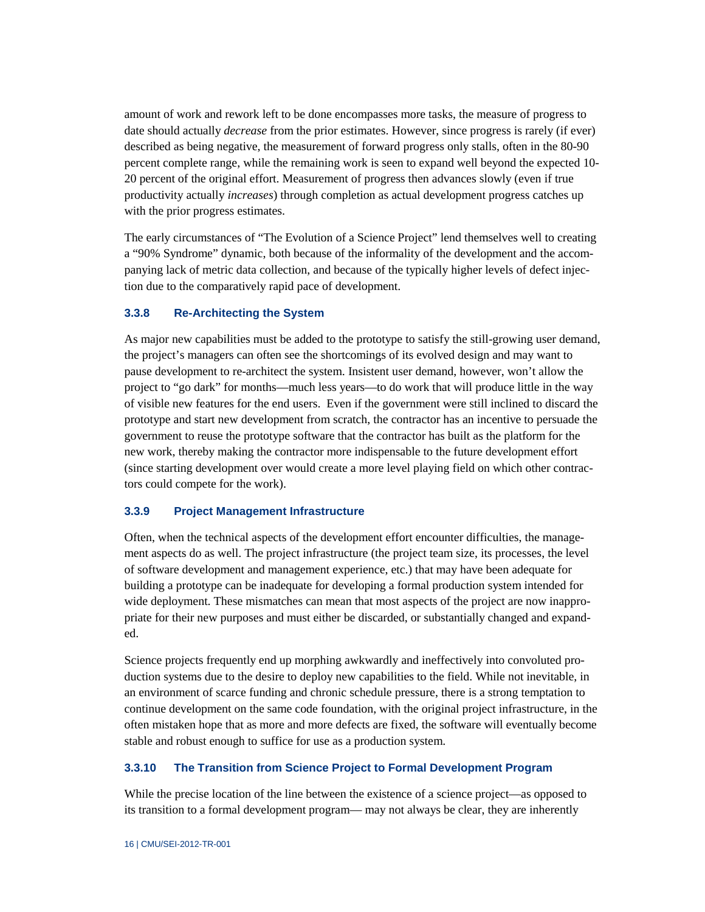amount of work and rework left to be done encompasses more tasks, the measure of progress to date should actually *decrease* from the prior estimates. However, since progress is rarely (if ever) described as being negative, the measurement of forward progress only stalls, often in the 80-90 percent complete range, while the remaining work is seen to expand well beyond the expected 10- 20 percent of the original effort. Measurement of progress then advances slowly (even if true productivity actually *increases*) through completion as actual development progress catches up with the prior progress estimates.

The early circumstances of "The Evolution of a Science Project" lend themselves well to creating a "90% Syndrome" dynamic, both because of the informality of the development and the accompanying lack of metric data collection, and because of the typically higher levels of defect injection due to the comparatively rapid pace of development.

#### **3.3.8 Re-Architecting the System**

As major new capabilities must be added to the prototype to satisfy the still-growing user demand, the project's managers can often see the shortcomings of its evolved design and may want to pause development to re-architect the system. Insistent user demand, however, won't allow the project to "go dark" for months—much less years—to do work that will produce little in the way of visible new features for the end users. Even if the government were still inclined to discard the prototype and start new development from scratch, the contractor has an incentive to persuade the government to reuse the prototype software that the contractor has built as the platform for the new work, thereby making the contractor more indispensable to the future development effort (since starting development over would create a more level playing field on which other contractors could compete for the work).

#### **3.3.9 Project Management Infrastructure**

Often, when the technical aspects of the development effort encounter difficulties, the management aspects do as well. The project infrastructure (the project team size, its processes, the level of software development and management experience, etc.) that may have been adequate for building a prototype can be inadequate for developing a formal production system intended for wide deployment. These mismatches can mean that most aspects of the project are now inappropriate for their new purposes and must either be discarded, or substantially changed and expanded.

Science projects frequently end up morphing awkwardly and ineffectively into convoluted production systems due to the desire to deploy new capabilities to the field. While not inevitable, in an environment of scarce funding and chronic schedule pressure, there is a strong temptation to continue development on the same code foundation, with the original project infrastructure, in the often mistaken hope that as more and more defects are fixed, the software will eventually become stable and robust enough to suffice for use as a production system.

#### **3.3.10 The Transition from Science Project to Formal Development Program**

While the precise location of the line between the existence of a science project—as opposed to its transition to a formal development program— may not always be clear, they are inherently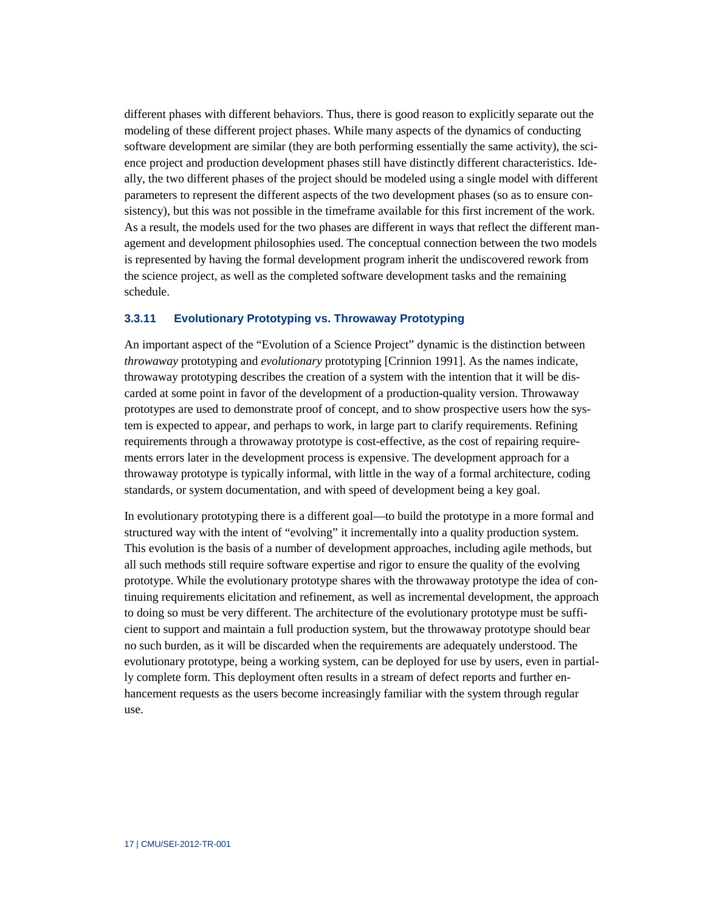different phases with different behaviors. Thus, there is good reason to explicitly separate out the modeling of these different project phases. While many aspects of the dynamics of conducting software development are similar (they are both performing essentially the same activity), the science project and production development phases still have distinctly different characteristics. Ideally, the two different phases of the project should be modeled using a single model with different parameters to represent the different aspects of the two development phases (so as to ensure consistency), but this was not possible in the timeframe available for this first increment of the work. As a result, the models used for the two phases are different in ways that reflect the different management and development philosophies used. The conceptual connection between the two models is represented by having the formal development program inherit the undiscovered rework from the science project, as well as the completed software development tasks and the remaining schedule.

#### **3.3.11 Evolutionary Prototyping vs. Throwaway Prototyping**

An important aspect of the "Evolution of a Science Project" dynamic is the distinction between *throwaway* prototyping and *evolutionary* prototyping [Crinnion 1991]. As the names indicate, throwaway prototyping describes the creation of a system with the intention that it will be discarded at some point in favor of the development of a production-quality version. Throwaway prototypes are used to demonstrate proof of concept, and to show prospective users how the system is expected to appear, and perhaps to work, in large part to clarify requirements. Refining requirements through a throwaway prototype is cost-effective, as the cost of repairing requirements errors later in the development process is expensive. The development approach for a throwaway prototype is typically informal, with little in the way of a formal architecture, coding standards, or system documentation, and with speed of development being a key goal.

In evolutionary prototyping there is a different goal—to build the prototype in a more formal and structured way with the intent of "evolving" it incrementally into a quality production system. This evolution is the basis of a number of development approaches, including agile methods, but all such methods still require software expertise and rigor to ensure the quality of the evolving prototype. While the evolutionary prototype shares with the throwaway prototype the idea of continuing requirements elicitation and refinement, as well as incremental development, the approach to doing so must be very different. The architecture of the evolutionary prototype must be sufficient to support and maintain a full production system, but the throwaway prototype should bear no such burden, as it will be discarded when the requirements are adequately understood. The evolutionary prototype, being a working system, can be deployed for use by users, even in partially complete form. This deployment often results in a stream of defect reports and further enhancement requests as the users become increasingly familiar with the system through regular use.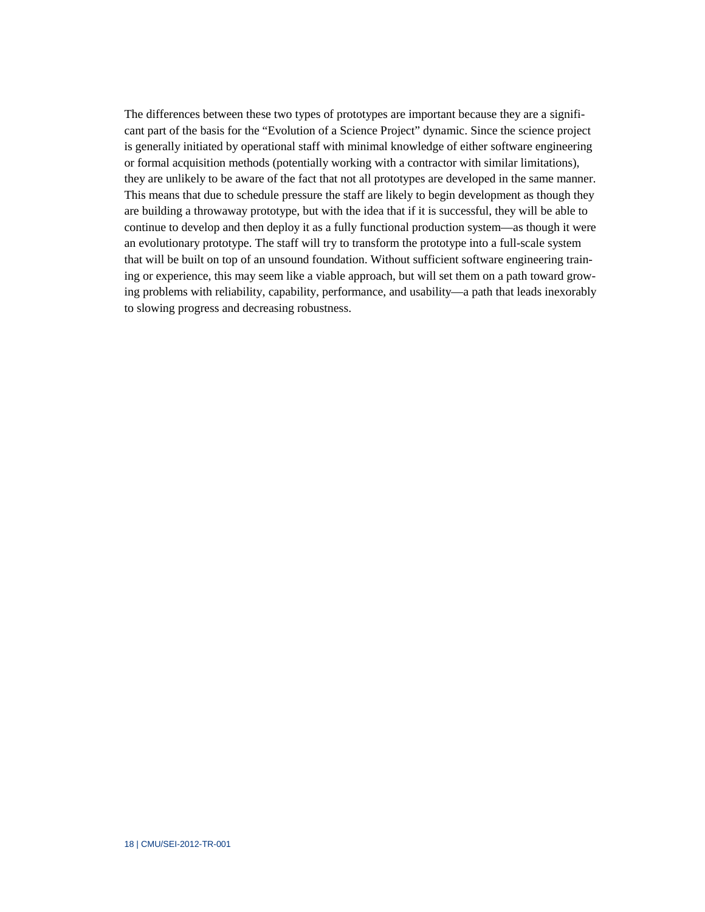The differences between these two types of prototypes are important because they are a significant part of the basis for the "Evolution of a Science Project" dynamic. Since the science project is generally initiated by operational staff with minimal knowledge of either software engineering or formal acquisition methods (potentially working with a contractor with similar limitations), they are unlikely to be aware of the fact that not all prototypes are developed in the same manner. This means that due to schedule pressure the staff are likely to begin development as though they are building a throwaway prototype, but with the idea that if it is successful, they will be able to continue to develop and then deploy it as a fully functional production system—as though it were an evolutionary prototype. The staff will try to transform the prototype into a full-scale system that will be built on top of an unsound foundation. Without sufficient software engineering training or experience, this may seem like a viable approach, but will set them on a path toward growing problems with reliability, capability, performance, and usability—a path that leads inexorably to slowing progress and decreasing robustness.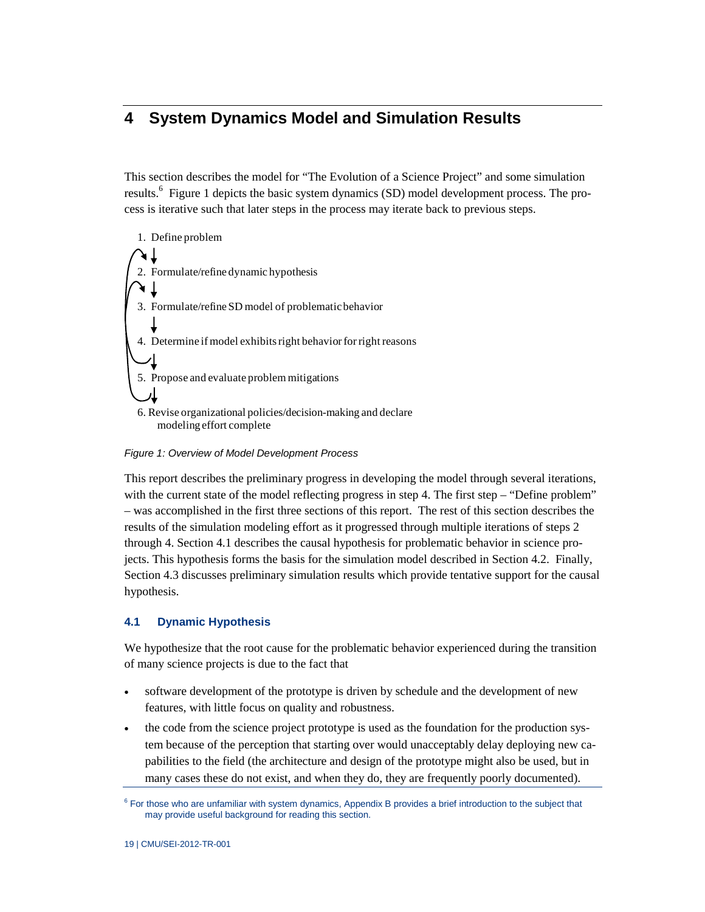## **4 System Dynamics Model and Simulation Results**

This section describes the model for "The Evolution of a Science Project" and some simulation results.<sup>6</sup> Figure 1 depicts the basic system dynamics (SD) model development process. The process is iterative such that later steps in the process may iterate back to previous steps.



*Figure 1: Overview of Model Development Process* 

This report describes the preliminary progress in developing the model through several iterations, with the current state of the model reflecting progress in step 4. The first step – "Define problem" – was accomplished in the first three sections of this report. The rest of this section describes the results of the simulation modeling effort as it progressed through multiple iterations of steps 2 through 4. Section 4.1 describes the causal hypothesis for problematic behavior in science projects. This hypothesis forms the basis for the simulation model described in Section 4.2. Finally, Section 4.3 discusses preliminary simulation results which provide tentative support for the causal hypothesis.

#### **4.1 Dynamic Hypothesis**

We hypothesize that the root cause for the problematic behavior experienced during the transition of many science projects is due to the fact that

- software development of the prototype is driven by schedule and the development of new features, with little focus on quality and robustness.
- the code from the science project prototype is used as the foundation for the production system because of the perception that starting over would unacceptably delay deploying new capabilities to the field (the architecture and design of the prototype might also be used, but in many cases these do not exist, and when they do, they are frequently poorly documented).

<sup>&</sup>lt;sup>6</sup> For those who are unfamiliar with system dynamics, Appendix B provides a brief introduction to the subject that may provide useful background for reading this section.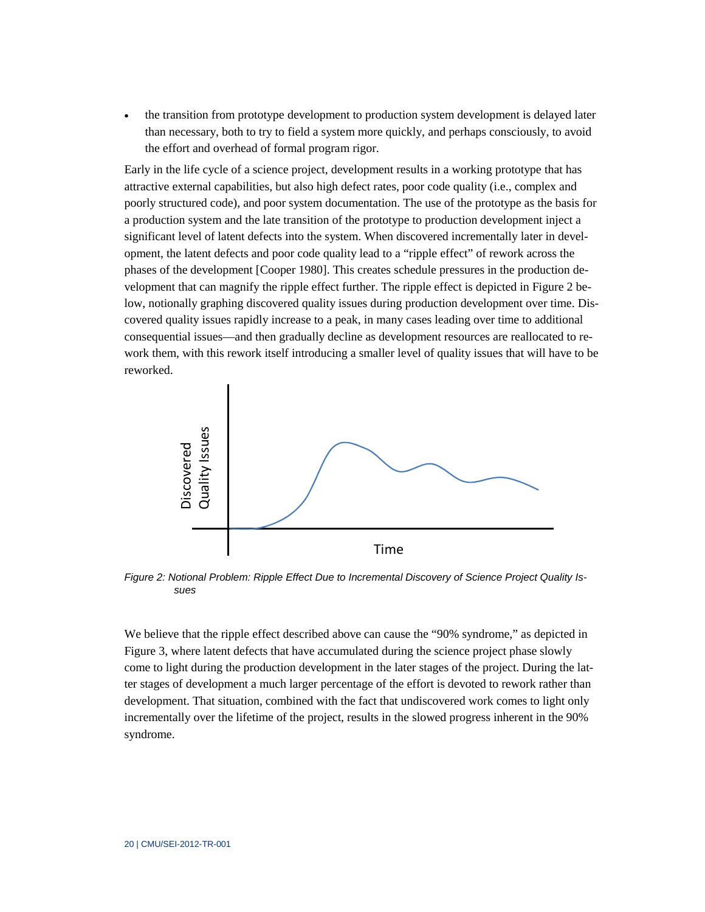• the transition from prototype development to production system development is delayed later than necessary, both to try to field a system more quickly, and perhaps consciously, to avoid the effort and overhead of formal program rigor.

Early in the life cycle of a science project, development results in a working prototype that has attractive external capabilities, but also high defect rates, poor code quality (i.e., complex and poorly structured code), and poor system documentation. The use of the prototype as the basis for a production system and the late transition of the prototype to production development inject a significant level of latent defects into the system. When discovered incrementally later in development, the latent defects and poor code quality lead to a "ripple effect" of rework across the phases of the development [Cooper 1980]. This creates schedule pressures in the production development that can magnify the ripple effect further. The ripple effect is depicted in Figure 2 below, notionally graphing discovered quality issues during production development over time. Discovered quality issues rapidly increase to a peak, in many cases leading over time to additional consequential issues—and then gradually decline as development resources are reallocated to rework them, with this rework itself introducing a smaller level of quality issues that will have to be reworked.



*Figure 2: Notional Problem: Ripple Effect Due to Incremental Discovery of Science Project Quality Issues* 

We believe that the ripple effect described above can cause the "90% syndrome," as depicted in Figure 3, where latent defects that have accumulated during the science project phase slowly come to light during the production development in the later stages of the project. During the latter stages of development a much larger percentage of the effort is devoted to rework rather than development. That situation, combined with the fact that undiscovered work comes to light only incrementally over the lifetime of the project, results in the slowed progress inherent in the 90% syndrome.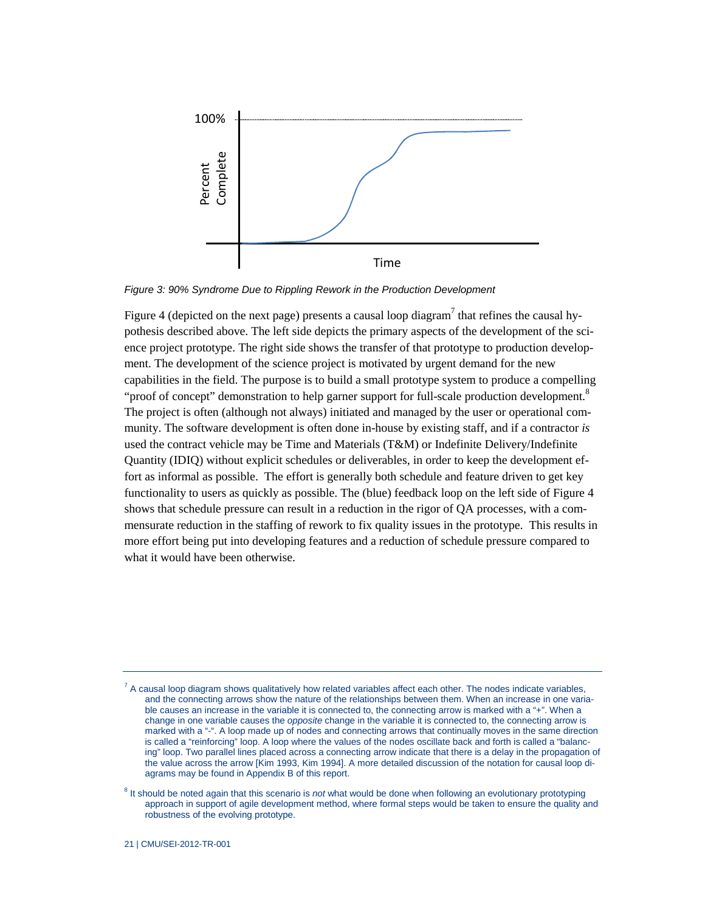

*Figure 3: 90% Syndrome Due to Rippling Rework in the Production Development* 

Figure 4 (depicted on the next page) presents a causal loop diagram<sup>7</sup> that refines the causal hypothesis described above. The left side depicts the primary aspects of the development of the science project prototype. The right side shows the transfer of that prototype to production development. The development of the science project is motivated by urgent demand for the new capabilities in the field. The purpose is to build a small prototype system to produce a compelling "proof of concept" demonstration to help garner support for full-scale production development.<sup>8</sup> The project is often (although not always) initiated and managed by the user or operational community. The software development is often done in-house by existing staff, and if a contractor *is* used the contract vehicle may be Time and Materials (T&M) or Indefinite Delivery/Indefinite Quantity (IDIQ) without explicit schedules or deliverables, in order to keep the development effort as informal as possible. The effort is generally both schedule and feature driven to get key functionality to users as quickly as possible. The (blue) feedback loop on the left side of Figure 4 shows that schedule pressure can result in a reduction in the rigor of QA processes, with a commensurate reduction in the staffing of rework to fix quality issues in the prototype. This results in more effort being put into developing features and a reduction of schedule pressure compared to what it would have been otherwise. **Example 12**<br> **Example 12**<br> **Example 12**<br> **Example 12**<br> **Example 12**<br> **Example 12**<br> **Example 23**<br> **Example 24**<br> **Example 25**<br> **Example 25**<br> **Example 26**<br> **Example 26**<br> **Example 26**<br> **Example 26**<br> **Example 26**<br> **Example 26** 

 $^7$  A causal loop diagram shows qualitatively how related variables affect each other. The nodes indicate variables, and the connecting arrows show the nature of the relationships between them. When an increase in one variable causes an increase in the variable it is connected to, the connecting arrow is marked with a "+". When a change in one variable causes the *opposite* change in the variable it is connected to, the connecting arrow is marked with a "-". A loop made up of nodes and connecting arrows that continually moves in the same direction is called a "reinforcing" loop. A loop where the values of the nodes oscillate back and forth is called a "balancing" loop. Two parallel lines placed across a connecting arrow indicate that there is a delay in the propagation of the value across the arrow [Kim 1993, Kim 1994]. A more detailed discussion of the notation for causal loop diagrams may be found in Appendix B of this report.

<sup>&</sup>lt;sup>8</sup> It should be noted again that this scenario is *not* what would be done when following an evolutionary prototyping approach in support of agile development method, where formal steps would be taken to ensure the quality and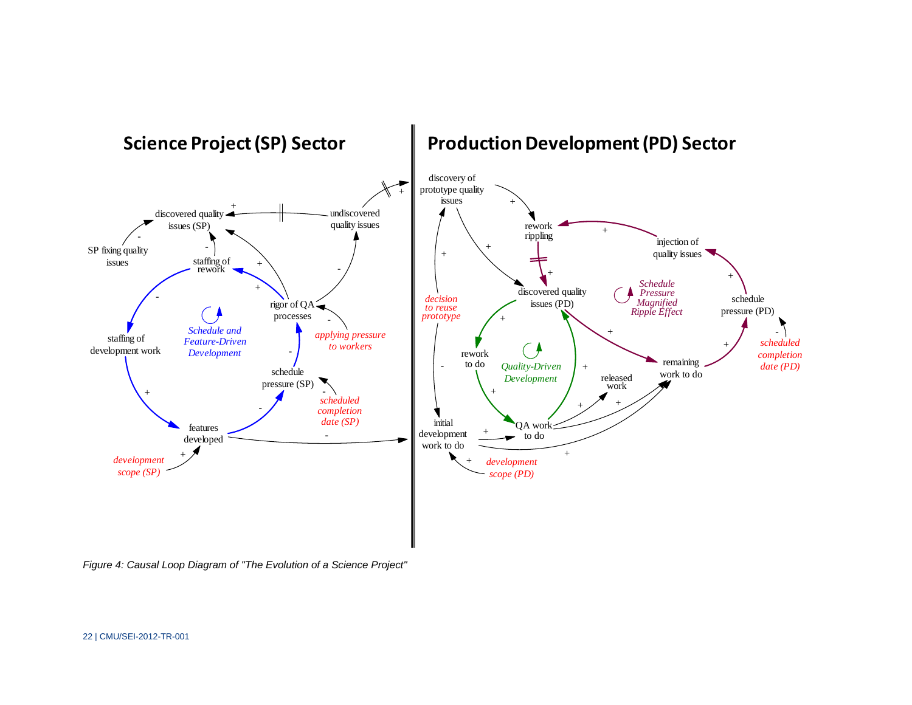

*Figure 4: Causal Loop Diagram of "The Evolution of a Science Project"*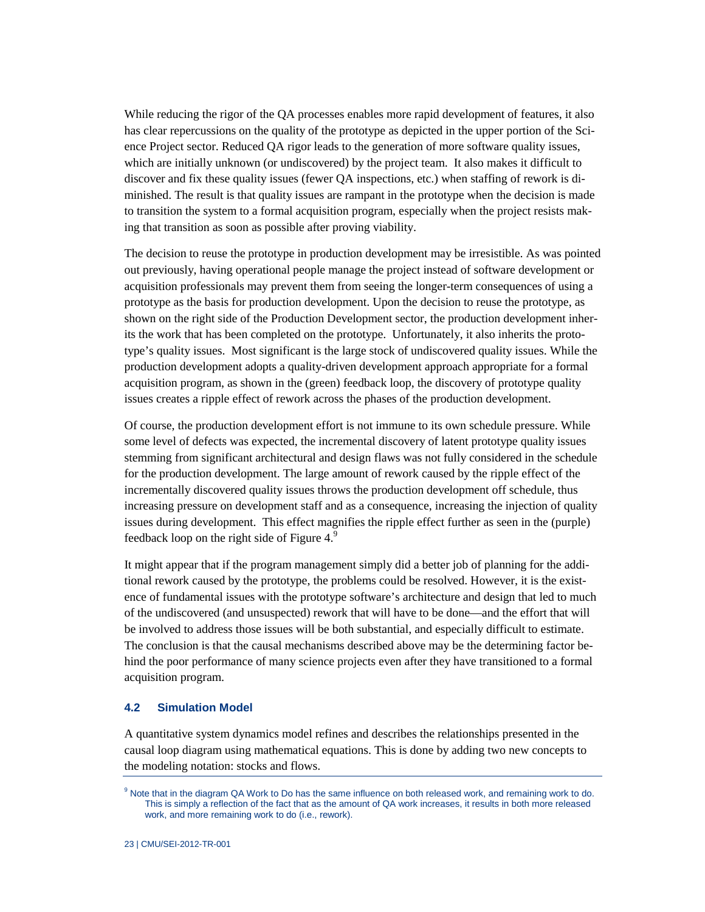While reducing the rigor of the QA processes enables more rapid development of features, it also has clear repercussions on the quality of the prototype as depicted in the upper portion of the Science Project sector. Reduced QA rigor leads to the generation of more software quality issues, which are initially unknown (or undiscovered) by the project team. It also makes it difficult to discover and fix these quality issues (fewer QA inspections, etc.) when staffing of rework is diminished. The result is that quality issues are rampant in the prototype when the decision is made to transition the system to a formal acquisition program, especially when the project resists making that transition as soon as possible after proving viability.

The decision to reuse the prototype in production development may be irresistible. As was pointed out previously, having operational people manage the project instead of software development or acquisition professionals may prevent them from seeing the longer-term consequences of using a prototype as the basis for production development. Upon the decision to reuse the prototype, as shown on the right side of the Production Development sector, the production development inherits the work that has been completed on the prototype. Unfortunately, it also inherits the prototype's quality issues. Most significant is the large stock of undiscovered quality issues. While the production development adopts a quality-driven development approach appropriate for a formal acquisition program, as shown in the (green) feedback loop, the discovery of prototype quality issues creates a ripple effect of rework across the phases of the production development.

Of course, the production development effort is not immune to its own schedule pressure. While some level of defects was expected, the incremental discovery of latent prototype quality issues stemming from significant architectural and design flaws was not fully considered in the schedule for the production development. The large amount of rework caused by the ripple effect of the incrementally discovered quality issues throws the production development off schedule, thus increasing pressure on development staff and as a consequence, increasing the injection of quality issues during development. This effect magnifies the ripple effect further as seen in the (purple) feedback loop on the right side of Figure  $4<sup>9</sup>$ .

It might appear that if the program management simply did a better job of planning for the additional rework caused by the prototype, the problems could be resolved. However, it is the existence of fundamental issues with the prototype software's architecture and design that led to much of the undiscovered (and unsuspected) rework that will have to be done—and the effort that will be involved to address those issues will be both substantial, and especially difficult to estimate. The conclusion is that the causal mechanisms described above may be the determining factor behind the poor performance of many science projects even after they have transitioned to a formal acquisition program.

#### **4.2 Simulation Model**

A quantitative system dynamics model refines and describes the relationships presented in the causal loop diagram using mathematical equations. This is done by adding two new concepts to the modeling notation: stocks and flows.

<sup>&</sup>lt;sup>9</sup> Note that in the diagram QA Work to Do has the same influence on both released work, and remaining work to do. This is simply a reflection of the fact that as the amount of QA work increases, it results in both more released work, and more remaining work to do (i.e., rework).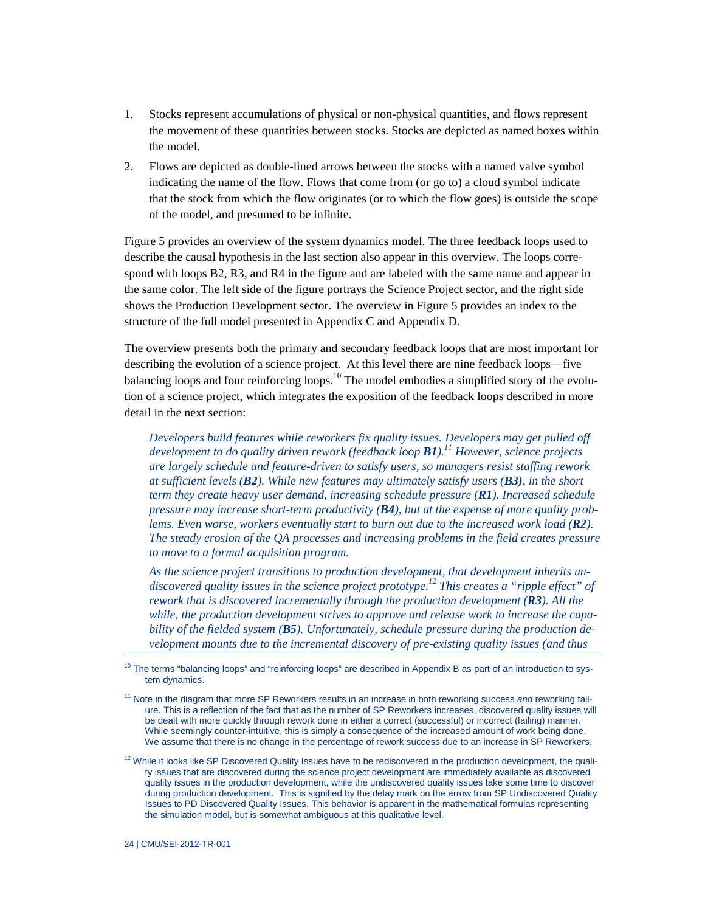- 1. Stocks represent accumulations of physical or non-physical quantities, and flows represent the movement of these quantities between stocks. Stocks are depicted as named boxes within the model.
- 2. Flows are depicted as double-lined arrows between the stocks with a named valve symbol indicating the name of the flow. Flows that come from (or go to) a cloud symbol indicate that the stock from which the flow originates (or to which the flow goes) is outside the scope of the model, and presumed to be infinite.

Figure 5 provides an overview of the system dynamics model. The three feedback loops used to describe the causal hypothesis in the last section also appear in this overview. The loops correspond with loops B2, R3, and R4 in the figure and are labeled with the same name and appear in the same color. The left side of the figure portrays the Science Project sector, and the right side shows the Production Development sector. The overview in Figure 5 provides an index to the structure of the full model presented in Appendix C and Appendix D.

The overview presents both the primary and secondary feedback loops that are most important for describing the evolution of a science project. At this level there are nine feedback loops—five balancing loops and four reinforcing loops.<sup>10</sup> The model embodies a simplified story of the evolution of a science project, which integrates the exposition of the feedback loops described in more detail in the next section:

*Developers build features while reworkers fix quality issues. Developers may get pulled off development to do quality driven rework (feedback loop B1).11 However, science projects are largely schedule and feature-driven to satisfy users, so managers resist staffing rework at sufficient levels (B2). While new features may ultimately satisfy users (B3), in the short term they create heavy user demand, increasing schedule pressure (R1). Increased schedule pressure may increase short-term productivity (B4), but at the expense of more quality problems. Even worse, workers eventually start to burn out due to the increased work load (R2). The steady erosion of the QA processes and increasing problems in the field creates pressure to move to a formal acquisition program.* 

*As the science project transitions to production development, that development inherits undiscovered quality issues in the science project prototype.12 This creates a "ripple effect" of rework that is discovered incrementally through the production development (R3). All the while, the production development strives to approve and release work to increase the capability of the fielded system (B5). Unfortunately, schedule pressure during the production development mounts due to the incremental discovery of pre-existing quality issues (and thus* 

- <sup>11</sup> Note in the diagram that more SP Reworkers results in an increase in both reworking success *and* reworking failure. This is a reflection of the fact that as the number of SP Reworkers increases, discovered quality issues will be dealt with more quickly through rework done in either a correct (successful) or incorrect (failing) manner. While seemingly counter-intuitive, this is simply a consequence of the increased amount of work being done. We assume that there is no change in the percentage of rework success due to an increase in SP Reworkers.
- $12$  While it looks like SP Discovered Quality Issues have to be rediscovered in the production development, the quality issues that are discovered during the science project development are immediately available as discovered quality issues in the production development, while the undiscovered quality issues take some time to discover during production development. This is signified by the delay mark on the arrow from SP Undiscovered Quality Issues to PD Discovered Quality Issues. This behavior is apparent in the mathematical formulas representing the simulation model, but is somewhat ambiguous at this qualitative level.

 $10$  The terms "balancing loops" and "reinforcing loops" are described in Appendix B as part of an introduction to system dynamics.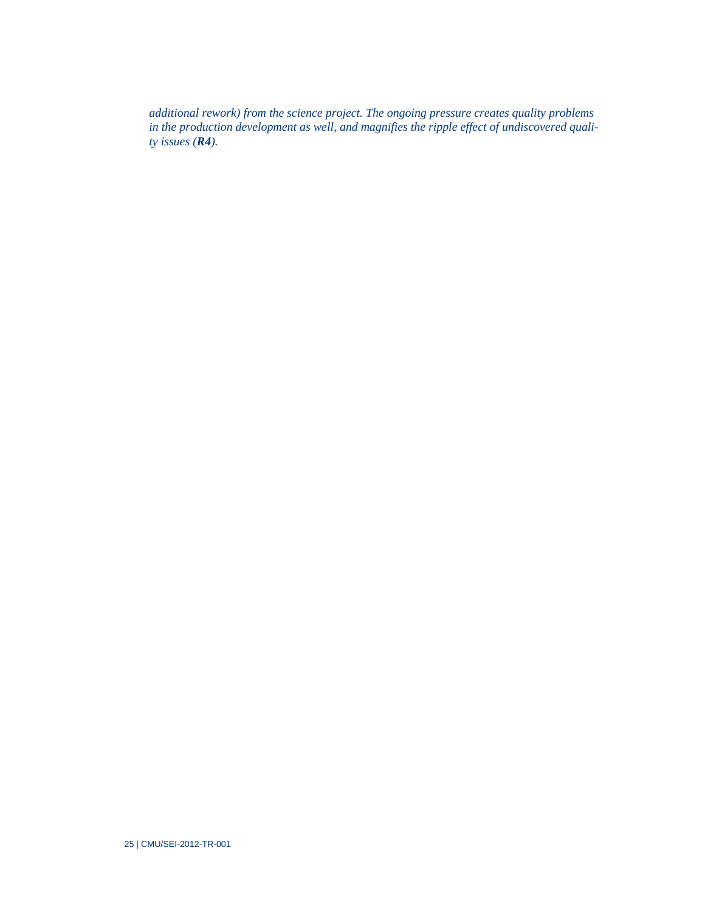*additional rework) from the science project. The ongoing pressure creates quality problems in the production development as well, and magnifies the ripple effect of undiscovered quality issues (R4).*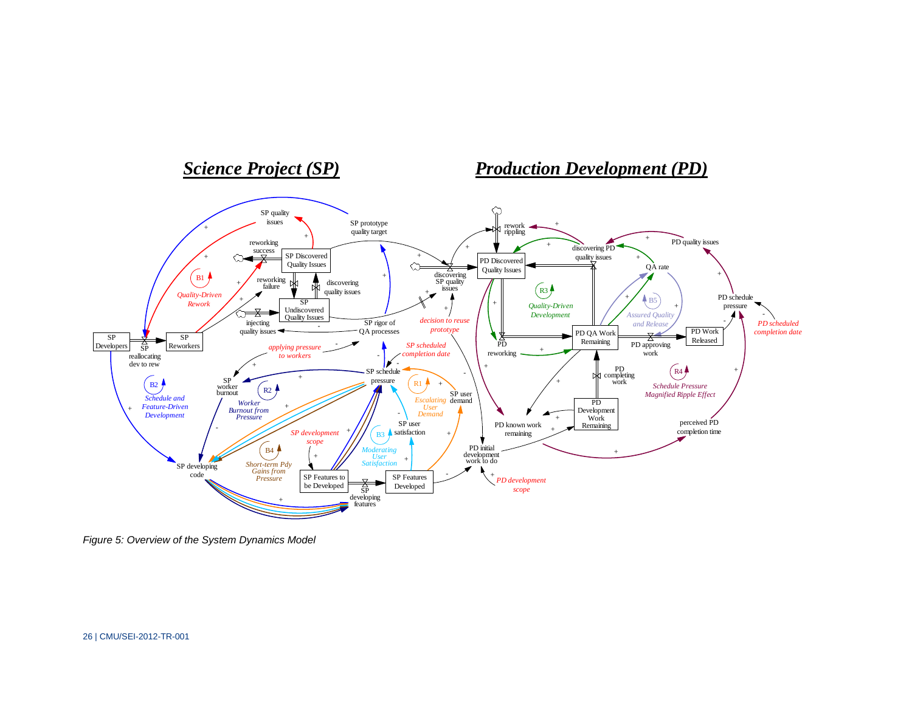

*Figure 5: Overview of the System Dynamics Model*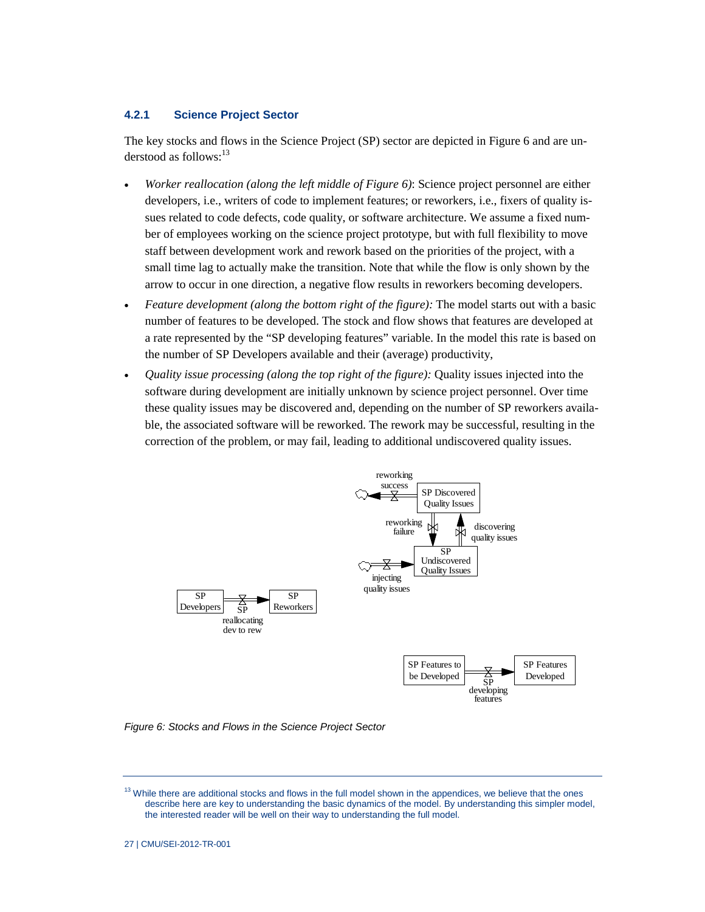## **4.2.1 Science Project Sector**

The key stocks and flows in the Science Project (SP) sector are depicted in Figure 6 and are understood as follows: $^{13}$ 

- *Worker reallocation (along the left middle of Figure 6)*: Science project personnel are either developers, i.e., writers of code to implement features; or reworkers, i.e., fixers of quality issues related to code defects, code quality, or software architecture. We assume a fixed number of employees working on the science project prototype, but with full flexibility to move staff between development work and rework based on the priorities of the project, with a small time lag to actually make the transition. Note that while the flow is only shown by the arrow to occur in one direction, a negative flow results in reworkers becoming developers.
- *Feature development (along the bottom right of the figure):* The model starts out with a basic number of features to be developed. The stock and flow shows that features are developed at a rate represented by the "SP developing features" variable. In the model this rate is based on the number of SP Developers available and their (average) productivity,
- *Quality issue processing (along the top right of the figure):* Quality issues injected into the software during development are initially unknown by science project personnel. Over time these quality issues may be discovered and, depending on the number of SP reworkers available, the associated software will be reworked. The rework may be successful, resulting in the correction of the problem, or may fail, leading to additional undiscovered quality issues.



*Figure 6: Stocks and Flows in the Science Project Sector* 

<sup>&</sup>lt;sup>13</sup> While there are additional stocks and flows in the full model shown in the appendices, we believe that the ones describe here are key to understanding the basic dynamics of the model. By understanding this simpler model, the interested reader will be well on their way to understanding the full model.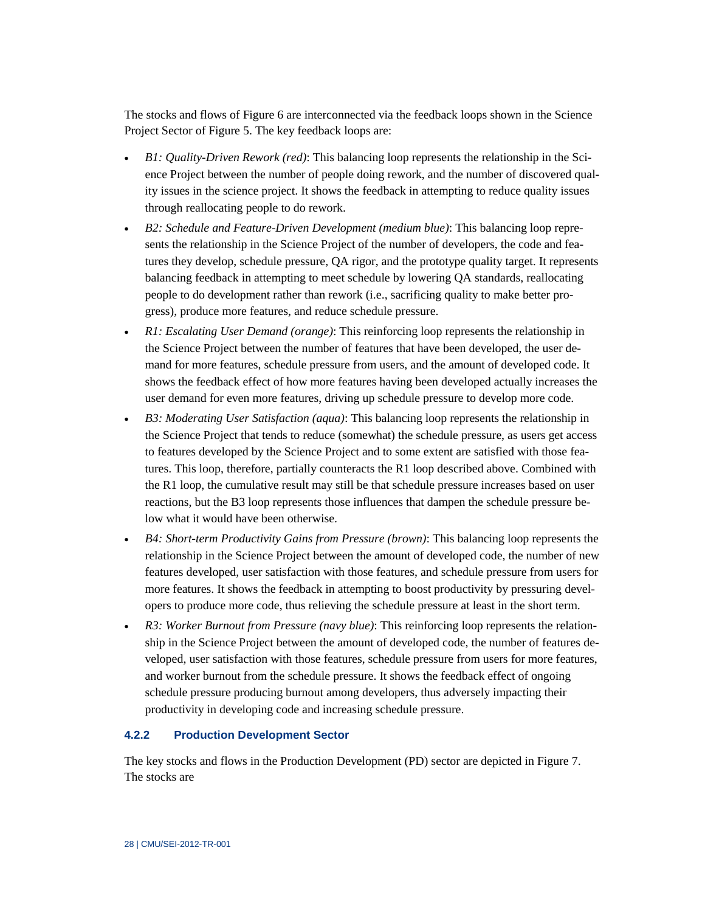The stocks and flows of Figure 6 are interconnected via the feedback loops shown in the Science Project Sector of Figure 5. The key feedback loops are:

- *B1: Quality-Driven Rework (red)*: This balancing loop represents the relationship in the Science Project between the number of people doing rework, and the number of discovered quality issues in the science project. It shows the feedback in attempting to reduce quality issues through reallocating people to do rework.
- *B2: Schedule and Feature-Driven Development (medium blue)*: This balancing loop represents the relationship in the Science Project of the number of developers, the code and features they develop, schedule pressure, QA rigor, and the prototype quality target. It represents balancing feedback in attempting to meet schedule by lowering QA standards, reallocating people to do development rather than rework (i.e., sacrificing quality to make better progress), produce more features, and reduce schedule pressure.
- *R1: Escalating User Demand (orange)*: This reinforcing loop represents the relationship in the Science Project between the number of features that have been developed, the user demand for more features, schedule pressure from users, and the amount of developed code. It shows the feedback effect of how more features having been developed actually increases the user demand for even more features, driving up schedule pressure to develop more code.
- *B3: Moderating User Satisfaction (aqua)*: This balancing loop represents the relationship in the Science Project that tends to reduce (somewhat) the schedule pressure, as users get access to features developed by the Science Project and to some extent are satisfied with those features. This loop, therefore, partially counteracts the R1 loop described above. Combined with the R1 loop, the cumulative result may still be that schedule pressure increases based on user reactions, but the B3 loop represents those influences that dampen the schedule pressure below what it would have been otherwise.
- *B4: Short-term Productivity Gains from Pressure (brown)*: This balancing loop represents the relationship in the Science Project between the amount of developed code, the number of new features developed, user satisfaction with those features, and schedule pressure from users for more features. It shows the feedback in attempting to boost productivity by pressuring developers to produce more code, thus relieving the schedule pressure at least in the short term.
- *R3: Worker Burnout from Pressure (navy blue)*: This reinforcing loop represents the relationship in the Science Project between the amount of developed code, the number of features developed, user satisfaction with those features, schedule pressure from users for more features, and worker burnout from the schedule pressure. It shows the feedback effect of ongoing schedule pressure producing burnout among developers, thus adversely impacting their productivity in developing code and increasing schedule pressure.

## **4.2.2 Production Development Sector**

The key stocks and flows in the Production Development (PD) sector are depicted in Figure 7. The stocks are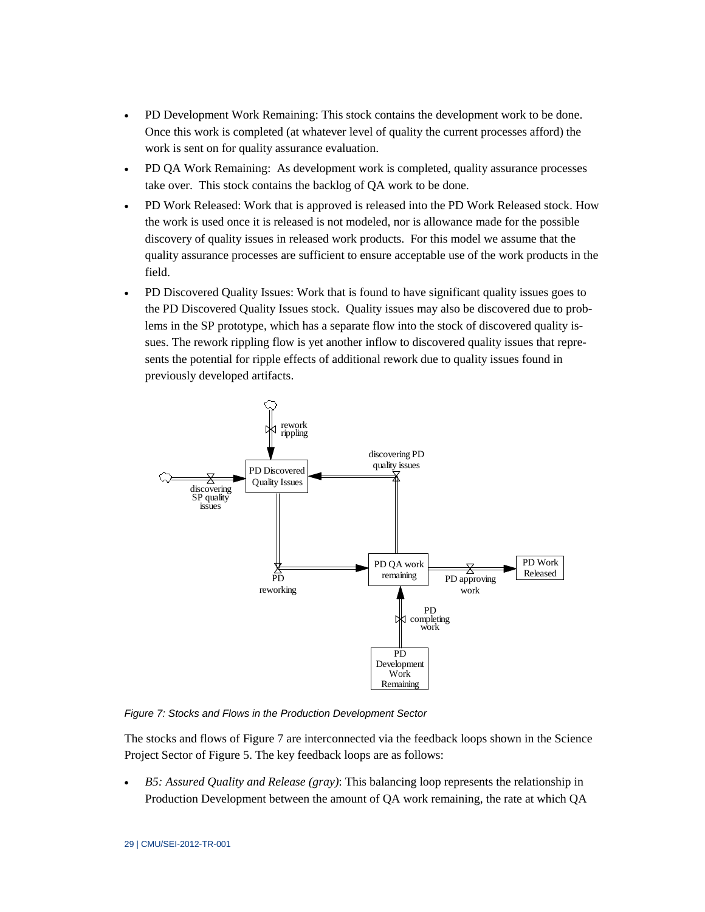- PD Development Work Remaining: This stock contains the development work to be done. Once this work is completed (at whatever level of quality the current processes afford) the work is sent on for quality assurance evaluation.
- PD QA Work Remaining: As development work is completed, quality assurance processes take over. This stock contains the backlog of QA work to be done.
- PD Work Released: Work that is approved is released into the PD Work Released stock. How the work is used once it is released is not modeled, nor is allowance made for the possible discovery of quality issues in released work products. For this model we assume that the quality assurance processes are sufficient to ensure acceptable use of the work products in the field.
- PD Discovered Quality Issues: Work that is found to have significant quality issues goes to the PD Discovered Quality Issues stock. Quality issues may also be discovered due to problems in the SP prototype, which has a separate flow into the stock of discovered quality issues. The rework rippling flow is yet another inflow to discovered quality issues that represents the potential for ripple effects of additional rework due to quality issues found in previously developed artifacts.



*Figure 7: Stocks and Flows in the Production Development Sector* 

The stocks and flows of Figure 7 are interconnected via the feedback loops shown in the Science Project Sector of Figure 5. The key feedback loops are as follows:

• *B5: Assured Quality and Release (gray)*: This balancing loop represents the relationship in Production Development between the amount of QA work remaining, the rate at which QA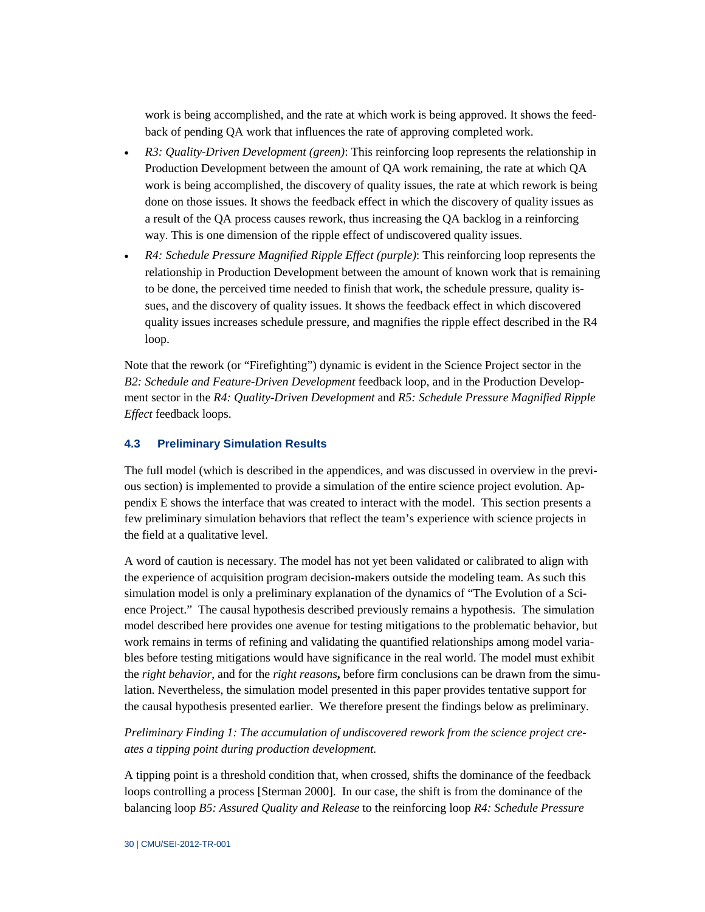work is being accomplished, and the rate at which work is being approved. It shows the feedback of pending QA work that influences the rate of approving completed work.

- *R3: Quality-Driven Development (green)*: This reinforcing loop represents the relationship in Production Development between the amount of QA work remaining, the rate at which QA work is being accomplished, the discovery of quality issues, the rate at which rework is being done on those issues. It shows the feedback effect in which the discovery of quality issues as a result of the QA process causes rework, thus increasing the QA backlog in a reinforcing way. This is one dimension of the ripple effect of undiscovered quality issues.
- *R4: Schedule Pressure Magnified Ripple Effect (purple)*: This reinforcing loop represents the relationship in Production Development between the amount of known work that is remaining to be done, the perceived time needed to finish that work, the schedule pressure, quality issues, and the discovery of quality issues. It shows the feedback effect in which discovered quality issues increases schedule pressure, and magnifies the ripple effect described in the R4 loop.

Note that the rework (or "Firefighting") dynamic is evident in the Science Project sector in the *B2: Schedule and Feature-Driven Development* feedback loop, and in the Production Development sector in the *R4: Quality-Driven Development* and *R5: Schedule Pressure Magnified Ripple Effect* feedback loops.

#### **4.3 Preliminary Simulation Results**

The full model (which is described in the appendices, and was discussed in overview in the previous section) is implemented to provide a simulation of the entire science project evolution. Appendix E shows the interface that was created to interact with the model. This section presents a few preliminary simulation behaviors that reflect the team's experience with science projects in the field at a qualitative level.

A word of caution is necessary. The model has not yet been validated or calibrated to align with the experience of acquisition program decision-makers outside the modeling team. As such this simulation model is only a preliminary explanation of the dynamics of "The Evolution of a Science Project." The causal hypothesis described previously remains a hypothesis. The simulation model described here provides one avenue for testing mitigations to the problematic behavior, but work remains in terms of refining and validating the quantified relationships among model variables before testing mitigations would have significance in the real world. The model must exhibit the *right behavior*, and for the *right reasons***,** before firm conclusions can be drawn from the simulation. Nevertheless, the simulation model presented in this paper provides tentative support for the causal hypothesis presented earlier. We therefore present the findings below as preliminary.

## *Preliminary Finding 1: The accumulation of undiscovered rework from the science project creates a tipping point during production development.*

A tipping point is a threshold condition that, when crossed, shifts the dominance of the feedback loops controlling a process [Sterman 2000]. In our case, the shift is from the dominance of the balancing loop *B5: Assured Quality and Release* to the reinforcing loop *R4: Schedule Pressure*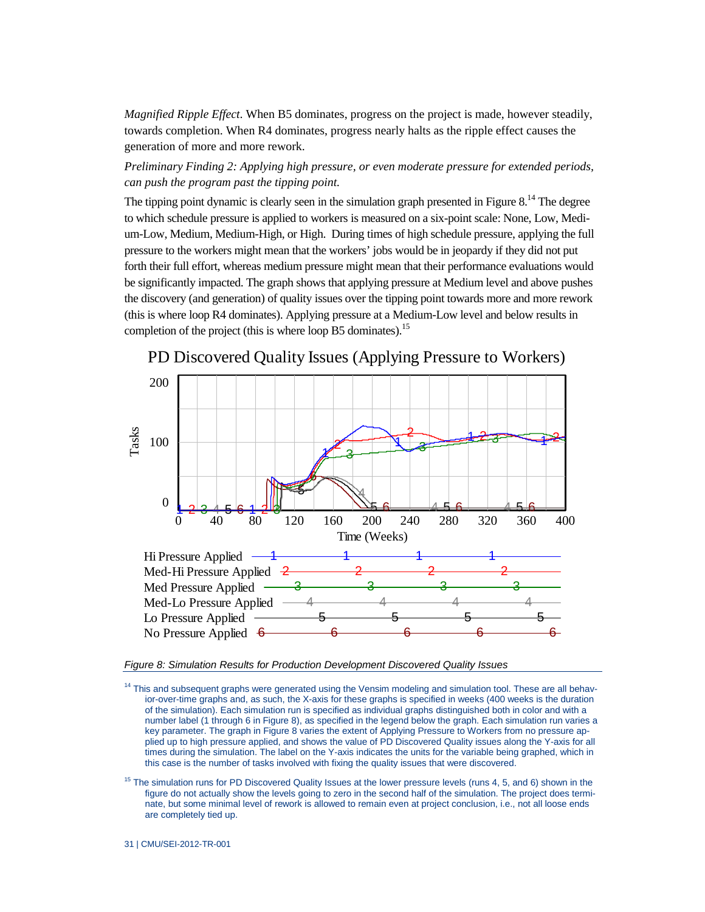*Magnified Ripple Effect*. When B5 dominates, progress on the project is made, however steadily, towards completion. When R4 dominates, progress nearly halts as the ripple effect causes the generation of more and more rework.

*Preliminary Finding 2: Applying high pressure, or even moderate pressure for extended periods, can push the program past the tipping point.* 

The tipping point dynamic is clearly seen in the simulation graph presented in Figure  $8<sup>14</sup>$ . The degree to which schedule pressure is applied to workers is measured on a six-point scale: None, Low, Medium-Low, Medium, Medium-High, or High. During times of high schedule pressure, applying the full pressure to the workers might mean that the workers' jobs would be in jeopardy if they did not put forth their full effort, whereas medium pressure might mean that their performance evaluations would be significantly impacted. The graph shows that applying pressure at Medium level and above pushes the discovery (and generation) of quality issues over the tipping point towards more and more rework (this is where loop R4 dominates). Applying pressure at a Medium-Low level and below results in completion of the project (this is where loop B5 dominates).<sup>15</sup>



PD Discovered Quality Issues (Applying Pressure to Workers)

<sup>14</sup> This and subsequent graphs were generated using the Vensim modeling and simulation tool. These are all behavior-over-time graphs and, as such, the X-axis for these graphs is specified in weeks (400 weeks is the duration of the simulation). Each simulation run is specified as individual graphs distinguished both in color and with a number label (1 through 6 in Figure 8), as specified in the legend below the graph. Each simulation run varies a key parameter. The graph in Figure 8 varies the extent of Applying Pressure to Workers from no pressure applied up to high pressure applied, and shows the value of PD Discovered Quality issues along the Y-axis for all times during the simulation. The label on the Y-axis indicates the units for the variable being graphed, which in this case is the number of tasks involved with fixing the quality issues that were discovered.

<sup>15</sup> The simulation runs for PD Discovered Quality Issues at the lower pressure levels (runs 4, 5, and 6) shown in the figure do not actually show the levels going to zero in the second half of the simulation. The project does terminate, but some minimal level of rework is allowed to remain even at project conclusion, i.e., not all loose ends are completely tied up.

*Figure 8: Simulation Results for Production Development Discovered Quality Issues*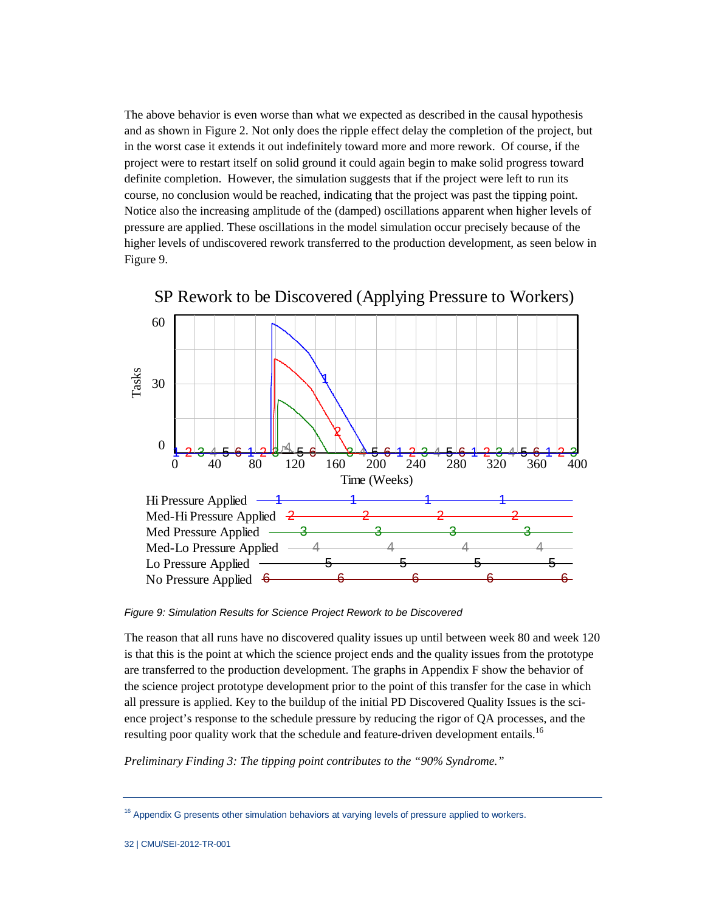The above behavior is even worse than what we expected as described in the causal hypothesis and as shown in Figure 2. Not only does the ripple effect delay the completion of the project, but in the worst case it extends it out indefinitely toward more and more rework. Of course, if the project were to restart itself on solid ground it could again begin to make solid progress toward definite completion. However, the simulation suggests that if the project were left to run its course, no conclusion would be reached, indicating that the project was past the tipping point. Notice also the increasing amplitude of the (damped) oscillations apparent when higher levels of pressure are applied. These oscillations in the model simulation occur precisely because of the higher levels of undiscovered rework transferred to the production development, as seen below in Figure 9.



SP Rework to be Discovered (Applying Pressure to Workers)

*Figure 9: Simulation Results for Science Project Rework to be Discovered* 

The reason that all runs have no discovered quality issues up until between week 80 and week 120 is that this is the point at which the science project ends and the quality issues from the prototype are transferred to the production development. The graphs in Appendix F show the behavior of the science project prototype development prior to the point of this transfer for the case in which all pressure is applied. Key to the buildup of the initial PD Discovered Quality Issues is the science project's response to the schedule pressure by reducing the rigor of QA processes, and the resulting poor quality work that the schedule and feature-driven development entails.<sup>16</sup>

*Preliminary Finding 3: The tipping point contributes to the "90% Syndrome."* 

<sup>&</sup>lt;sup>16</sup> Appendix G presents other simulation behaviors at varying levels of pressure applied to workers.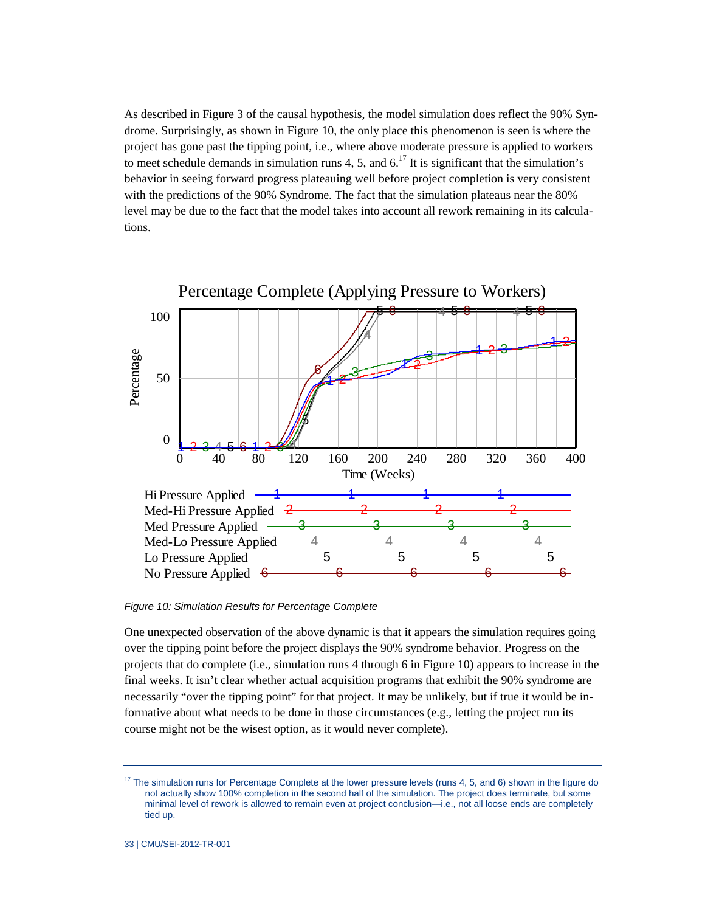As described in Figure 3 of the causal hypothesis, the model simulation does reflect the 90% Syndrome. Surprisingly, as shown in Figure 10, the only place this phenomenon is seen is where the project has gone past the tipping point, i.e., where above moderate pressure is applied to workers to meet schedule demands in simulation runs 4, 5, and  $6<sup>17</sup>$  It is significant that the simulation's behavior in seeing forward progress plateauing well before project completion is very consistent with the predictions of the 90% Syndrome. The fact that the simulation plateaus near the 80% level may be due to the fact that the model takes into account all rework remaining in its calculations.



*Figure 10: Simulation Results for Percentage Complete* 

One unexpected observation of the above dynamic is that it appears the simulation requires going over the tipping point before the project displays the 90% syndrome behavior. Progress on the projects that do complete (i.e., simulation runs 4 through 6 in Figure 10) appears to increase in the final weeks. It isn't clear whether actual acquisition programs that exhibit the 90% syndrome are necessarily "over the tipping point" for that project. It may be unlikely, but if true it would be informative about what needs to be done in those circumstances (e.g., letting the project run its course might not be the wisest option, as it would never complete).

<sup>&</sup>lt;sup>17</sup> The simulation runs for Percentage Complete at the lower pressure levels (runs 4, 5, and 6) shown in the figure do not actually show 100% completion in the second half of the simulation. The project does terminate, but some minimal level of rework is allowed to remain even at project conclusion—i.e., not all loose ends are completely tied up.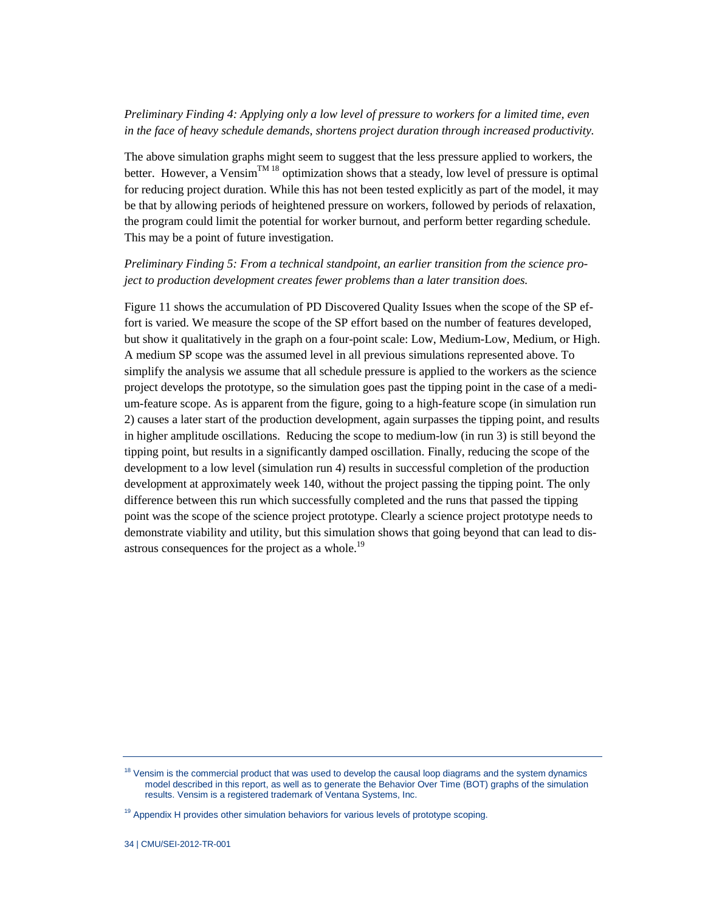## *Preliminary Finding 4: Applying only a low level of pressure to workers for a limited time, even in the face of heavy schedule demands, shortens project duration through increased productivity.*

The above simulation graphs might seem to suggest that the less pressure applied to workers, the better. However, a Vensim<sup>TM 18</sup> optimization shows that a steady, low level of pressure is optimal for reducing project duration. While this has not been tested explicitly as part of the model, it may be that by allowing periods of heightened pressure on workers, followed by periods of relaxation, the program could limit the potential for worker burnout, and perform better regarding schedule. This may be a point of future investigation.

## *Preliminary Finding 5: From a technical standpoint, an earlier transition from the science project to production development creates fewer problems than a later transition does.*

Figure 11 shows the accumulation of PD Discovered Quality Issues when the scope of the SP effort is varied. We measure the scope of the SP effort based on the number of features developed, but show it qualitatively in the graph on a four-point scale: Low, Medium-Low, Medium, or High. A medium SP scope was the assumed level in all previous simulations represented above. To simplify the analysis we assume that all schedule pressure is applied to the workers as the science project develops the prototype, so the simulation goes past the tipping point in the case of a medium-feature scope. As is apparent from the figure, going to a high-feature scope (in simulation run 2) causes a later start of the production development, again surpasses the tipping point, and results in higher amplitude oscillations. Reducing the scope to medium-low (in run 3) is still beyond the tipping point, but results in a significantly damped oscillation. Finally, reducing the scope of the development to a low level (simulation run 4) results in successful completion of the production development at approximately week 140, without the project passing the tipping point. The only difference between this run which successfully completed and the runs that passed the tipping point was the scope of the science project prototype. Clearly a science project prototype needs to demonstrate viability and utility, but this simulation shows that going beyond that can lead to disastrous consequences for the project as a whole.<sup>19</sup>

<sup>&</sup>lt;sup>18</sup> Vensim is the commercial product that was used to develop the causal loop diagrams and the system dynamics model described in this report, as well as to generate the Behavior Over Time (BOT) graphs of the simulation results. Vensim is a registered trademark of Ventana Systems, Inc.

<sup>&</sup>lt;sup>19</sup> Appendix H provides other simulation behaviors for various levels of prototype scoping.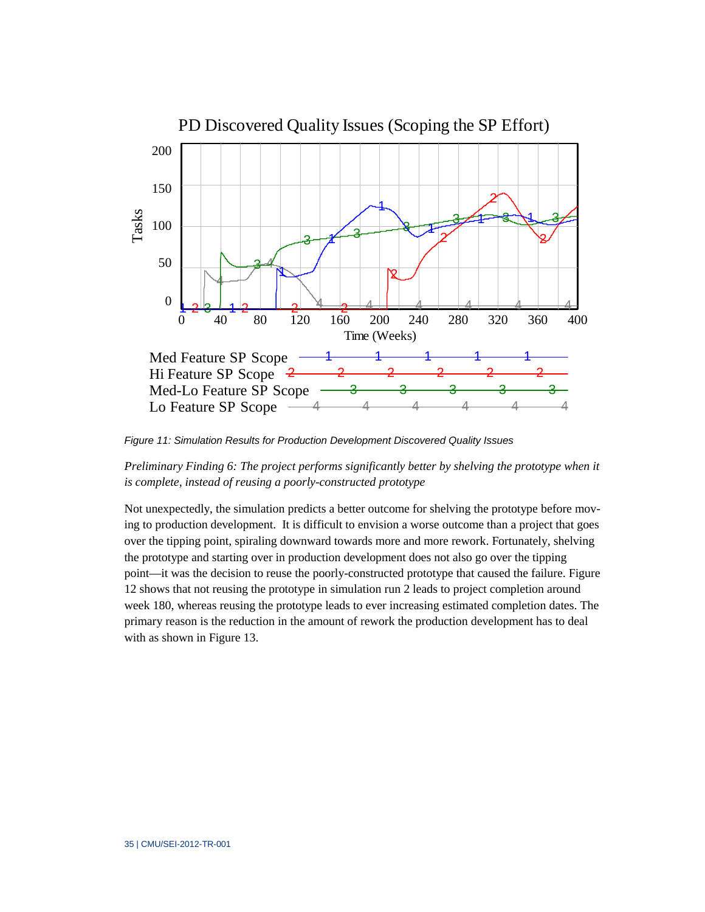

*Figure 11: Simulation Results for Production Development Discovered Quality Issues* 

*Preliminary Finding 6: The project performs significantly better by shelving the prototype when it is complete, instead of reusing a poorly-constructed prototype* 

Not unexpectedly, the simulation predicts a better outcome for shelving the prototype before moving to production development. It is difficult to envision a worse outcome than a project that goes over the tipping point, spiraling downward towards more and more rework. Fortunately, shelving the prototype and starting over in production development does not also go over the tipping point—it was the decision to reuse the poorly-constructed prototype that caused the failure. Figure 12 shows that not reusing the prototype in simulation run 2 leads to project completion around week 180, whereas reusing the prototype leads to ever increasing estimated completion dates. The primary reason is the reduction in the amount of rework the production development has to deal with as shown in Figure 13.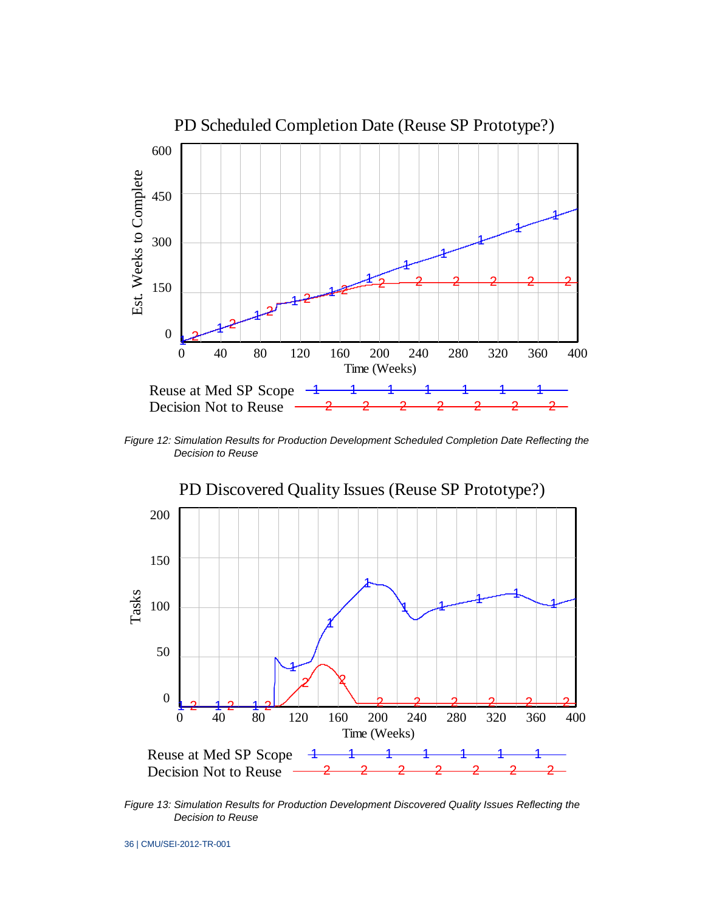

*Figure 12: Simulation Results for Production Development Scheduled Completion Date Reflecting the Decision to Reuse* 



*Figure 13: Simulation Results for Production Development Discovered Quality Issues Reflecting the Decision to Reuse* 

36 | CMU/SEI-2012-TR-001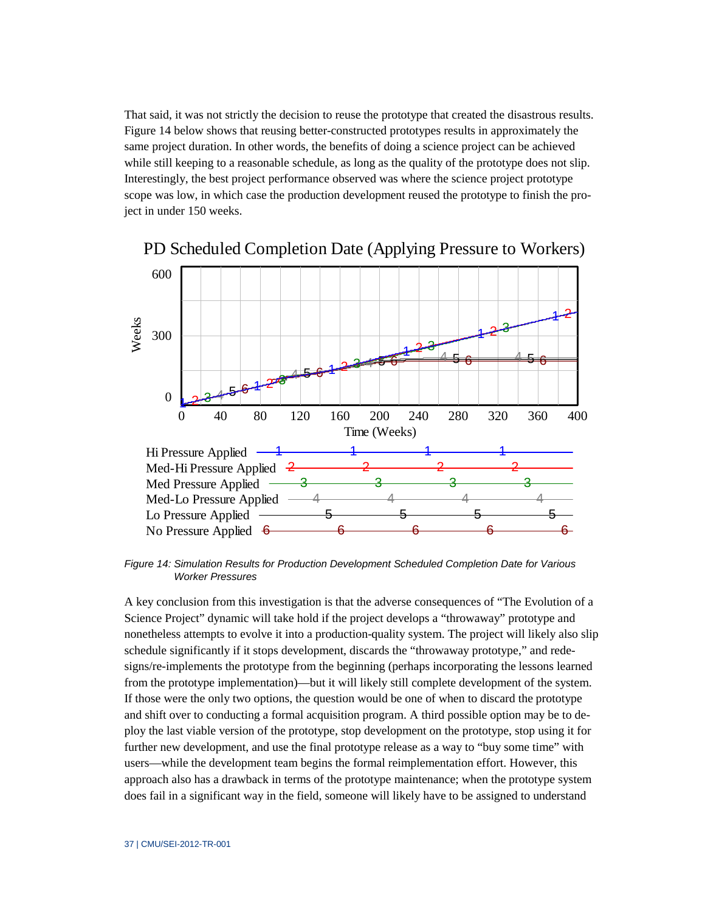That said, it was not strictly the decision to reuse the prototype that created the disastrous results. Figure 14 below shows that reusing better-constructed prototypes results in approximately the same project duration. In other words, the benefits of doing a science project can be achieved while still keeping to a reasonable schedule, as long as the quality of the prototype does not slip. Interestingly, the best project performance observed was where the science project prototype scope was low, in which case the production development reused the prototype to finish the project in under 150 weeks.



PD Scheduled Completion Date (Applying Pressure to Workers)

*Figure 14: Simulation Results for Production Development Scheduled Completion Date for Various Worker Pressures* 

A key conclusion from this investigation is that the adverse consequences of "The Evolution of a Science Project" dynamic will take hold if the project develops a "throwaway" prototype and nonetheless attempts to evolve it into a production-quality system. The project will likely also slip schedule significantly if it stops development, discards the "throwaway prototype," and redesigns/re-implements the prototype from the beginning (perhaps incorporating the lessons learned from the prototype implementation)—but it will likely still complete development of the system. If those were the only two options, the question would be one of when to discard the prototype and shift over to conducting a formal acquisition program. A third possible option may be to deploy the last viable version of the prototype, stop development on the prototype, stop using it for further new development, and use the final prototype release as a way to "buy some time" with users—while the development team begins the formal reimplementation effort. However, this approach also has a drawback in terms of the prototype maintenance; when the prototype system does fail in a significant way in the field, someone will likely have to be assigned to understand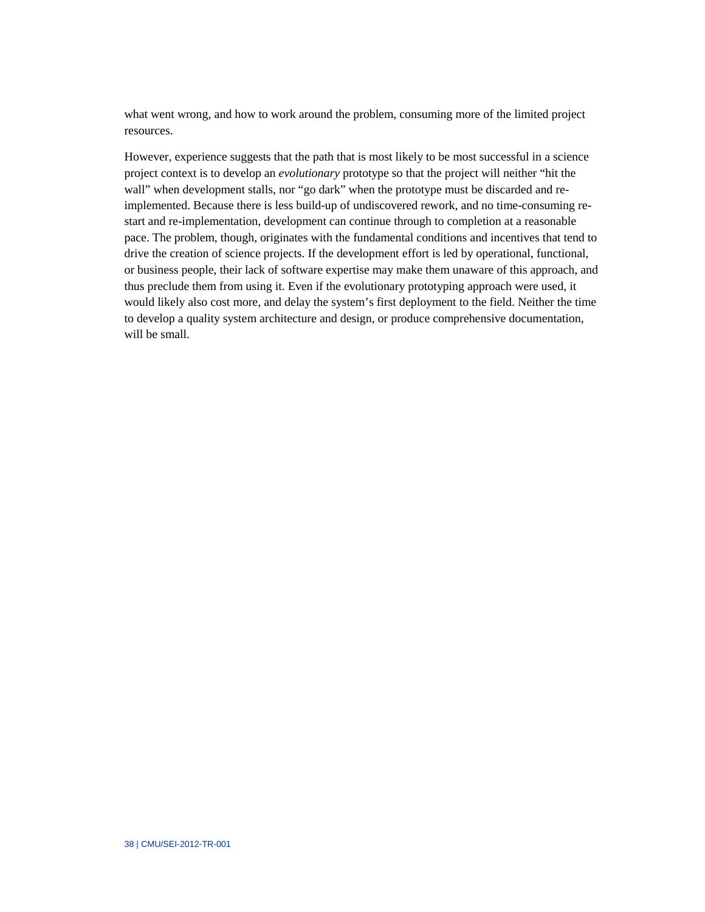what went wrong, and how to work around the problem, consuming more of the limited project resources.

However, experience suggests that the path that is most likely to be most successful in a science project context is to develop an *evolutionary* prototype so that the project will neither "hit the wall" when development stalls, nor "go dark" when the prototype must be discarded and reimplemented. Because there is less build-up of undiscovered rework, and no time-consuming restart and re-implementation, development can continue through to completion at a reasonable pace. The problem, though, originates with the fundamental conditions and incentives that tend to drive the creation of science projects. If the development effort is led by operational, functional, or business people, their lack of software expertise may make them unaware of this approach, and thus preclude them from using it. Even if the evolutionary prototyping approach were used, it would likely also cost more, and delay the system's first deployment to the field. Neither the time to develop a quality system architecture and design, or produce comprehensive documentation, will be small.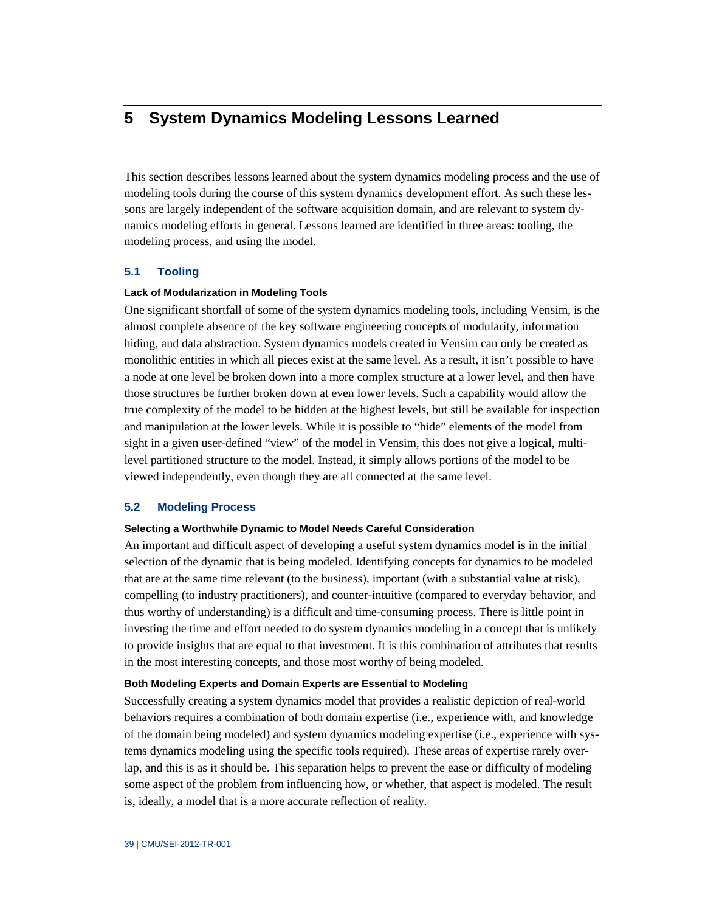# **5 System Dynamics Modeling Lessons Learned**

This section describes lessons learned about the system dynamics modeling process and the use of modeling tools during the course of this system dynamics development effort. As such these lessons are largely independent of the software acquisition domain, and are relevant to system dynamics modeling efforts in general. Lessons learned are identified in three areas: tooling, the modeling process, and using the model.

#### **5.1 Tooling**

#### **Lack of Modularization in Modeling Tools**

One significant shortfall of some of the system dynamics modeling tools, including Vensim, is the almost complete absence of the key software engineering concepts of modularity, information hiding, and data abstraction. System dynamics models created in Vensim can only be created as monolithic entities in which all pieces exist at the same level. As a result, it isn't possible to have a node at one level be broken down into a more complex structure at a lower level, and then have those structures be further broken down at even lower levels. Such a capability would allow the true complexity of the model to be hidden at the highest levels, but still be available for inspection and manipulation at the lower levels. While it is possible to "hide" elements of the model from sight in a given user-defined "view" of the model in Vensim, this does not give a logical, multilevel partitioned structure to the model. Instead, it simply allows portions of the model to be viewed independently, even though they are all connected at the same level.

#### **5.2 Modeling Process**

#### **Selecting a Worthwhile Dynamic to Model Needs Careful Consideration**

An important and difficult aspect of developing a useful system dynamics model is in the initial selection of the dynamic that is being modeled. Identifying concepts for dynamics to be modeled that are at the same time relevant (to the business), important (with a substantial value at risk), compelling (to industry practitioners), and counter-intuitive (compared to everyday behavior, and thus worthy of understanding) is a difficult and time-consuming process. There is little point in investing the time and effort needed to do system dynamics modeling in a concept that is unlikely to provide insights that are equal to that investment. It is this combination of attributes that results in the most interesting concepts, and those most worthy of being modeled.

#### **Both Modeling Experts and Domain Experts are Essential to Modeling**

Successfully creating a system dynamics model that provides a realistic depiction of real-world behaviors requires a combination of both domain expertise (i.e., experience with, and knowledge of the domain being modeled) and system dynamics modeling expertise (i.e., experience with systems dynamics modeling using the specific tools required). These areas of expertise rarely overlap, and this is as it should be. This separation helps to prevent the ease or difficulty of modeling some aspect of the problem from influencing how, or whether, that aspect is modeled. The result is, ideally, a model that is a more accurate reflection of reality.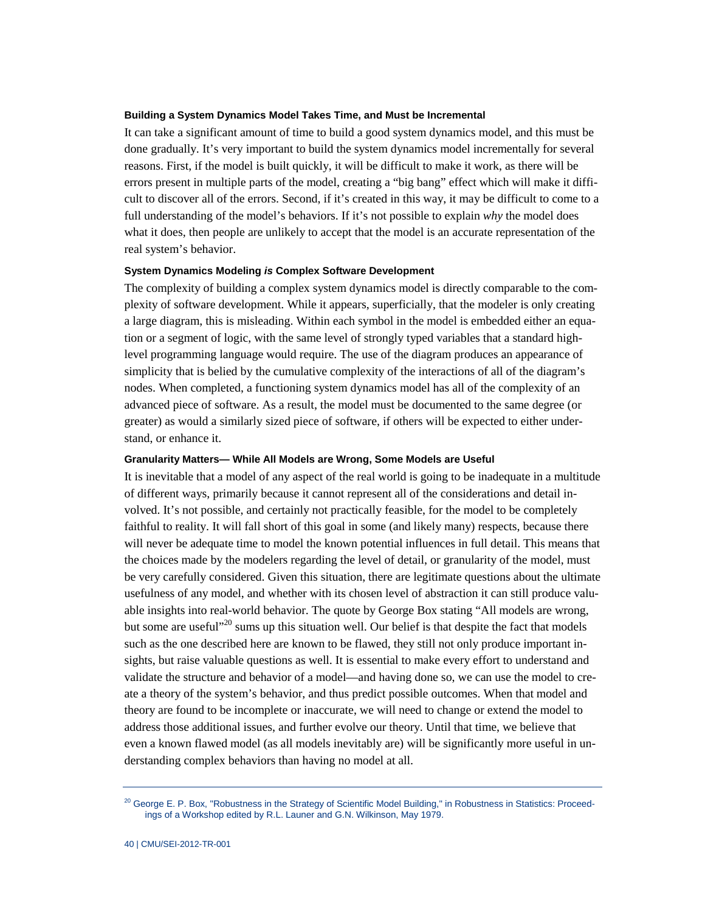#### **Building a System Dynamics Model Takes Time, and Must be Incremental**

It can take a significant amount of time to build a good system dynamics model, and this must be done gradually. It's very important to build the system dynamics model incrementally for several reasons. First, if the model is built quickly, it will be difficult to make it work, as there will be errors present in multiple parts of the model, creating a "big bang" effect which will make it difficult to discover all of the errors. Second, if it's created in this way, it may be difficult to come to a full understanding of the model's behaviors. If it's not possible to explain *why* the model does what it does, then people are unlikely to accept that the model is an accurate representation of the real system's behavior.

#### **System Dynamics Modeling** *is* **Complex Software Development**

The complexity of building a complex system dynamics model is directly comparable to the complexity of software development. While it appears, superficially, that the modeler is only creating a large diagram, this is misleading. Within each symbol in the model is embedded either an equation or a segment of logic, with the same level of strongly typed variables that a standard highlevel programming language would require. The use of the diagram produces an appearance of simplicity that is belied by the cumulative complexity of the interactions of all of the diagram's nodes. When completed, a functioning system dynamics model has all of the complexity of an advanced piece of software. As a result, the model must be documented to the same degree (or greater) as would a similarly sized piece of software, if others will be expected to either understand, or enhance it.

#### **Granularity Matters— While All Models are Wrong, Some Models are Useful**

It is inevitable that a model of any aspect of the real world is going to be inadequate in a multitude of different ways, primarily because it cannot represent all of the considerations and detail involved. It's not possible, and certainly not practically feasible, for the model to be completely faithful to reality. It will fall short of this goal in some (and likely many) respects, because there will never be adequate time to model the known potential influences in full detail. This means that the choices made by the modelers regarding the level of detail, or granularity of the model, must be very carefully considered. Given this situation, there are legitimate questions about the ultimate usefulness of any model, and whether with its chosen level of abstraction it can still produce valuable insights into real-world behavior. The quote by George Box stating "All models are wrong, but some are useful<sup>"20</sup> sums up this situation well. Our belief is that despite the fact that models such as the one described here are known to be flawed, they still not only produce important insights, but raise valuable questions as well. It is essential to make every effort to understand and validate the structure and behavior of a model—and having done so, we can use the model to create a theory of the system's behavior, and thus predict possible outcomes. When that model and theory are found to be incomplete or inaccurate, we will need to change or extend the model to address those additional issues, and further evolve our theory. Until that time, we believe that even a known flawed model (as all models inevitably are) will be significantly more useful in understanding complex behaviors than having no model at all.

<sup>&</sup>lt;sup>20</sup> George E. P. Box, "Robustness in the Strategy of Scientific Model Building," in Robustness in Statistics: Proceedings of a Workshop edited by R.L. Launer and G.N. Wilkinson, May 1979.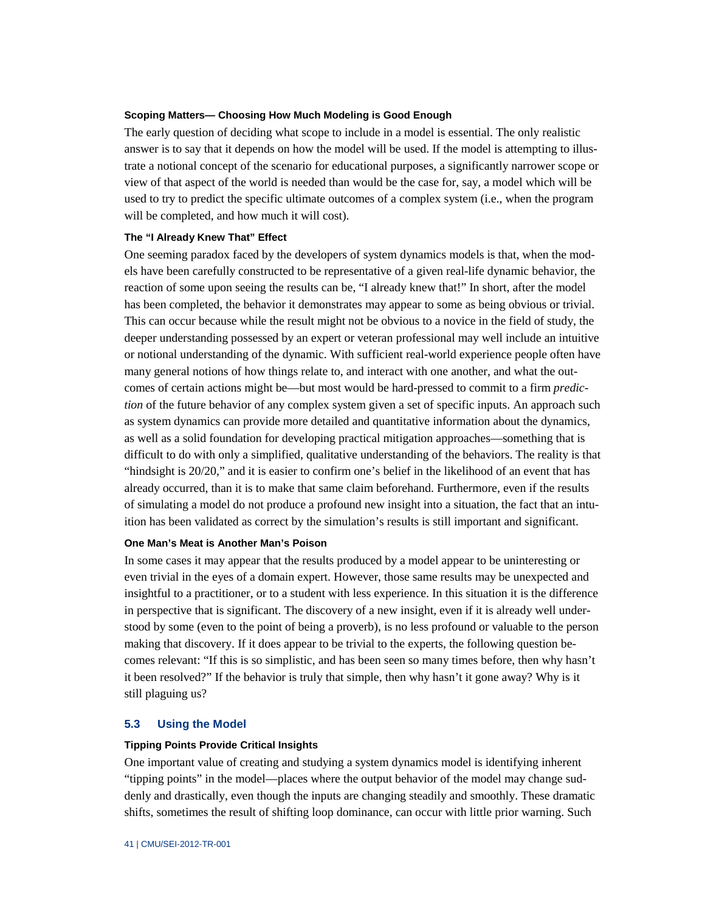#### **Scoping Matters— Choosing How Much Modeling is Good Enough**

The early question of deciding what scope to include in a model is essential. The only realistic answer is to say that it depends on how the model will be used. If the model is attempting to illustrate a notional concept of the scenario for educational purposes, a significantly narrower scope or view of that aspect of the world is needed than would be the case for, say, a model which will be used to try to predict the specific ultimate outcomes of a complex system (i.e., when the program will be completed, and how much it will cost).

#### **The "I Already Knew That" Effect**

One seeming paradox faced by the developers of system dynamics models is that, when the models have been carefully constructed to be representative of a given real-life dynamic behavior, the reaction of some upon seeing the results can be, "I already knew that!" In short, after the model has been completed, the behavior it demonstrates may appear to some as being obvious or trivial. This can occur because while the result might not be obvious to a novice in the field of study, the deeper understanding possessed by an expert or veteran professional may well include an intuitive or notional understanding of the dynamic. With sufficient real-world experience people often have many general notions of how things relate to, and interact with one another, and what the outcomes of certain actions might be—but most would be hard-pressed to commit to a firm *prediction* of the future behavior of any complex system given a set of specific inputs. An approach such as system dynamics can provide more detailed and quantitative information about the dynamics, as well as a solid foundation for developing practical mitigation approaches—something that is difficult to do with only a simplified, qualitative understanding of the behaviors. The reality is that "hindsight is 20/20," and it is easier to confirm one's belief in the likelihood of an event that has already occurred, than it is to make that same claim beforehand. Furthermore, even if the results of simulating a model do not produce a profound new insight into a situation, the fact that an intuition has been validated as correct by the simulation's results is still important and significant.

#### **One Man's Meat is Another Man's Poison**

In some cases it may appear that the results produced by a model appear to be uninteresting or even trivial in the eyes of a domain expert. However, those same results may be unexpected and insightful to a practitioner, or to a student with less experience. In this situation it is the difference in perspective that is significant. The discovery of a new insight, even if it is already well understood by some (even to the point of being a proverb), is no less profound or valuable to the person making that discovery. If it does appear to be trivial to the experts, the following question becomes relevant: "If this is so simplistic, and has been seen so many times before, then why hasn't it been resolved?" If the behavior is truly that simple, then why hasn't it gone away? Why is it still plaguing us?

#### **5.3 Using the Model**

#### **Tipping Points Provide Critical Insights**

One important value of creating and studying a system dynamics model is identifying inherent "tipping points" in the model—places where the output behavior of the model may change suddenly and drastically, even though the inputs are changing steadily and smoothly. These dramatic shifts, sometimes the result of shifting loop dominance, can occur with little prior warning. Such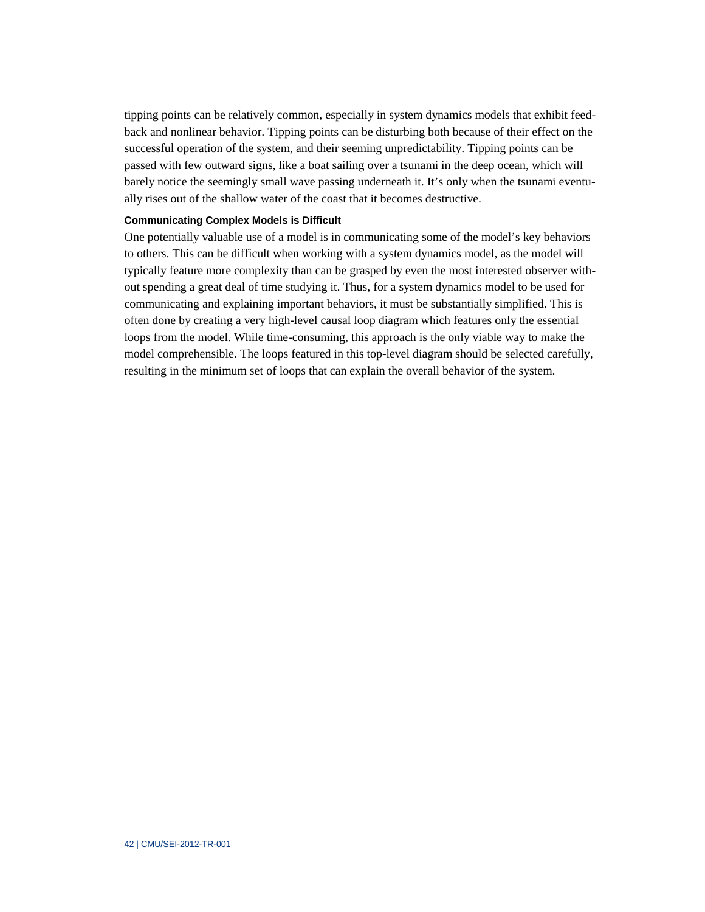tipping points can be relatively common, especially in system dynamics models that exhibit feedback and nonlinear behavior. Tipping points can be disturbing both because of their effect on the successful operation of the system, and their seeming unpredictability. Tipping points can be passed with few outward signs, like a boat sailing over a tsunami in the deep ocean, which will barely notice the seemingly small wave passing underneath it. It's only when the tsunami eventually rises out of the shallow water of the coast that it becomes destructive.

#### **Communicating Complex Models is Difficult**

One potentially valuable use of a model is in communicating some of the model's key behaviors to others. This can be difficult when working with a system dynamics model, as the model will typically feature more complexity than can be grasped by even the most interested observer without spending a great deal of time studying it. Thus, for a system dynamics model to be used for communicating and explaining important behaviors, it must be substantially simplified. This is often done by creating a very high-level causal loop diagram which features only the essential loops from the model. While time-consuming, this approach is the only viable way to make the model comprehensible. The loops featured in this top-level diagram should be selected carefully, resulting in the minimum set of loops that can explain the overall behavior of the system.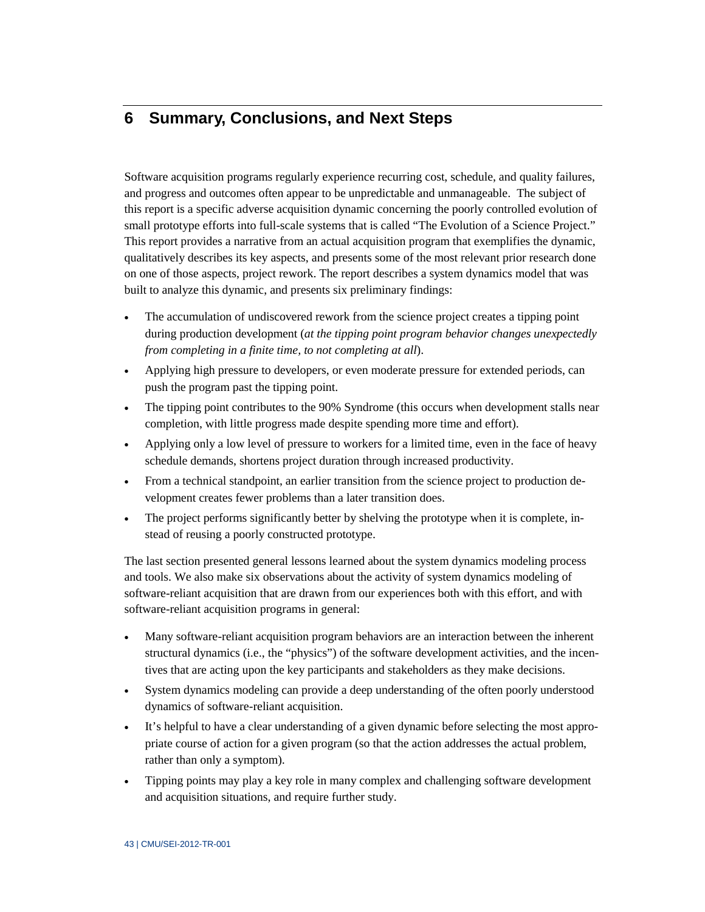# **6 Summary, Conclusions, and Next Steps**

Software acquisition programs regularly experience recurring cost, schedule, and quality failures, and progress and outcomes often appear to be unpredictable and unmanageable. The subject of this report is a specific adverse acquisition dynamic concerning the poorly controlled evolution of small prototype efforts into full-scale systems that is called "The Evolution of a Science Project." This report provides a narrative from an actual acquisition program that exemplifies the dynamic, qualitatively describes its key aspects, and presents some of the most relevant prior research done on one of those aspects, project rework. The report describes a system dynamics model that was built to analyze this dynamic, and presents six preliminary findings:

- The accumulation of undiscovered rework from the science project creates a tipping point during production development (*at the tipping point program behavior changes unexpectedly from completing in a finite time, to not completing at all*).
- Applying high pressure to developers, or even moderate pressure for extended periods, can push the program past the tipping point.
- The tipping point contributes to the 90% Syndrome (this occurs when development stalls near completion, with little progress made despite spending more time and effort).
- Applying only a low level of pressure to workers for a limited time, even in the face of heavy schedule demands, shortens project duration through increased productivity.
- From a technical standpoint, an earlier transition from the science project to production development creates fewer problems than a later transition does.
- The project performs significantly better by shelving the prototype when it is complete, instead of reusing a poorly constructed prototype.

The last section presented general lessons learned about the system dynamics modeling process and tools. We also make six observations about the activity of system dynamics modeling of software-reliant acquisition that are drawn from our experiences both with this effort, and with software-reliant acquisition programs in general:

- Many software-reliant acquisition program behaviors are an interaction between the inherent structural dynamics (i.e., the "physics") of the software development activities, and the incentives that are acting upon the key participants and stakeholders as they make decisions.
- System dynamics modeling can provide a deep understanding of the often poorly understood dynamics of software-reliant acquisition.
- It's helpful to have a clear understanding of a given dynamic before selecting the most appropriate course of action for a given program (so that the action addresses the actual problem, rather than only a symptom).
- Tipping points may play a key role in many complex and challenging software development and acquisition situations, and require further study.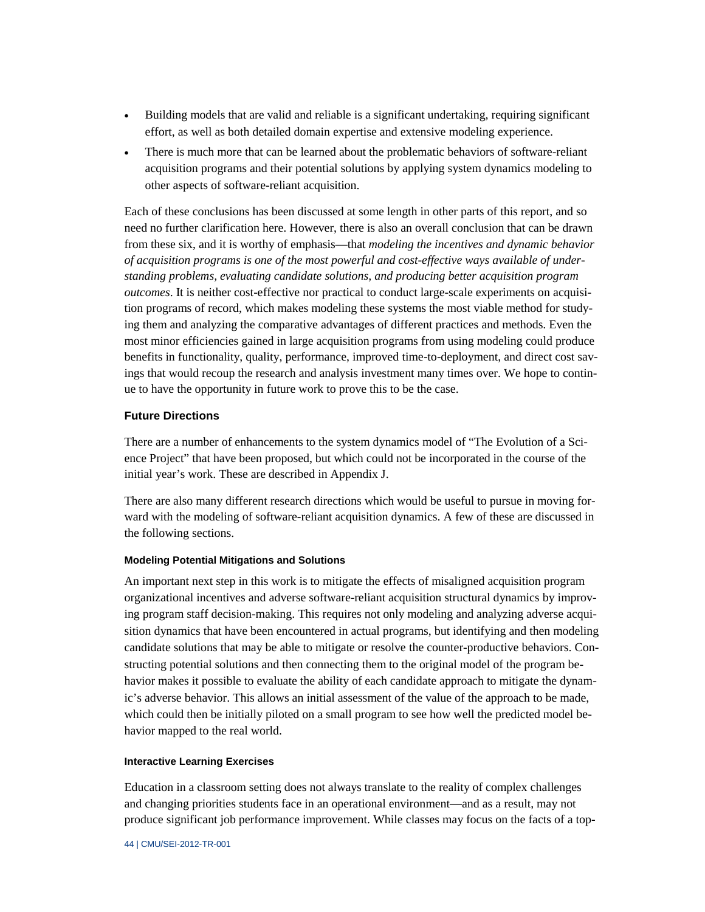- Building models that are valid and reliable is a significant undertaking, requiring significant effort, as well as both detailed domain expertise and extensive modeling experience.
- There is much more that can be learned about the problematic behaviors of software-reliant acquisition programs and their potential solutions by applying system dynamics modeling to other aspects of software-reliant acquisition.

Each of these conclusions has been discussed at some length in other parts of this report, and so need no further clarification here. However, there is also an overall conclusion that can be drawn from these six, and it is worthy of emphasis—that *modeling the incentives and dynamic behavior of acquisition programs is one of the most powerful and cost-effective ways available of understanding problems, evaluating candidate solutions, and producing better acquisition program outcomes*. It is neither cost-effective nor practical to conduct large-scale experiments on acquisition programs of record, which makes modeling these systems the most viable method for studying them and analyzing the comparative advantages of different practices and methods. Even the most minor efficiencies gained in large acquisition programs from using modeling could produce benefits in functionality, quality, performance, improved time-to-deployment, and direct cost savings that would recoup the research and analysis investment many times over. We hope to continue to have the opportunity in future work to prove this to be the case.

#### **Future Directions**

There are a number of enhancements to the system dynamics model of "The Evolution of a Science Project" that have been proposed, but which could not be incorporated in the course of the initial year's work. These are described in Appendix J.

There are also many different research directions which would be useful to pursue in moving forward with the modeling of software-reliant acquisition dynamics. A few of these are discussed in the following sections.

#### **Modeling Potential Mitigations and Solutions**

An important next step in this work is to mitigate the effects of misaligned acquisition program organizational incentives and adverse software-reliant acquisition structural dynamics by improving program staff decision-making. This requires not only modeling and analyzing adverse acquisition dynamics that have been encountered in actual programs, but identifying and then modeling candidate solutions that may be able to mitigate or resolve the counter-productive behaviors. Constructing potential solutions and then connecting them to the original model of the program behavior makes it possible to evaluate the ability of each candidate approach to mitigate the dynamic's adverse behavior. This allows an initial assessment of the value of the approach to be made, which could then be initially piloted on a small program to see how well the predicted model behavior mapped to the real world.

#### **Interactive Learning Exercises**

Education in a classroom setting does not always translate to the reality of complex challenges and changing priorities students face in an operational environment—and as a result, may not produce significant job performance improvement. While classes may focus on the facts of a top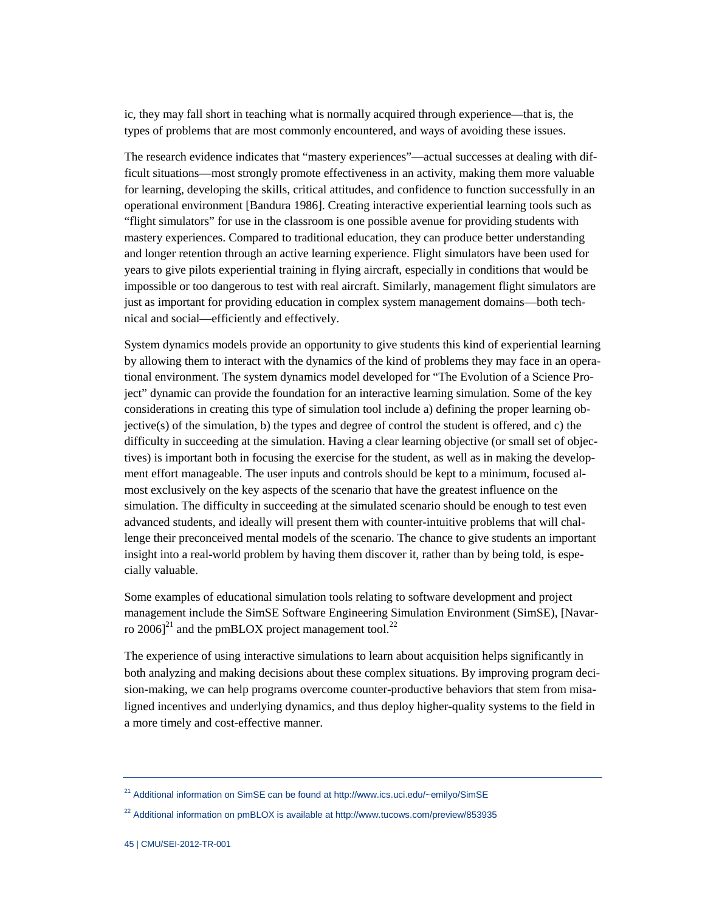ic, they may fall short in teaching what is normally acquired through experience—that is, the types of problems that are most commonly encountered, and ways of avoiding these issues.

The research evidence indicates that "mastery experiences"—actual successes at dealing with difficult situations—most strongly promote effectiveness in an activity, making them more valuable for learning, developing the skills, critical attitudes, and confidence to function successfully in an operational environment [Bandura 1986]. Creating interactive experiential learning tools such as "flight simulators" for use in the classroom is one possible avenue for providing students with mastery experiences. Compared to traditional education, they can produce better understanding and longer retention through an active learning experience. Flight simulators have been used for years to give pilots experiential training in flying aircraft, especially in conditions that would be impossible or too dangerous to test with real aircraft. Similarly, management flight simulators are just as important for providing education in complex system management domains—both technical and social—efficiently and effectively.

System dynamics models provide an opportunity to give students this kind of experiential learning by allowing them to interact with the dynamics of the kind of problems they may face in an operational environment. The system dynamics model developed for "The Evolution of a Science Project" dynamic can provide the foundation for an interactive learning simulation. Some of the key considerations in creating this type of simulation tool include a) defining the proper learning objective(s) of the simulation, b) the types and degree of control the student is offered, and c) the difficulty in succeeding at the simulation. Having a clear learning objective (or small set of objectives) is important both in focusing the exercise for the student, as well as in making the development effort manageable. The user inputs and controls should be kept to a minimum, focused almost exclusively on the key aspects of the scenario that have the greatest influence on the simulation. The difficulty in succeeding at the simulated scenario should be enough to test even advanced students, and ideally will present them with counter-intuitive problems that will challenge their preconceived mental models of the scenario. The chance to give students an important insight into a real-world problem by having them discover it, rather than by being told, is especially valuable.

Some examples of educational simulation tools relating to software development and project management include the SimSE Software Engineering Simulation Environment (SimSE), [Navarro 2006]<sup>21</sup> and the pmBLOX project management tool.<sup>22</sup>

The experience of using interactive simulations to learn about acquisition helps significantly in both analyzing and making decisions about these complex situations. By improving program decision-making, we can help programs overcome counter-productive behaviors that stem from misaligned incentives and underlying dynamics, and thus deploy higher-quality systems to the field in a more timely and cost-effective manner.

 $21$  Additional information on SimSE can be found at http://www.ics.uci.edu/~emilyo/SimSE

<sup>&</sup>lt;sup>22</sup> Additional information on pmBLOX is available at http://www.tucows.com/preview/853935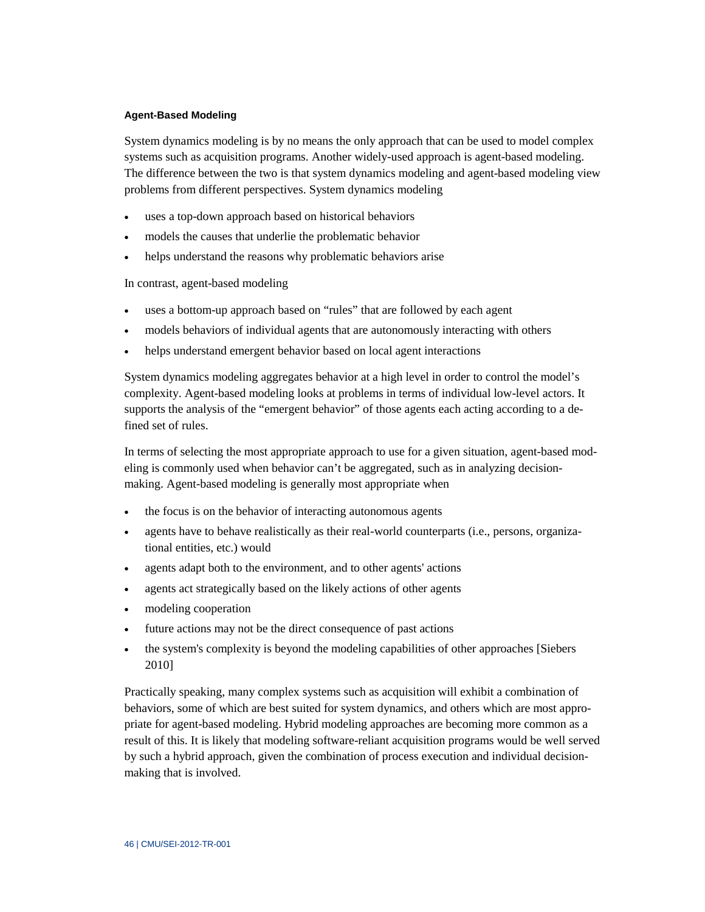#### **Agent-Based Modeling**

System dynamics modeling is by no means the only approach that can be used to model complex systems such as acquisition programs. Another widely-used approach is agent-based modeling. The difference between the two is that system dynamics modeling and agent-based modeling view problems from different perspectives. System dynamics modeling

- uses a top-down approach based on historical behaviors
- models the causes that underlie the problematic behavior
- helps understand the reasons why problematic behaviors arise

In contrast, agent-based modeling

- uses a bottom-up approach based on "rules" that are followed by each agent
- models behaviors of individual agents that are autonomously interacting with others
- helps understand emergent behavior based on local agent interactions

System dynamics modeling aggregates behavior at a high level in order to control the model's complexity. Agent-based modeling looks at problems in terms of individual low-level actors. It supports the analysis of the "emergent behavior" of those agents each acting according to a defined set of rules.

In terms of selecting the most appropriate approach to use for a given situation, agent-based modeling is commonly used when behavior can't be aggregated, such as in analyzing decisionmaking. Agent-based modeling is generally most appropriate when

- the focus is on the behavior of interacting autonomous agents
- agents have to behave realistically as their real-world counterparts (i.e., persons, organizational entities, etc.) would
- agents adapt both to the environment, and to other agents' actions
- agents act strategically based on the likely actions of other agents
- modeling cooperation
- future actions may not be the direct consequence of past actions
- the system's complexity is beyond the modeling capabilities of other approaches [Siebers] 2010]

Practically speaking, many complex systems such as acquisition will exhibit a combination of behaviors, some of which are best suited for system dynamics, and others which are most appropriate for agent-based modeling. Hybrid modeling approaches are becoming more common as a result of this. It is likely that modeling software-reliant acquisition programs would be well served by such a hybrid approach, given the combination of process execution and individual decisionmaking that is involved.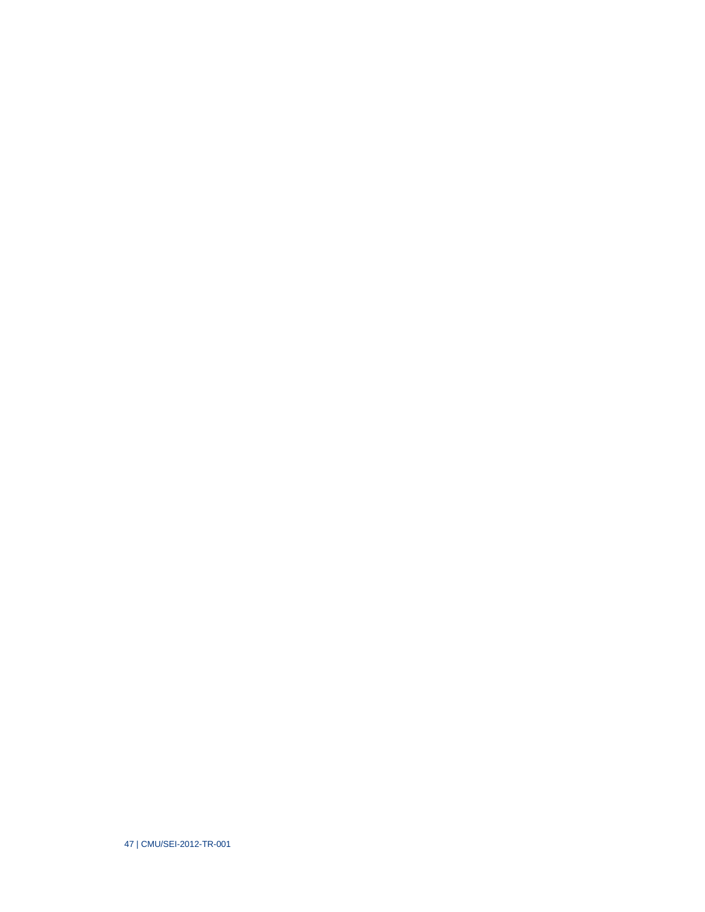47 | CMU/SEI-2012-TR-001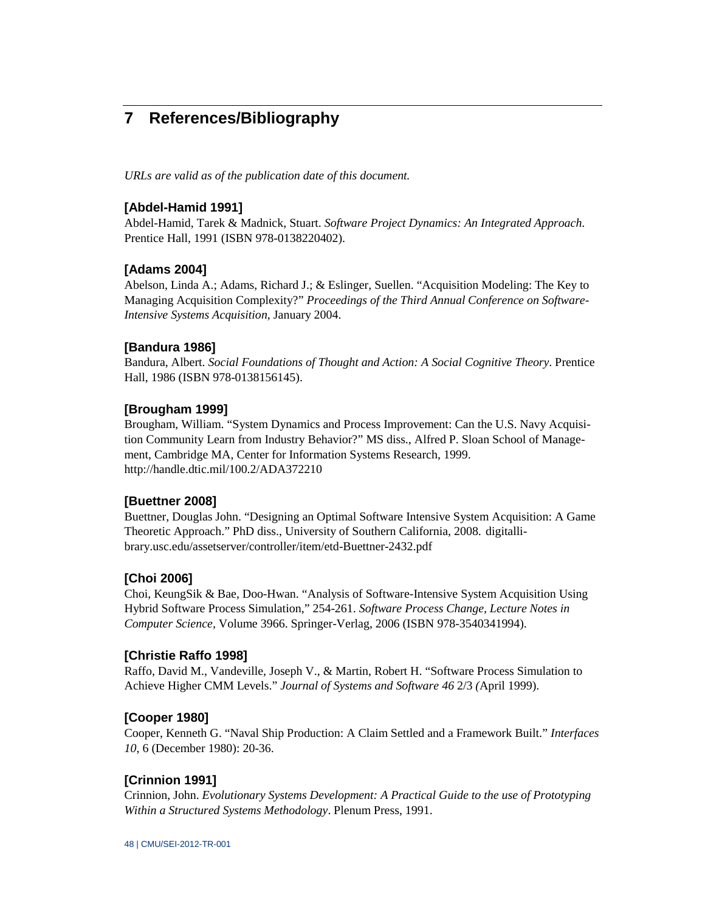# **7 References/Bibliography**

*URLs are valid as of the publication date of this document.* 

## **[Abdel-Hamid 1991]**

Abdel-Hamid, Tarek & Madnick, Stuart. *Software Project Dynamics: An Integrated Approach*. Prentice Hall, 1991 (ISBN 978-0138220402).

## **[Adams 2004]**

Abelson, Linda A.; Adams, Richard J.; & Eslinger, Suellen. "Acquisition Modeling: The Key to Managing Acquisition Complexity?" *Proceedings of the Third Annual Conference on Software-Intensive Systems Acquisition*, January 2004.

## **[Bandura 1986]**

Bandura, Albert. *Social Foundations of Thought and Action: A Social Cognitive Theory*. Prentice Hall, 1986 (ISBN 978-0138156145).

## **[Brougham 1999]**

Brougham, William. "System Dynamics and Process Improvement: Can the U.S. Navy Acquisition Community Learn from Industry Behavior?" MS diss., Alfred P. Sloan School of Management, Cambridge MA, Center for Information Systems Research, 1999. <http://handle.dtic.mil/100.2/ADA372210>

## **[Buettner 2008]**

Buettner, Douglas John. "Designing an Optimal Software Intensive System Acquisition: A Game Theoretic Approach." PhD diss., University of Southern California, 2008. digitallibrary.usc.edu/assetserver/controller/item/etd-Buettner-2432.pdf

# **[Choi 2006]**

Choi, KeungSik & Bae, Doo-Hwan. "Analysis of Software-Intensive System Acquisition Using Hybrid Software Process Simulation," 254-261. *Software Process Change, Lecture Notes in Computer Science,* Volume 3966. Springer-Verlag, 2006 (ISBN 978-3540341994).

## **[Christie Raffo 1998]**

Raffo, David M., Vandeville, Joseph V., & Martin, Robert H. "Software Process Simulation to Achieve Higher CMM Levels." *Journal of Systems and Software 46* 2/3 *(*April 1999).

## **[Cooper 1980]**

Cooper, Kenneth G. "Naval Ship Production: A Claim Settled and a Framework Built." *Interfaces 10*, 6 (December 1980): 20-36.

## **[Crinnion 1991]**

Crinnion, John. *Evolutionary Systems Development: A Practical Guide to the use of Prototyping Within a Structured Systems Methodology*. Plenum Press, 1991.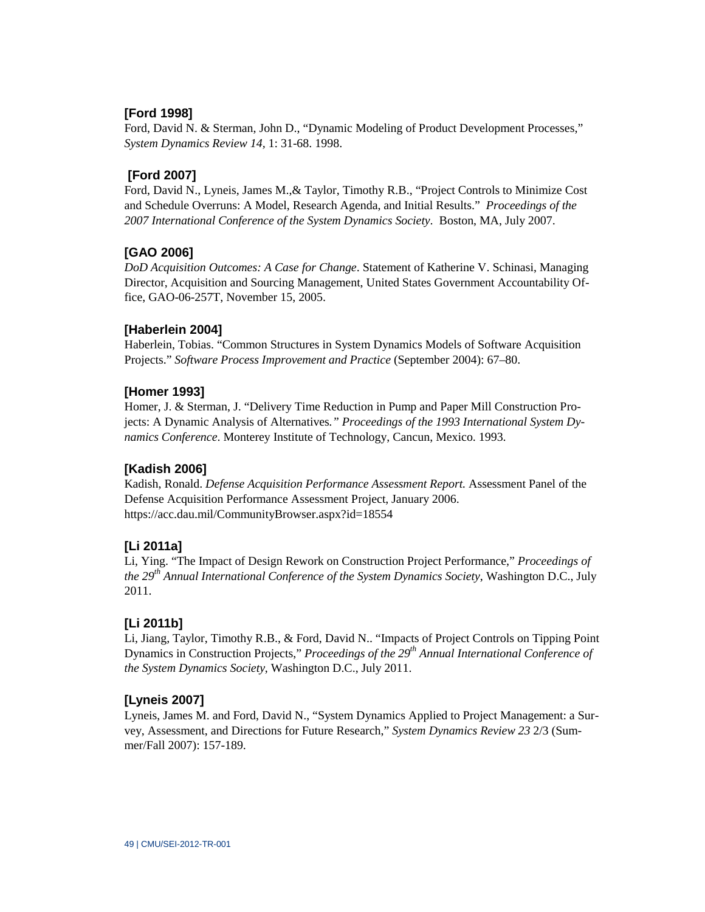# **[Ford 1998]**

Ford, David N. & Sterman, John D., "Dynamic Modeling of Product Development Processes," *System Dynamics Review 14,* 1: 31-68. 1998.

# **[Ford 2007]**

Ford, David N., Lyneis, James M.,& Taylor, Timothy R.B., "Project Controls to Minimize Cost and Schedule Overruns: A Model, Research Agenda, and Initial Results." *Proceedings of the 2007 International Conference of the System Dynamics Society*. Boston, MA, July 2007.

# **[GAO 2006]**

*DoD Acquisition Outcomes: A Case for Change*. Statement of Katherine V. Schinasi, Managing Director, Acquisition and Sourcing Management, United States Government Accountability Office, GAO-06-257T, November 15, 2005.

# **[Haberlein 2004]**

Haberlein, Tobias. "Common Structures in System Dynamics Models of Software Acquisition Projects." *Software Process Improvement and Practice* (September 2004): 67–80.

## **[Homer 1993]**

Homer, J. & Sterman, J. "Delivery Time Reduction in Pump and Paper Mill Construction Projects: A Dynamic Analysis of Alternatives*." Proceedings of the 1993 International System Dynamics Conference*. Monterey Institute of Technology, Cancun, Mexico. 1993.

# **[Kadish 2006]**

Kadish, Ronald. *Defense Acquisition Performance Assessment Report.* Assessment Panel of the Defense Acquisition Performance Assessment Project, January 2006. <https://acc.dau.mil/CommunityBrowser.aspx?id=18554>

# **[Li 2011a]**

Li, Ying. "The Impact of Design Rework on Construction Project Performance," *Proceedings of the 29th Annual International Conference of the System Dynamics Society*, Washington D.C., July 2011.

# **[Li 2011b]**

Li, Jiang, Taylor, Timothy R.B., & Ford, David N.. "Impacts of Project Controls on Tipping Point Dynamics in Construction Projects," *Proceedings of the 29<sup>th</sup> Annual International Conference of the System Dynamics Society*, Washington D.C., July 2011.

## **[Lyneis 2007]**

Lyneis, James M. and Ford, David N., "System Dynamics Applied to Project Management: a Survey, Assessment, and Directions for Future Research," *System Dynamics Review 23* 2/3 (Summer/Fall 2007): 157-189.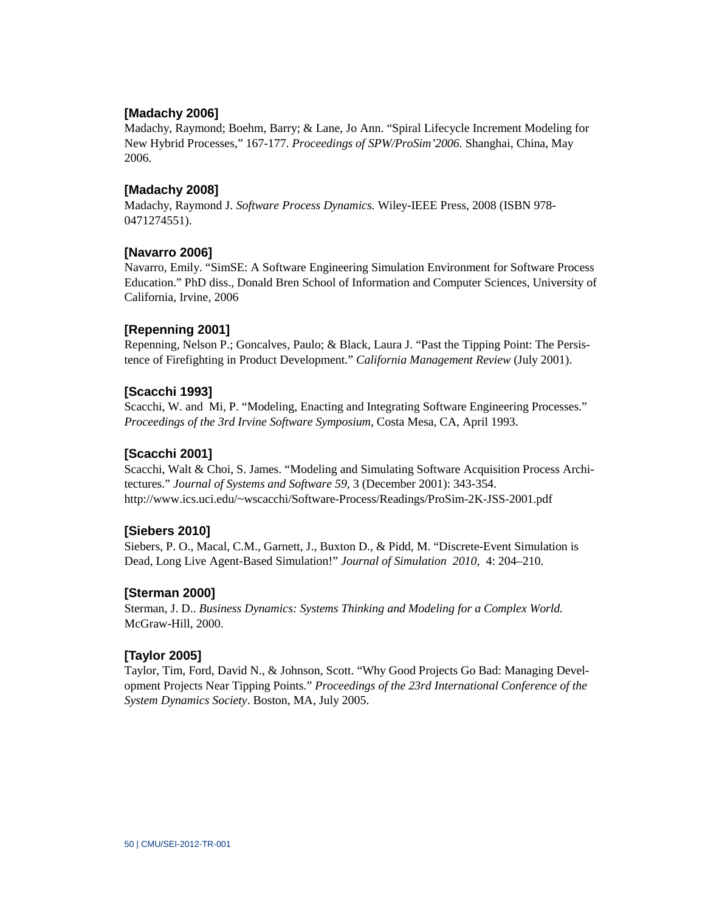## **[Madachy 2006]**

Madachy, Raymond; Boehm, Barry; & Lane, Jo Ann. "Spiral Lifecycle Increment Modeling for New Hybrid Processes," 167-177. *Proceedings of SPW/ProSim'2006.* Shanghai, China, May 2006.

## **[Madachy 2008]**

Madachy, Raymond J. *Software Process Dynamics.* Wiley-IEEE Press, 2008 (ISBN 978- 0471274551).

## **[Navarro 2006]**

Navarro, Emily. "SimSE: A Software Engineering Simulation Environment for Software Process Education." PhD diss., Donald Bren School of Information and Computer Sciences, University of California, Irvine, 2006

# **[Repenning 2001]**

Repenning, Nelson P.; Goncalves, Paulo; & Black, Laura J. "Past the Tipping Point: The Persistence of Firefighting in Product Development." *California Management Review* (July 2001).

## **[Scacchi 1993]**

Scacchi, W. and Mi, P. "Modeling, Enacting and Integrating Software Engineering Processes." *Proceedings of the 3rd Irvine Software Symposium*, Costa Mesa, CA, April 1993.

## **[Scacchi 2001]**

Scacchi, Walt & Choi, S. James. "Modeling and Simulating Software Acquisition Process Architectures." *Journal of Systems and Software 59,* 3 (December 2001): 343-354. <http://www.ics.uci.edu/~wscacchi/Software-Process/Readings/ProSim-2K-JSS-2001.pdf>

## **[Siebers 2010]**

Siebers, P. O., Macal, C.M., Garnett, J., Buxton D., & Pidd, M. "Discrete-Event Simulation is Dead, Long Live Agent-Based Simulation!" *Journal of Simulation 2010*, 4: 204–210.

## **[Sterman 2000]**

Sterman, J. D.. *Business Dynamics: Systems Thinking and Modeling for a Complex World.* McGraw-Hill, 2000.

# **[Taylor 2005]**

Taylor, Tim, Ford, David N., & Johnson, Scott. "Why Good Projects Go Bad: Managing Development Projects Near Tipping Points." *Proceedings of the 23rd International Conference of the System Dynamics Society*. Boston, MA, July 2005.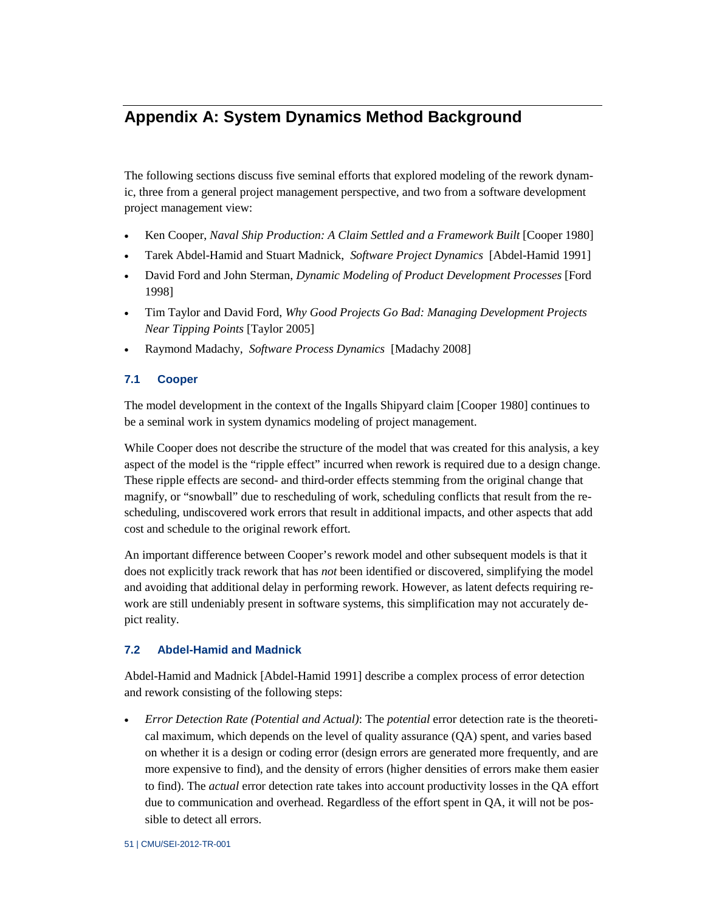# **Appendix A: System Dynamics Method Background**

The following sections discuss five seminal efforts that explored modeling of the rework dynamic, three from a general project management perspective, and two from a software development project management view:

- Ken Cooper, *Naval Ship Production: A Claim Settled and a Framework Built* [Cooper 1980]
- Tarek Abdel-Hamid and Stuart Madnick, *Software Project Dynamics* [Abdel-Hamid 1991]
- David Ford and John Sterman, *Dynamic Modeling of Product Development Processes* [Ford 1998]
- Tim Taylor and David Ford, *Why Good Projects Go Bad: Managing Development Projects Near Tipping Points* [Taylor 2005]
- Raymond Madachy, *Software Process Dynamics* [Madachy 2008]

#### **7.1 Cooper**

The model development in the context of the Ingalls Shipyard claim [Cooper 1980] continues to be a seminal work in system dynamics modeling of project management.

While Cooper does not describe the structure of the model that was created for this analysis, a key aspect of the model is the "ripple effect" incurred when rework is required due to a design change. These ripple effects are second- and third-order effects stemming from the original change that magnify, or "snowball" due to rescheduling of work, scheduling conflicts that result from the rescheduling, undiscovered work errors that result in additional impacts, and other aspects that add cost and schedule to the original rework effort.

An important difference between Cooper's rework model and other subsequent models is that it does not explicitly track rework that has *not* been identified or discovered, simplifying the model and avoiding that additional delay in performing rework. However, as latent defects requiring rework are still undeniably present in software systems, this simplification may not accurately depict reality.

#### **7.2 Abdel-Hamid and Madnick**

Abdel-Hamid and Madnick [Abdel-Hamid 1991] describe a complex process of error detection and rework consisting of the following steps:

• *Error Detection Rate (Potential and Actual)*: The *potential* error detection rate is the theoretical maximum, which depends on the level of quality assurance (QA) spent, and varies based on whether it is a design or coding error (design errors are generated more frequently, and are more expensive to find), and the density of errors (higher densities of errors make them easier to find). The *actual* error detection rate takes into account productivity losses in the QA effort due to communication and overhead. Regardless of the effort spent in QA, it will not be possible to detect all errors.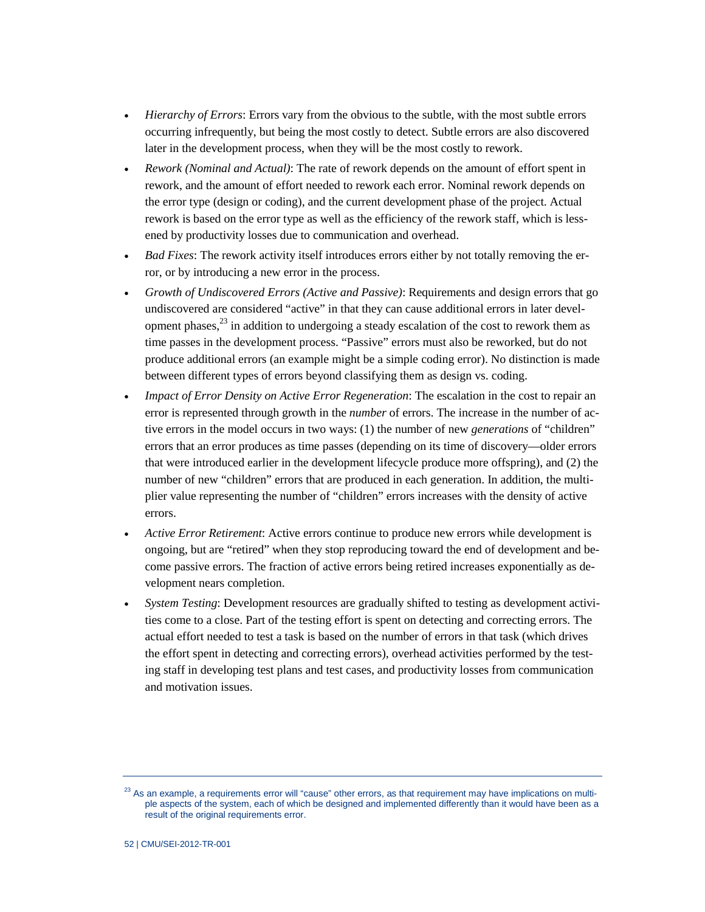- *Hierarchy of Errors*: Errors vary from the obvious to the subtle, with the most subtle errors occurring infrequently, but being the most costly to detect. Subtle errors are also discovered later in the development process, when they will be the most costly to rework.
- *Rework (Nominal and Actual)*: The rate of rework depends on the amount of effort spent in rework, and the amount of effort needed to rework each error. Nominal rework depends on the error type (design or coding), and the current development phase of the project. Actual rework is based on the error type as well as the efficiency of the rework staff, which is lessened by productivity losses due to communication and overhead.
- *Bad Fixes*: The rework activity itself introduces errors either by not totally removing the error, or by introducing a new error in the process.
- *Growth of Undiscovered Errors (Active and Passive)*: Requirements and design errors that go undiscovered are considered "active" in that they can cause additional errors in later development phases, $^{23}$  in addition to undergoing a steady escalation of the cost to rework them as time passes in the development process. "Passive" errors must also be reworked, but do not produce additional errors (an example might be a simple coding error). No distinction is made between different types of errors beyond classifying them as design vs. coding.
- *Impact of Error Density on Active Error Regeneration*: The escalation in the cost to repair an error is represented through growth in the *number* of errors. The increase in the number of active errors in the model occurs in two ways: (1) the number of new *generations* of "children" errors that an error produces as time passes (depending on its time of discovery—older errors that were introduced earlier in the development lifecycle produce more offspring), and (2) the number of new "children" errors that are produced in each generation. In addition, the multiplier value representing the number of "children" errors increases with the density of active errors.
- *Active Error Retirement*: Active errors continue to produce new errors while development is ongoing, but are "retired" when they stop reproducing toward the end of development and become passive errors. The fraction of active errors being retired increases exponentially as development nears completion.
- *System Testing*: Development resources are gradually shifted to testing as development activities come to a close. Part of the testing effort is spent on detecting and correcting errors. The actual effort needed to test a task is based on the number of errors in that task (which drives the effort spent in detecting and correcting errors), overhead activities performed by the testing staff in developing test plans and test cases, and productivity losses from communication and motivation issues.

<sup>&</sup>lt;sup>23</sup> As an example, a requirements error will "cause" other errors, as that requirement may have implications on multiple aspects of the system, each of which be designed and implemented differently than it would have been as a result of the original requirements error.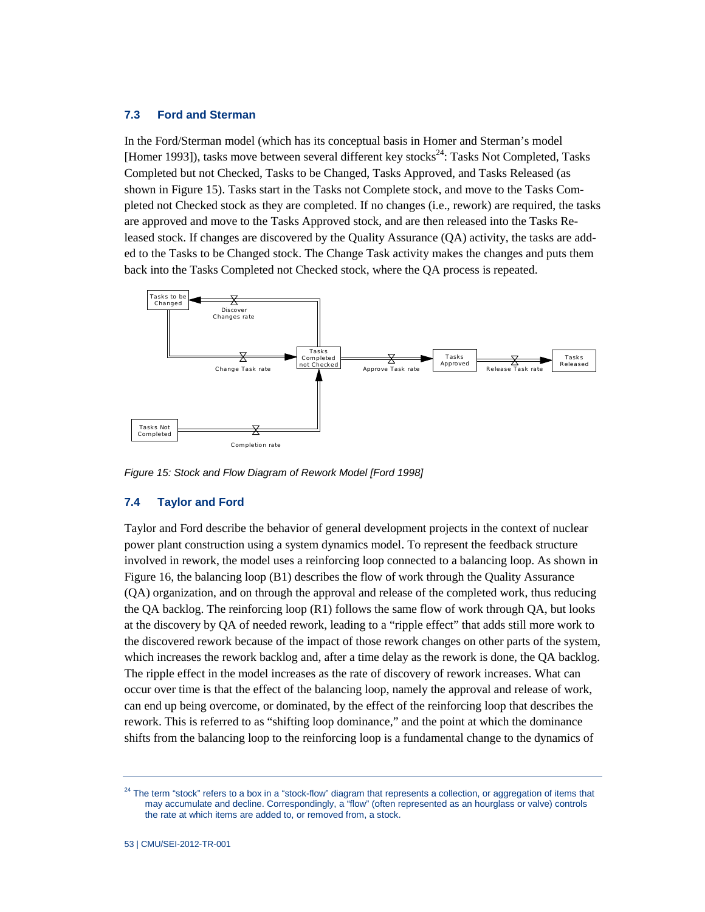#### **7.3 Ford and Sterman**

In the Ford/Sterman model (which has its conceptual basis in Homer and Sterman's model [Homer 1993]), tasks move between several different key stocks<sup>24</sup>: Tasks Not Completed, Tasks Completed but not Checked, Tasks to be Changed, Tasks Approved, and Tasks Released (as shown in Figure 15). Tasks start in the Tasks not Complete stock, and move to the Tasks Completed not Checked stock as they are completed. If no changes (i.e., rework) are required, the tasks are approved and move to the Tasks Approved stock, and are then released into the Tasks Released stock. If changes are discovered by the Quality Assurance (QA) activity, the tasks are added to the Tasks to be Changed stock. The Change Task activity makes the changes and puts them back into the Tasks Completed not Checked stock, where the QA process is repeated.



*Figure 15: Stock and Flow Diagram of Rework Model [Ford 1998]* 

#### **7.4 Taylor and Ford**

Taylor and Ford describe the behavior of general development projects in the context of nuclear power plant construction using a system dynamics model. To represent the feedback structure involved in rework, the model uses a reinforcing loop connected to a balancing loop. As shown in Figure 16, the balancing loop (B1) describes the flow of work through the Quality Assurance (QA) organization, and on through the approval and release of the completed work, thus reducing the QA backlog. The reinforcing loop (R1) follows the same flow of work through QA, but looks at the discovery by QA of needed rework, leading to a "ripple effect" that adds still more work to the discovered rework because of the impact of those rework changes on other parts of the system, which increases the rework backlog and, after a time delay as the rework is done, the QA backlog. The ripple effect in the model increases as the rate of discovery of rework increases. What can occur over time is that the effect of the balancing loop, namely the approval and release of work, can end up being overcome, or dominated, by the effect of the reinforcing loop that describes the rework. This is referred to as "shifting loop dominance," and the point at which the dominance shifts from the balancing loop to the reinforcing loop is a fundamental change to the dynamics of

<sup>&</sup>lt;sup>24</sup> The term "stock" refers to a box in a "stock-flow" diagram that represents a collection, or aggregation of items that may accumulate and decline. Correspondingly, a "flow" (often represented as an hourglass or valve) controls the rate at which items are added to, or removed from, a stock.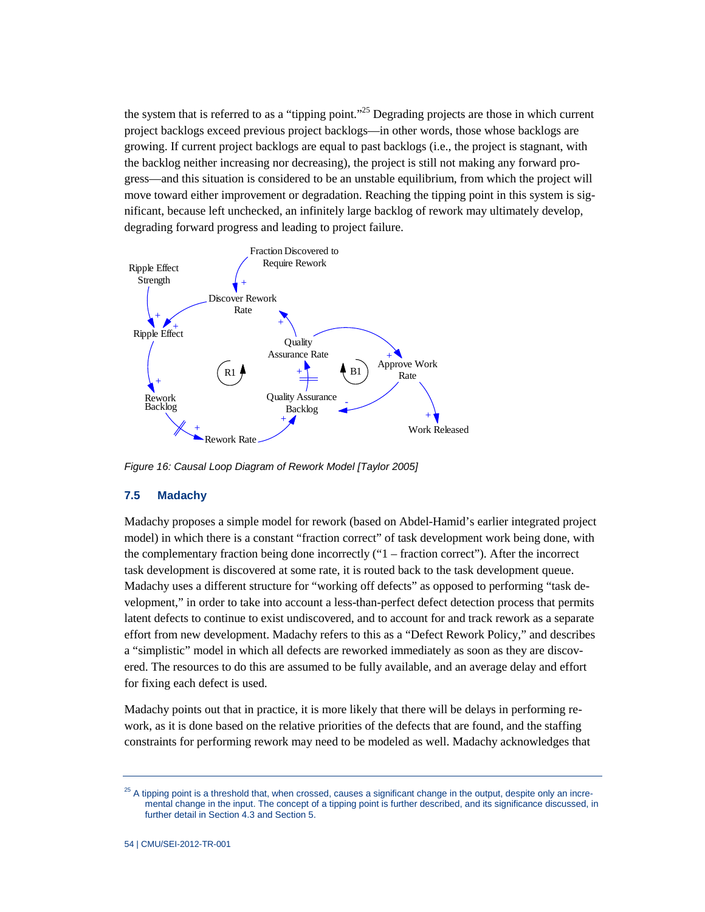the system that is referred to as a "tipping point."<sup>25</sup> Degrading projects are those in which current project backlogs exceed previous project backlogs—in other words, those whose backlogs are growing. If current project backlogs are equal to past backlogs (i.e., the project is stagnant, with the backlog neither increasing nor decreasing), the project is still not making any forward progress—and this situation is considered to be an unstable equilibrium, from which the project will move toward either improvement or degradation. Reaching the tipping point in this system is significant, because left unchecked, an infinitely large backlog of rework may ultimately develop, degrading forward progress and leading to project failure.



*Figure 16: Causal Loop Diagram of Rework Model [Taylor 2005]* 

#### **7.5 Madachy**

Madachy proposes a simple model for rework (based on Abdel-Hamid's earlier integrated project model) in which there is a constant "fraction correct" of task development work being done, with the complementary fraction being done incorrectly ("1 – fraction correct"). After the incorrect task development is discovered at some rate, it is routed back to the task development queue. Madachy uses a different structure for "working off defects" as opposed to performing "task development," in order to take into account a less-than-perfect defect detection process that permits latent defects to continue to exist undiscovered, and to account for and track rework as a separate effort from new development. Madachy refers to this as a "Defect Rework Policy," and describes a "simplistic" model in which all defects are reworked immediately as soon as they are discovered. The resources to do this are assumed to be fully available, and an average delay and effort for fixing each defect is used.

Madachy points out that in practice, it is more likely that there will be delays in performing rework, as it is done based on the relative priorities of the defects that are found, and the staffing constraints for performing rework may need to be modeled as well. Madachy acknowledges that

 $25$  A tipping point is a threshold that, when crossed, causes a significant change in the output, despite only an incremental change in the input. The concept of a tipping point is further described, and its significance discussed, in further detail in Section 4.3 and Section 5.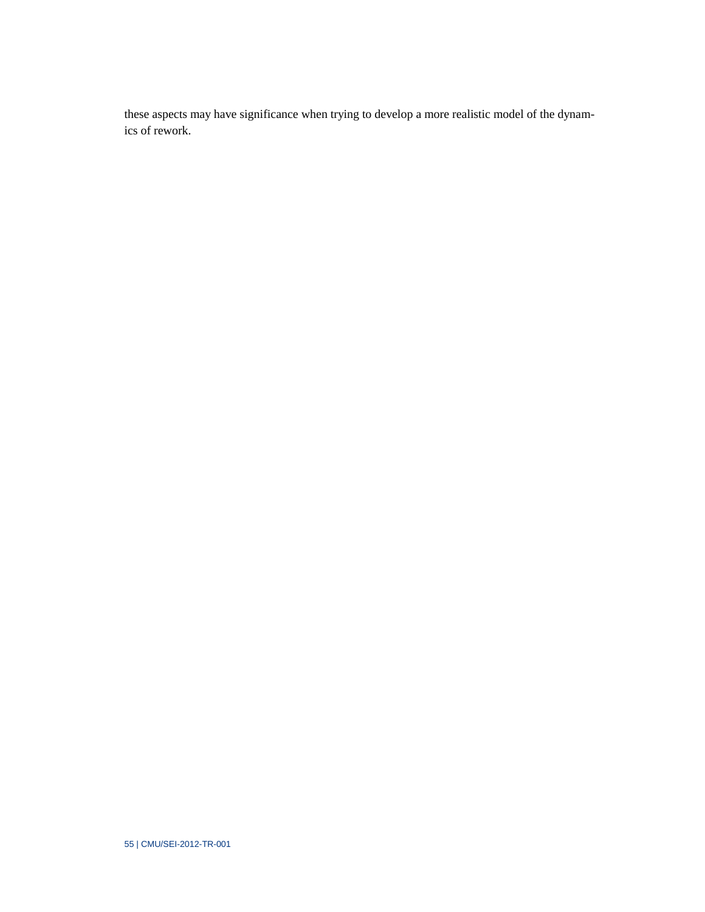these aspects may have significance when trying to develop a more realistic model of the dynamics of rework.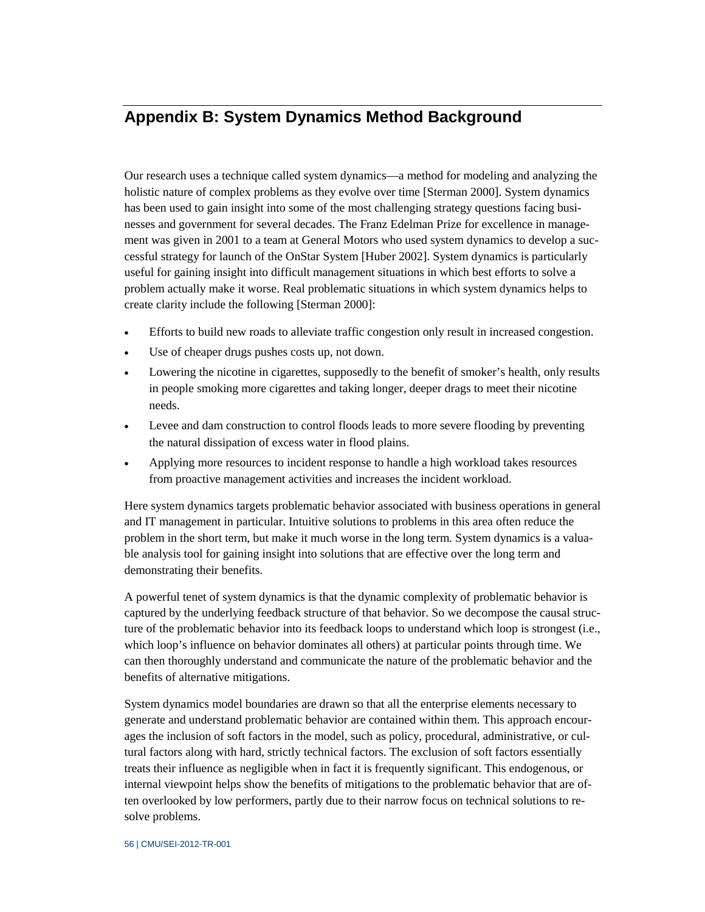# **Appendix B: System Dynamics Method Background**

Our research uses a technique called system dynamics—a method for modeling and analyzing the holistic nature of complex problems as they evolve over time [Sterman 2000]. System dynamics has been used to gain insight into some of the most challenging strategy questions facing businesses and government for several decades. The Franz Edelman Prize for excellence in management was given in 2001 to a team at General Motors who used system dynamics to develop a successful strategy for launch of the OnStar System [Huber 2002]. System dynamics is particularly useful for gaining insight into difficult management situations in which best efforts to solve a problem actually make it worse. Real problematic situations in which system dynamics helps to create clarity include the following [Sterman 2000]:

- Efforts to build new roads to alleviate traffic congestion only result in increased congestion.
- Use of cheaper drugs pushes costs up, not down.
- Lowering the nicotine in cigarettes, supposedly to the benefit of smoker's health, only results in people smoking more cigarettes and taking longer, deeper drags to meet their nicotine needs.
- Levee and dam construction to control floods leads to more severe flooding by preventing the natural dissipation of excess water in flood plains.
- Applying more resources to incident response to handle a high workload takes resources from proactive management activities and increases the incident workload.

Here system dynamics targets problematic behavior associated with business operations in general and IT management in particular. Intuitive solutions to problems in this area often reduce the problem in the short term, but make it much worse in the long term. System dynamics is a valuable analysis tool for gaining insight into solutions that are effective over the long term and demonstrating their benefits.

A powerful tenet of system dynamics is that the dynamic complexity of problematic behavior is captured by the underlying feedback structure of that behavior. So we decompose the causal structure of the problematic behavior into its feedback loops to understand which loop is strongest (i.e., which loop's influence on behavior dominates all others) at particular points through time. We can then thoroughly understand and communicate the nature of the problematic behavior and the benefits of alternative mitigations.

System dynamics model boundaries are drawn so that all the enterprise elements necessary to generate and understand problematic behavior are contained within them. This approach encourages the inclusion of soft factors in the model, such as policy, procedural, administrative, or cultural factors along with hard, strictly technical factors. The exclusion of soft factors essentially treats their influence as negligible when in fact it is frequently significant. This endogenous, or internal viewpoint helps show the benefits of mitigations to the problematic behavior that are often overlooked by low performers, partly due to their narrow focus on technical solutions to resolve problems.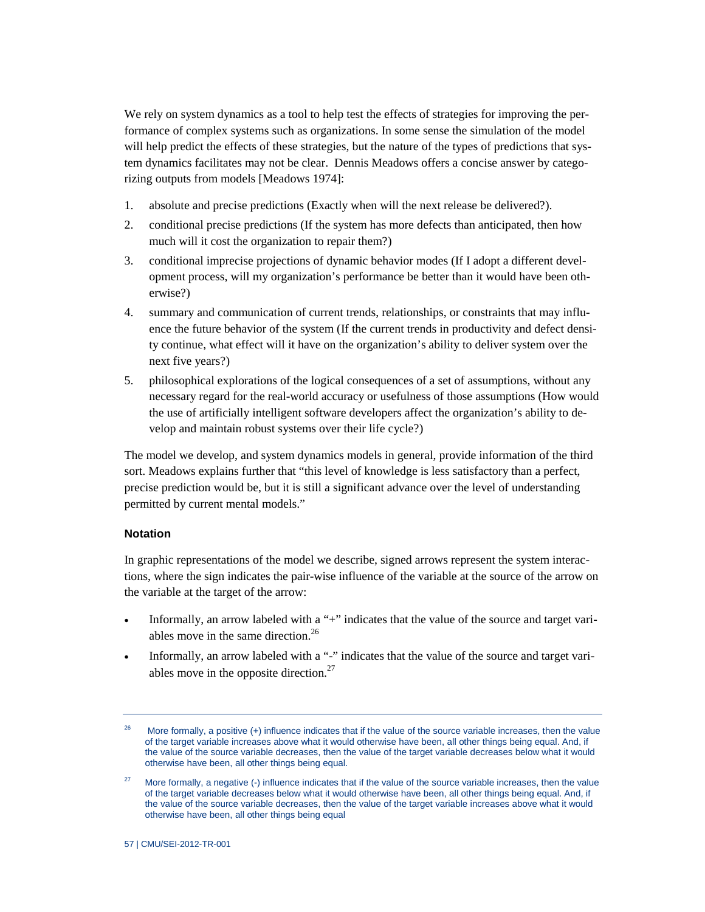We rely on system dynamics as a tool to help test the effects of strategies for improving the performance of complex systems such as organizations. In some sense the simulation of the model will help predict the effects of these strategies, but the nature of the types of predictions that system dynamics facilitates may not be clear. Dennis Meadows offers a concise answer by categorizing outputs from models [Meadows 1974]:

- 1. absolute and precise predictions (Exactly when will the next release be delivered?).
- 2. conditional precise predictions (If the system has more defects than anticipated, then how much will it cost the organization to repair them?)
- 3. conditional imprecise projections of dynamic behavior modes (If I adopt a different development process, will my organization's performance be better than it would have been otherwise?)
- 4. summary and communication of current trends, relationships, or constraints that may influence the future behavior of the system (If the current trends in productivity and defect density continue, what effect will it have on the organization's ability to deliver system over the next five years?)
- 5. philosophical explorations of the logical consequences of a set of assumptions, without any necessary regard for the real-world accuracy or usefulness of those assumptions (How would the use of artificially intelligent software developers affect the organization's ability to develop and maintain robust systems over their life cycle?)

The model we develop, and system dynamics models in general, provide information of the third sort. Meadows explains further that "this level of knowledge is less satisfactory than a perfect, precise prediction would be, but it is still a significant advance over the level of understanding permitted by current mental models."

## **Notation**

In graphic representations of the model we describe, signed arrows represent the system interactions, where the sign indicates the pair-wise influence of the variable at the source of the arrow on the variable at the target of the arrow:

- Informally, an arrow labeled with a "+" indicates that the value of the source and target variables move in the same direction.26
- Informally, an arrow labeled with a "-" indicates that the value of the source and target variables move in the opposite direction. $27$

<sup>&</sup>lt;sup>26</sup> More formally, a positive  $(+)$  influence indicates that if the value of the source variable increases, then the value of the target variable increases above what it would otherwise have been, all other things being equal. And, if the value of the source variable decreases, then the value of the target variable decreases below what it would otherwise have been, all other things being equal.

<sup>&</sup>lt;sup>27</sup> More formally, a negative (-) influence indicates that if the value of the source variable increases, then the value of the target variable decreases below what it would otherwise have been, all other things being equal. And, if the value of the source variable decreases, then the value of the target variable increases above what it would otherwise have been, all other things being equal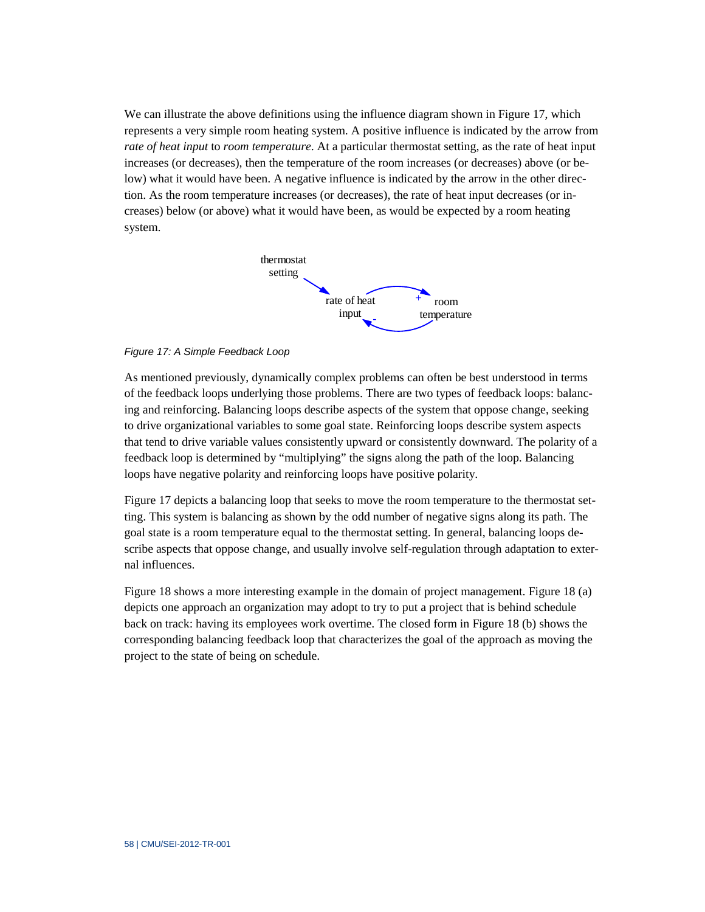We can illustrate the above definitions using the influence diagram shown in Figure 17, which represents a very simple room heating system. A positive influence is indicated by the arrow from *rate of heat input* to *room temperature*. At a particular thermostat setting, as the rate of heat input increases (or decreases), then the temperature of the room increases (or decreases) above (or below) what it would have been. A negative influence is indicated by the arrow in the other direction. As the room temperature increases (or decreases), the rate of heat input decreases (or increases) below (or above) what it would have been, as would be expected by a room heating system.



#### *Figure 17: A Simple Feedback Loop*

As mentioned previously, dynamically complex problems can often be best understood in terms of the feedback loops underlying those problems. There are two types of feedback loops: balancing and reinforcing. Balancing loops describe aspects of the system that oppose change, seeking to drive organizational variables to some goal state. Reinforcing loops describe system aspects that tend to drive variable values consistently upward or consistently downward. The polarity of a feedback loop is determined by "multiplying" the signs along the path of the loop. Balancing loops have negative polarity and reinforcing loops have positive polarity.

Figure 17 depicts a balancing loop that seeks to move the room temperature to the thermostat setting. This system is balancing as shown by the odd number of negative signs along its path. The goal state is a room temperature equal to the thermostat setting. In general, balancing loops describe aspects that oppose change, and usually involve self-regulation through adaptation to external influences.

Figure 18 shows a more interesting example in the domain of project management. Figure 18 (a) depicts one approach an organization may adopt to try to put a project that is behind schedule back on track: having its employees work overtime. The closed form in Figure 18 (b) shows the corresponding balancing feedback loop that characterizes the goal of the approach as moving the project to the state of being on schedule.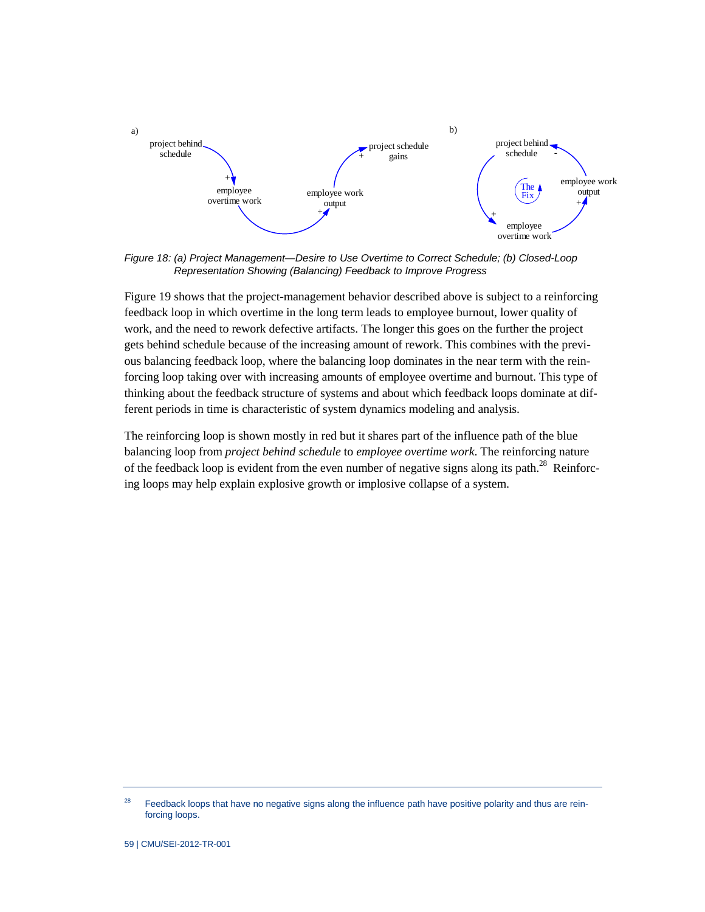

*Figure 18: (a) Project Management—Desire to Use Overtime to Correct Schedule; (b) Closed-Loop Representation Showing (Balancing) Feedback to Improve Progress* 

Figure 19 shows that the project-management behavior described above is subject to a reinforcing feedback loop in which overtime in the long term leads to employee burnout, lower quality of work, and the need to rework defective artifacts. The longer this goes on the further the project gets behind schedule because of the increasing amount of rework. This combines with the previous balancing feedback loop, where the balancing loop dominates in the near term with the reinforcing loop taking over with increasing amounts of employee overtime and burnout. This type of thinking about the feedback structure of systems and about which feedback loops dominate at different periods in time is characteristic of system dynamics modeling and analysis.

The reinforcing loop is shown mostly in red but it shares part of the influence path of the blue balancing loop from *project behind schedule* to *employee overtime work*. The reinforcing nature of the feedback loop is evident from the even number of negative signs along its path.<sup>28</sup> Reinforcing loops may help explain explosive growth or implosive collapse of a system.

<sup>&</sup>lt;sup>28</sup> Feedback loops that have no negative signs along the influence path have positive polarity and thus are reinforcing loops.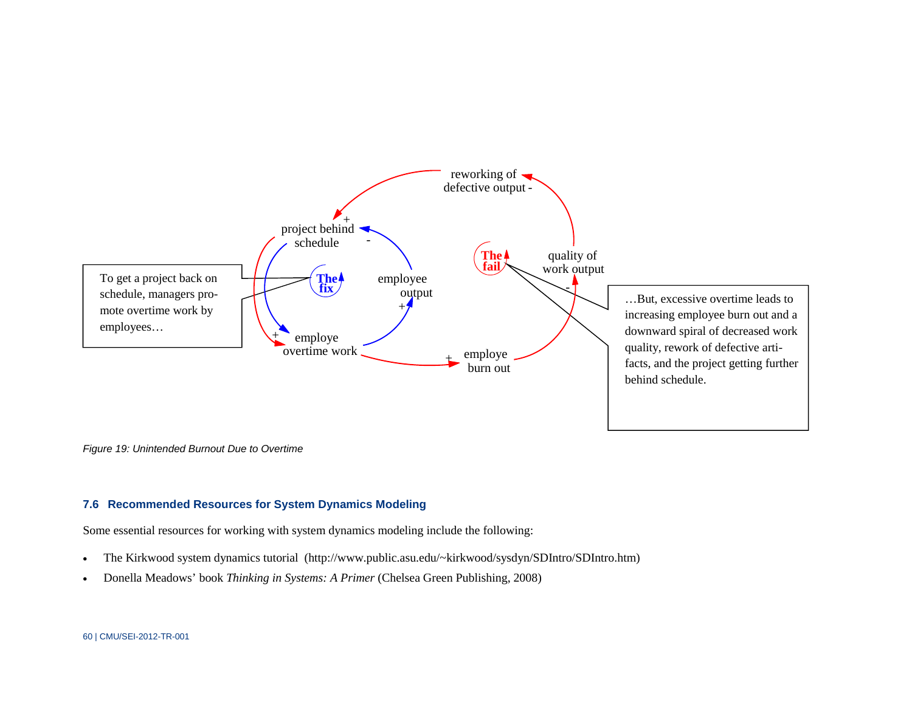

*Figure 19: Unintended Burnout Due to Overtime* 

## **7.6 Recommended Resources for System Dynamics Modeling**

Some essential resources for working with system dynamics modeling include the following:

- •The Kirkwood system dynamics tutorial ([http://www.public.asu.edu/~kirkwood/sysdyn/SDIntro/SDIntro.htm\)](http://www.public.asu.edu/~kirkwood/sysdyn/SDIntro/SDIntro.htm)
- •Donella Meadows' book *Thinking in Systems: A Primer* (Chelsea Green Publishing, 2008)

#### 60 | CMU/SEI-2012-TR-001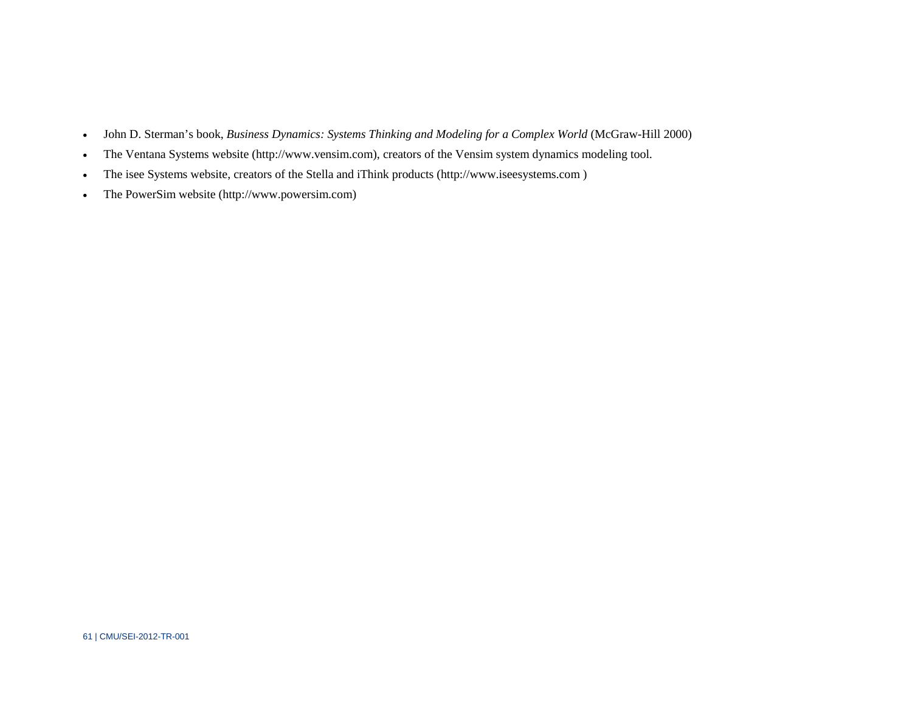- •John D. Sterman's book, *Business Dynamics: Systems Thinking and Modeling for a Complex World* (McGraw-Hill 2000)
- •The Ventana Systems website [\(http://www.vensim.com\),](http://www.vensim.com) creators of the Vensim system dynamics modeling tool.
- •The isee Systems website, creators of the Stella and iThink products ([http://www.iseesystems.com \)](http://www.iseesystems.com)
- •The PowerSim website [\(http://www.powersim.com\)](http://www.powersim.com)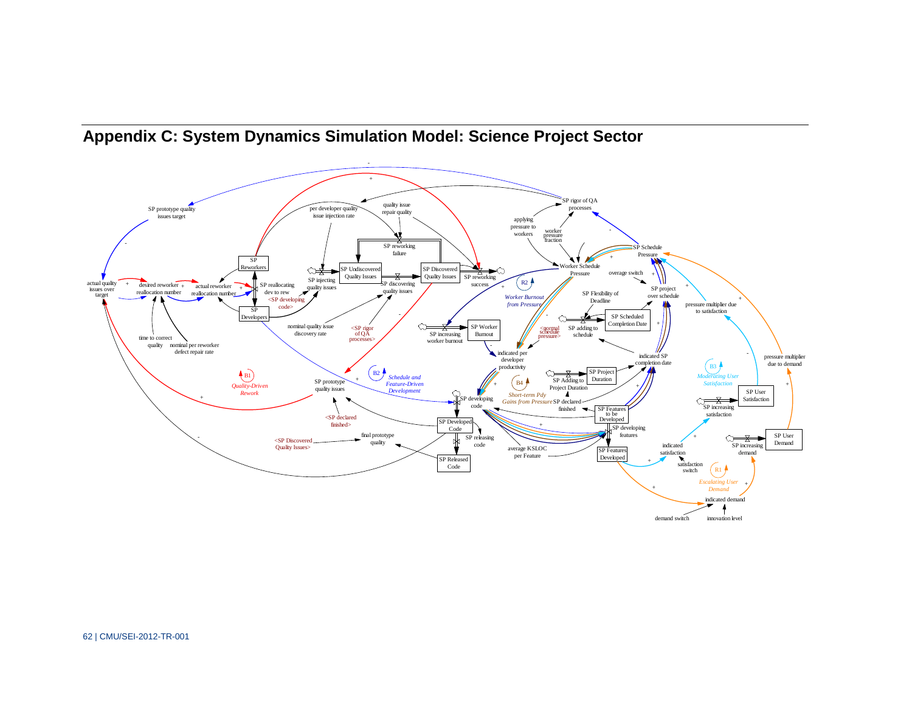

# **Appendix C: System Dynamics Simulation Model: Science Project Sector**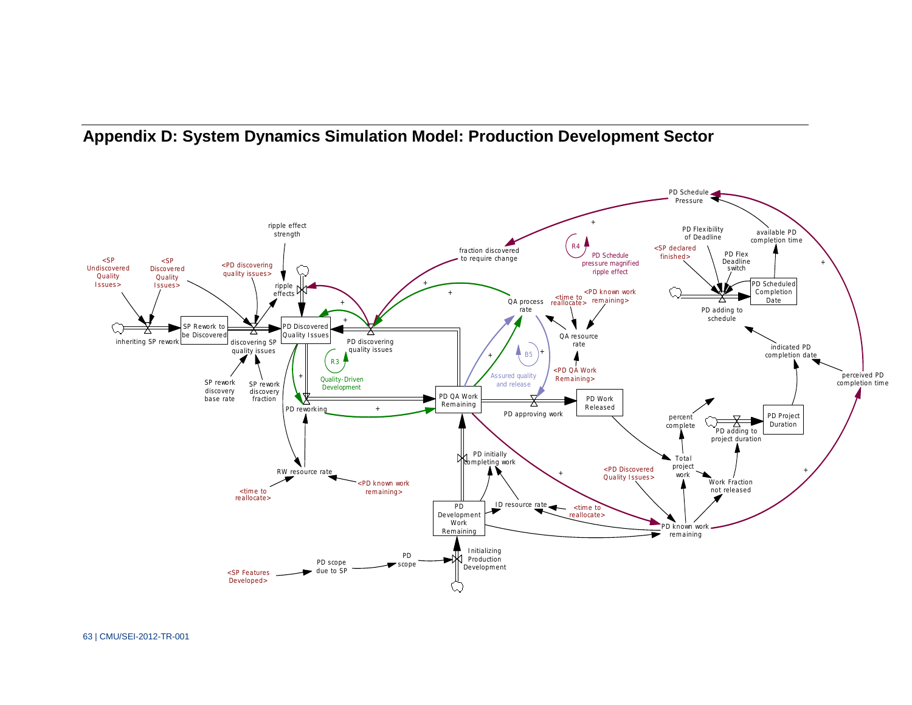



63 | CMU/SEI-2012-TR-001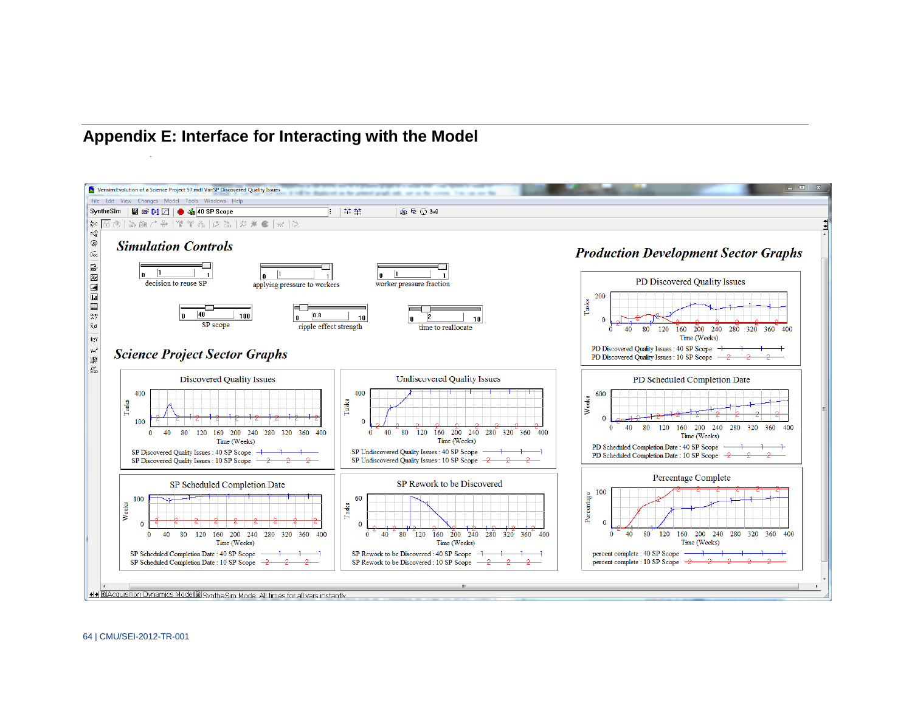#### **Appendix E: Interface for Interacting with the Model**

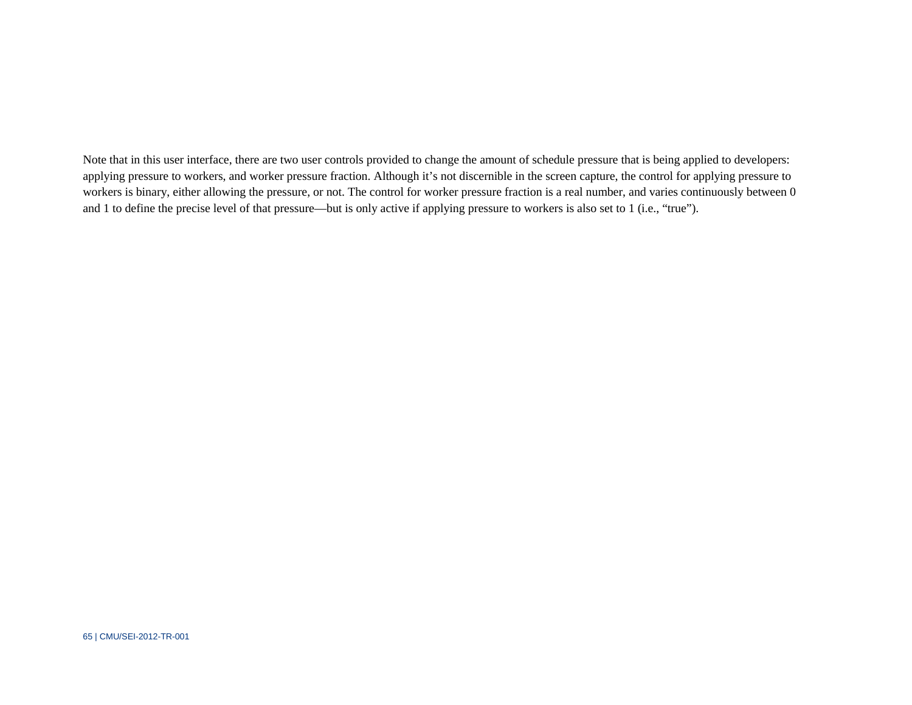Note that in this user interface, there are two user controls provided to change the amount of schedule pressure that is being applied to developers: applying pressure to workers, and worker pressure fraction. Although it's not discernible in the screen capture, the control for applying pressure to workers is binary, either allowing the pressure, or not. The control for worker pressure fraction is a real number, and varies continuously between 0 and 1 to define the precise level of that pressure—but is only active if applying pressure to workers is also set to 1 (i.e., "true").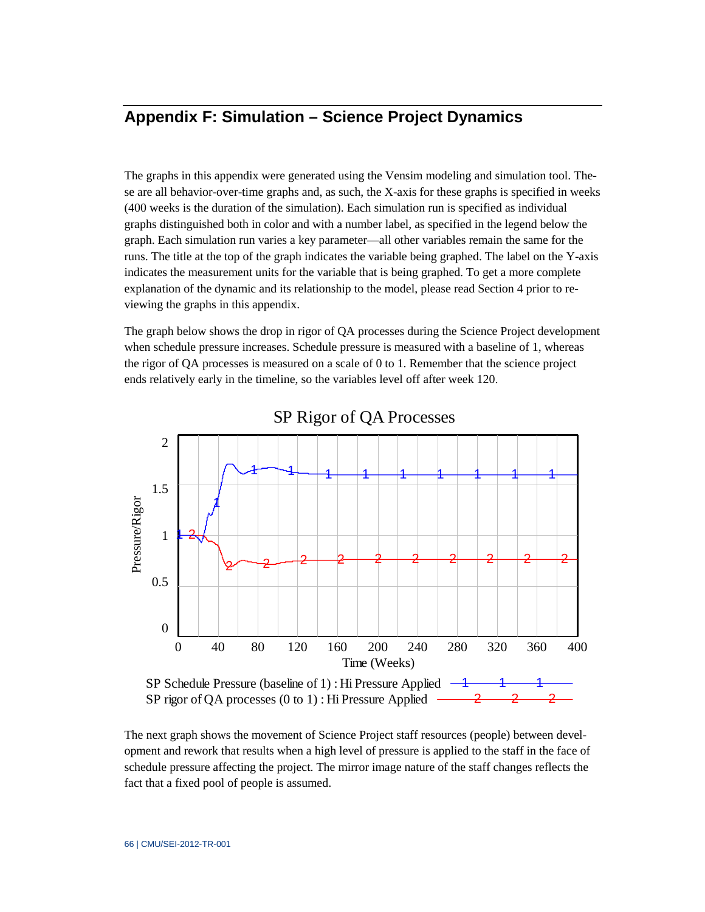# **Appendix F: Simulation – Science Project Dynamics**

The graphs in this appendix were generated using the Vensim modeling and simulation tool. These are all behavior-over-time graphs and, as such, the X-axis for these graphs is specified in weeks (400 weeks is the duration of the simulation). Each simulation run is specified as individual graphs distinguished both in color and with a number label, as specified in the legend below the graph. Each simulation run varies a key parameter—all other variables remain the same for the runs. The title at the top of the graph indicates the variable being graphed. The label on the Y-axis indicates the measurement units for the variable that is being graphed. To get a more complete explanation of the dynamic and its relationship to the model, please read Section 4 prior to reviewing the graphs in this appendix.

The graph below shows the drop in rigor of QA processes during the Science Project development when schedule pressure increases. Schedule pressure is measured with a baseline of 1, whereas the rigor of QA processes is measured on a scale of 0 to 1. Remember that the science project ends relatively early in the timeline, so the variables level off after week 120.



SP Rigor of QA Processes

The next graph shows the movement of Science Project staff resources (people) between development and rework that results when a high level of pressure is applied to the staff in the face of schedule pressure affecting the project. The mirror image nature of the staff changes reflects the fact that a fixed pool of people is assumed.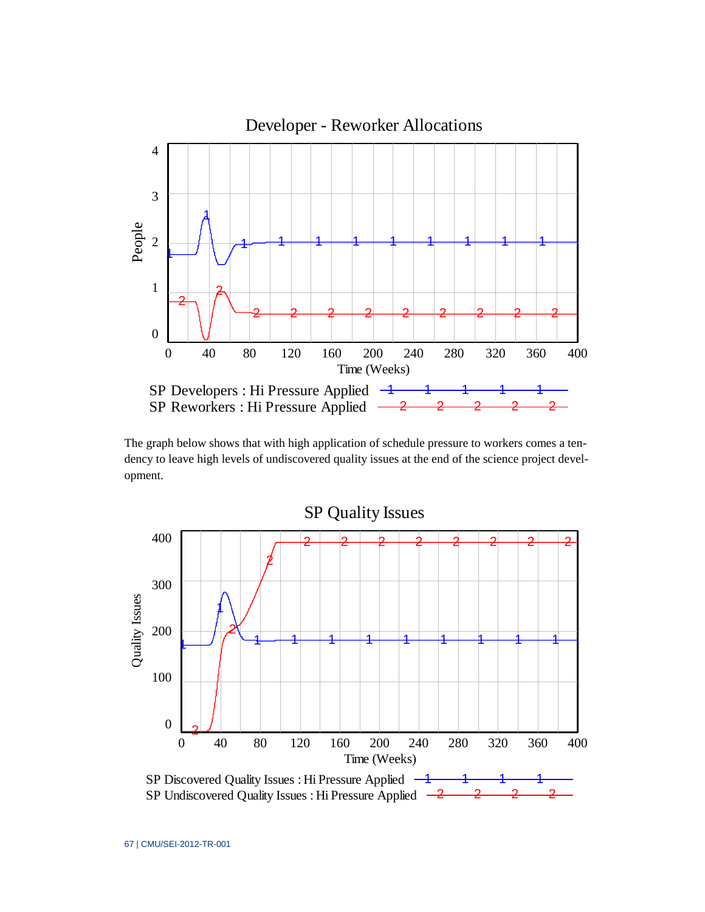

The graph below shows that with high application of schedule pressure to workers comes a tendency to leave high levels of undiscovered quality issues at the end of the science project development.



SP Undiscovered Quality Issues : Hi Pressure Applied  $\frac{-2}{2}$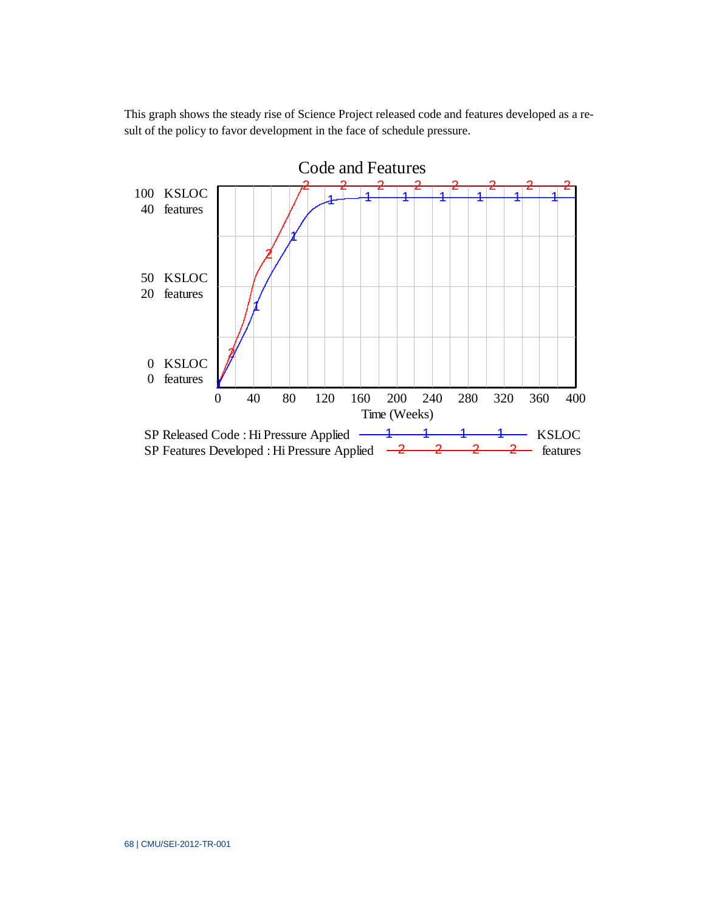This graph shows the steady rise of Science Project released code and features developed as a result of the policy to favor development in the face of schedule pressure.

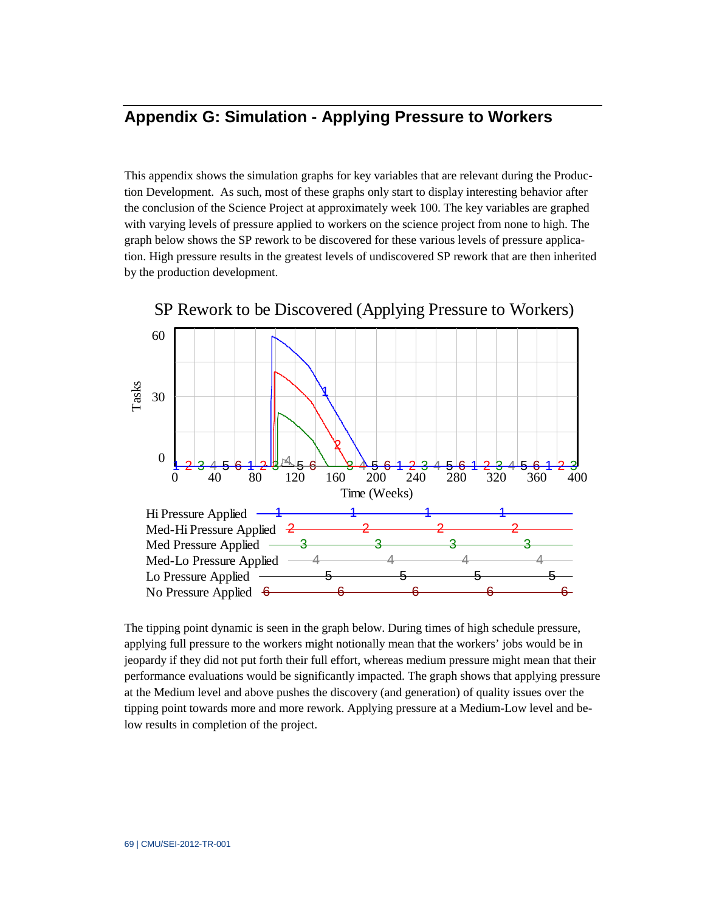# **Appendix G: Simulation - Applying Pressure to Workers**

This appendix shows the simulation graphs for key variables that are relevant during the Production Development. As such, most of these graphs only start to display interesting behavior after the conclusion of the Science Project at approximately week 100. The key variables are graphed with varying levels of pressure applied to workers on the science project from none to high. The graph below shows the SP rework to be discovered for these various levels of pressure application. High pressure results in the greatest levels of undiscovered SP rework that are then inherited by the production development.



SP Rework to be Discovered (Applying Pressure to Workers)

The tipping point dynamic is seen in the graph below. During times of high schedule pressure, applying full pressure to the workers might notionally mean that the workers' jobs would be in jeopardy if they did not put forth their full effort, whereas medium pressure might mean that their performance evaluations would be significantly impacted. The graph shows that applying pressure at the Medium level and above pushes the discovery (and generation) of quality issues over the tipping point towards more and more rework. Applying pressure at a Medium-Low level and below results in completion of the project.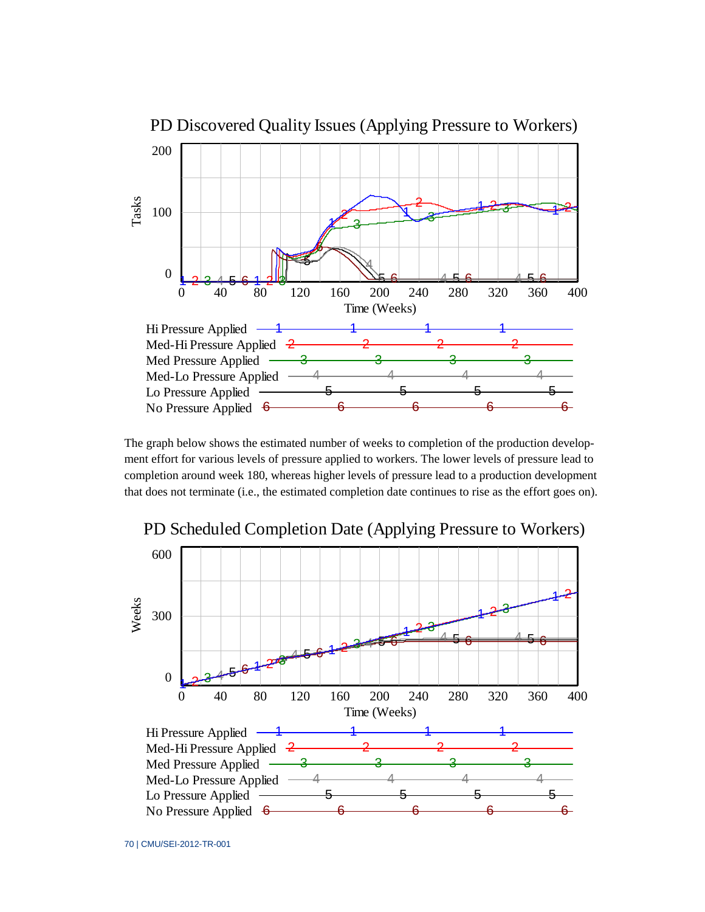

The graph below shows the estimated number of weeks to completion of the production development effort for various levels of pressure applied to workers. The lower levels of pressure lead to completion around week 180, whereas higher levels of pressure lead to a production development that does not terminate (i.e., the estimated completion date continues to rise as the effort goes on).



PD Scheduled Completion Date (Applying Pressure to Workers)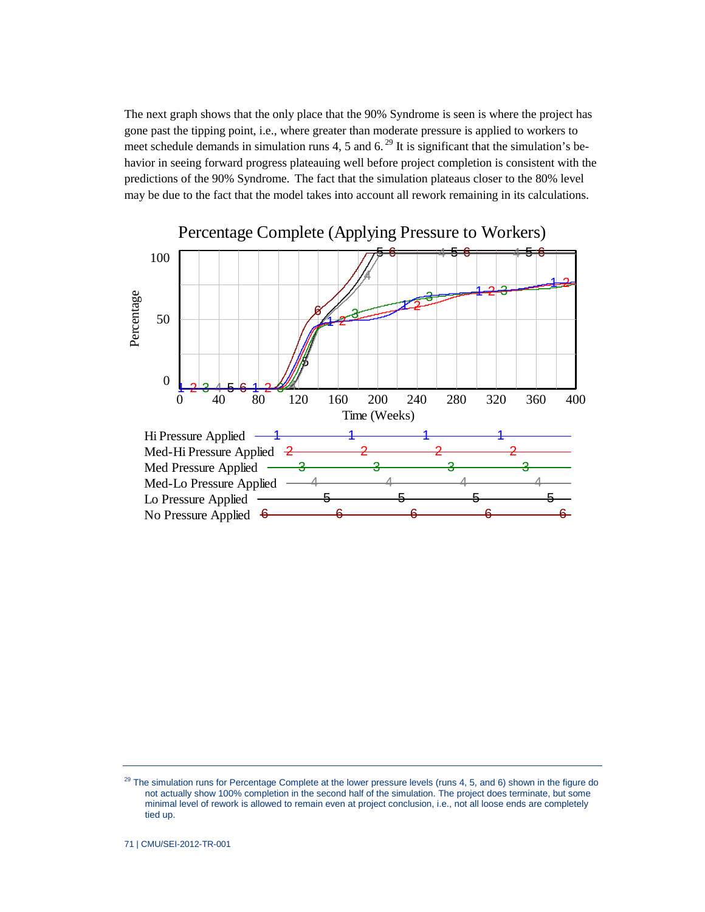The next graph shows that the only place that the 90% Syndrome is seen is where the project has gone past the tipping point, i.e., where greater than moderate pressure is applied to workers to meet schedule demands in simulation runs 4, 5 and  $6.^{29}$  It is significant that the simulation's behavior in seeing forward progress plateauing well before project completion is consistent with the predictions of the 90% Syndrome. The fact that the simulation plateaus closer to the 80% level may be due to the fact that the model takes into account all rework remaining in its calculations.



<sup>&</sup>lt;sup>29</sup> The simulation runs for Percentage Complete at the lower pressure levels (runs 4, 5, and 6) shown in the figure do not actually show 100% completion in the second half of the simulation. The project does terminate, but some minimal level of rework is allowed to remain even at project conclusion, i.e., not all loose ends are completely tied up.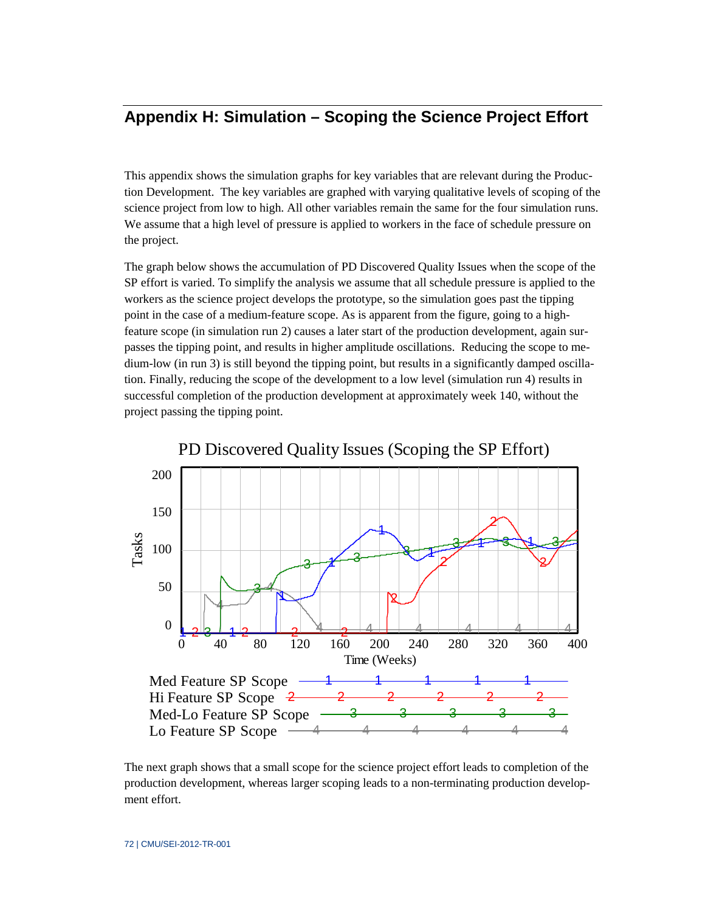# **Appendix H: Simulation – Scoping the Science Project Effort**

This appendix shows the simulation graphs for key variables that are relevant during the Production Development. The key variables are graphed with varying qualitative levels of scoping of the science project from low to high. All other variables remain the same for the four simulation runs. We assume that a high level of pressure is applied to workers in the face of schedule pressure on the project.

The graph below shows the accumulation of PD Discovered Quality Issues when the scope of the SP effort is varied. To simplify the analysis we assume that all schedule pressure is applied to the workers as the science project develops the prototype, so the simulation goes past the tipping point in the case of a medium-feature scope. As is apparent from the figure, going to a highfeature scope (in simulation run 2) causes a later start of the production development, again surpasses the tipping point, and results in higher amplitude oscillations. Reducing the scope to medium-low (in run 3) is still beyond the tipping point, but results in a significantly damped oscillation. Finally, reducing the scope of the development to a low level (simulation run 4) results in successful completion of the production development at approximately week 140, without the project passing the tipping point.



The next graph shows that a small scope for the science project effort leads to completion of the production development, whereas larger scoping leads to a non-terminating production development effort.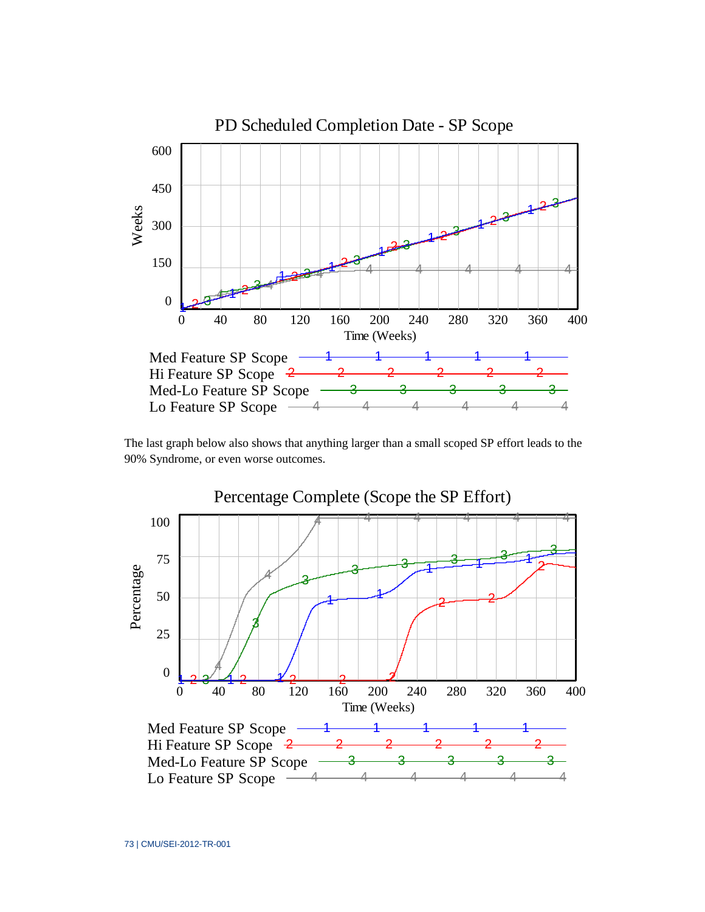

The last graph below also shows that anything larger than a small scoped SP effort leads to the 90% Syndrome, or even worse outcomes.

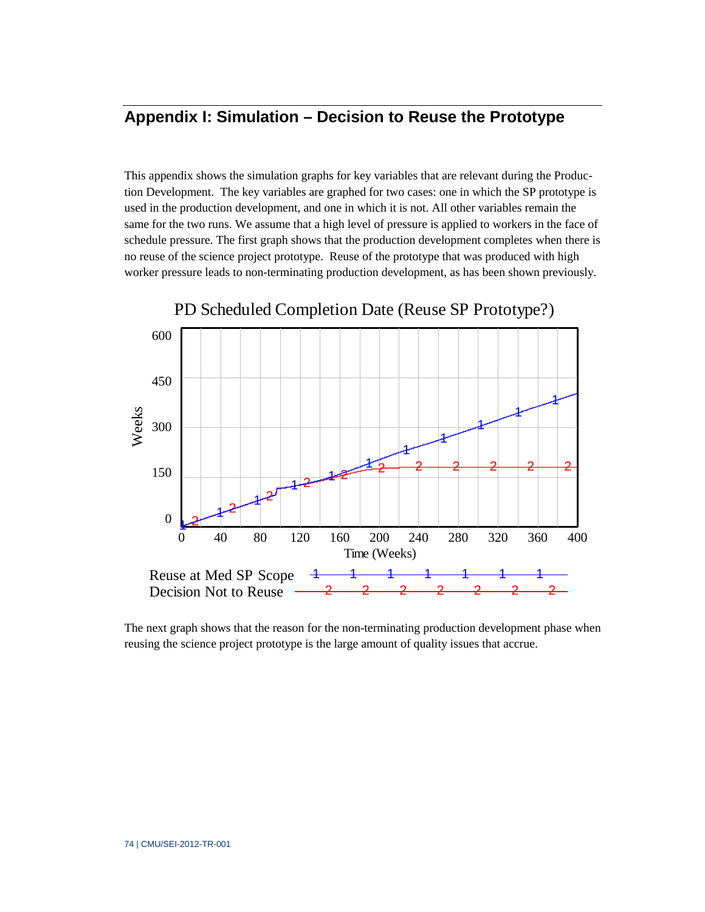#### **Appendix I: Simulation – Decision to Reuse the Prototype**

This appendix shows the simulation graphs for key variables that are relevant during the Production Development. The key variables are graphed for two cases: one in which the SP prototype is used in the production development, and one in which it is not. All other variables remain the same for the two runs. We assume that a high level of pressure is applied to workers in the face of schedule pressure. The first graph shows that the production development completes when there is no reuse of the science project prototype. Reuse of the prototype that was produced with high worker pressure leads to non-terminating production development, as has been shown previously.



PD Scheduled Completion Date (Reuse SP Prototype?)

The next graph shows that the reason for the non-terminating production development phase when reusing the science project prototype is the large amount of quality issues that accrue.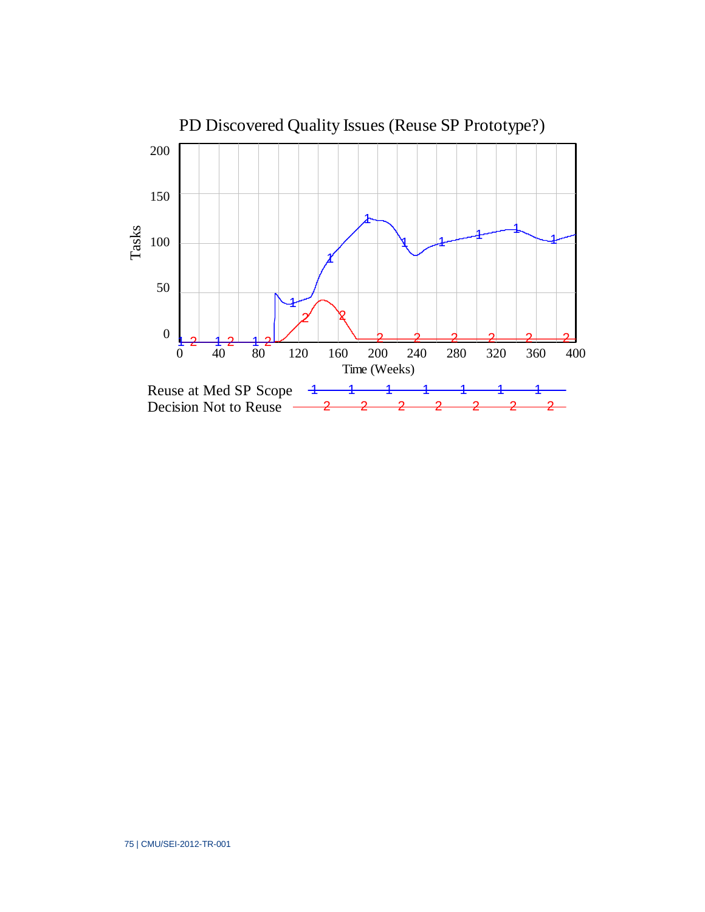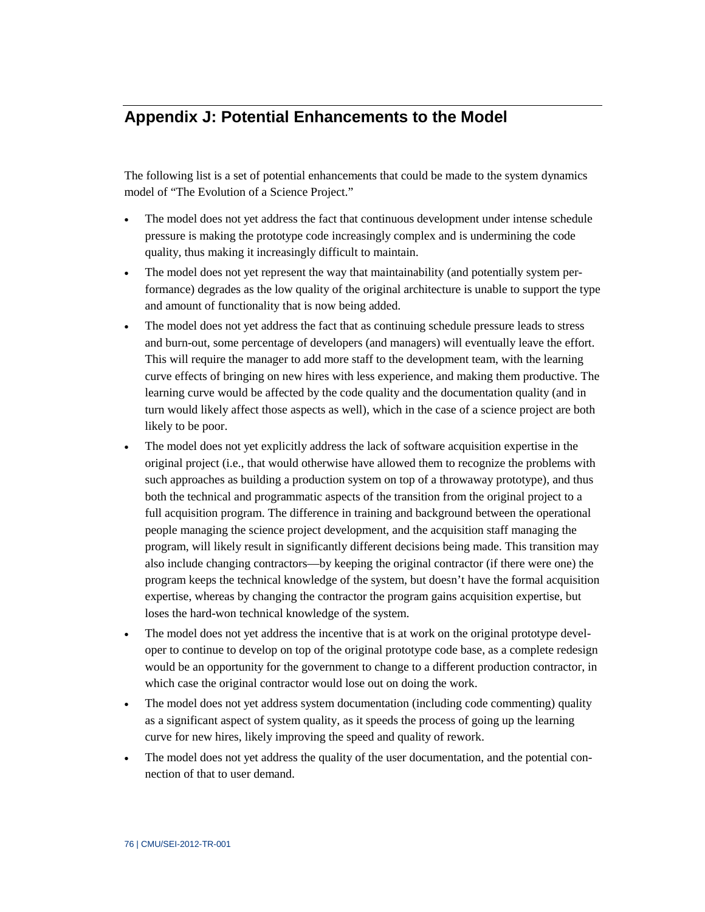#### **Appendix J: Potential Enhancements to the Model**

The following list is a set of potential enhancements that could be made to the system dynamics model of "The Evolution of a Science Project."

- The model does not yet address the fact that continuous development under intense schedule pressure is making the prototype code increasingly complex and is undermining the code quality, thus making it increasingly difficult to maintain.
- The model does not yet represent the way that maintainability (and potentially system performance) degrades as the low quality of the original architecture is unable to support the type and amount of functionality that is now being added.
- The model does not yet address the fact that as continuing schedule pressure leads to stress and burn-out, some percentage of developers (and managers) will eventually leave the effort. This will require the manager to add more staff to the development team, with the learning curve effects of bringing on new hires with less experience, and making them productive. The learning curve would be affected by the code quality and the documentation quality (and in turn would likely affect those aspects as well), which in the case of a science project are both likely to be poor.
- The model does not yet explicitly address the lack of software acquisition expertise in the original project (i.e., that would otherwise have allowed them to recognize the problems with such approaches as building a production system on top of a throwaway prototype), and thus both the technical and programmatic aspects of the transition from the original project to a full acquisition program. The difference in training and background between the operational people managing the science project development, and the acquisition staff managing the program, will likely result in significantly different decisions being made. This transition may also include changing contractors—by keeping the original contractor (if there were one) the program keeps the technical knowledge of the system, but doesn't have the formal acquisition expertise, whereas by changing the contractor the program gains acquisition expertise, but loses the hard-won technical knowledge of the system.
- The model does not yet address the incentive that is at work on the original prototype developer to continue to develop on top of the original prototype code base, as a complete redesign would be an opportunity for the government to change to a different production contractor, in which case the original contractor would lose out on doing the work.
- The model does not yet address system documentation (including code commenting) quality as a significant aspect of system quality, as it speeds the process of going up the learning curve for new hires, likely improving the speed and quality of rework.
- The model does not yet address the quality of the user documentation, and the potential connection of that to user demand.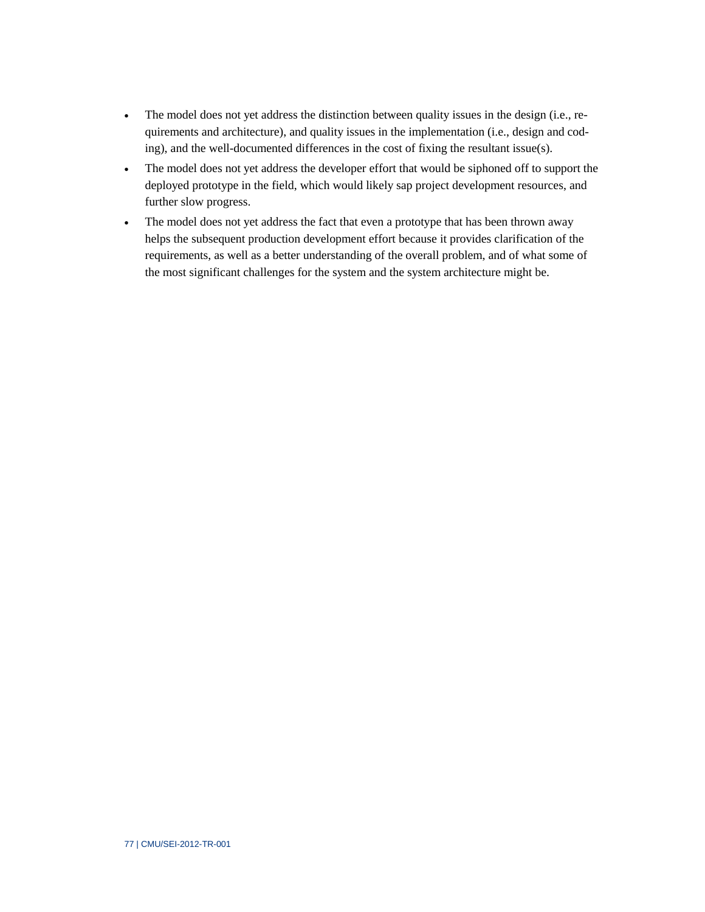- The model does not yet address the distinction between quality issues in the design (i.e., requirements and architecture), and quality issues in the implementation (i.e., design and coding), and the well-documented differences in the cost of fixing the resultant issue(s).
- The model does not yet address the developer effort that would be siphoned off to support the deployed prototype in the field, which would likely sap project development resources, and further slow progress.
- The model does not yet address the fact that even a prototype that has been thrown away helps the subsequent production development effort because it provides clarification of the requirements, as well as a better understanding of the overall problem, and of what some of the most significant challenges for the system and the system architecture might be.